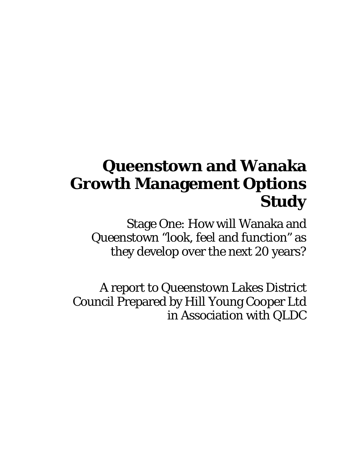# **Queenstown and Wanaka Growth Management Options Study**

Stage One: How will Wanaka and Queenstown "look, feel and function" as they develop over the next 20 years?

A report to Queenstown Lakes District Council Prepared by Hill Young Cooper Ltd in Association with QLDC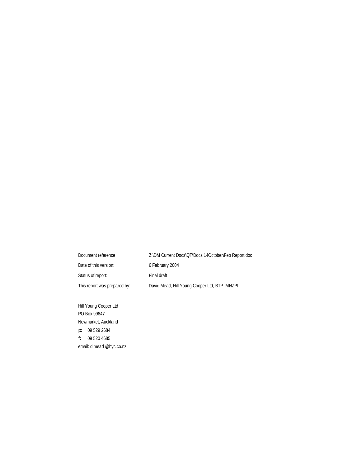| Document reference:          | Z:\DM Current Docs\QT\Docs 14October\Feb Report.doc |
|------------------------------|-----------------------------------------------------|
| Date of this version:        | 6 February 2004                                     |
| Status of report:            | Final draft                                         |
| This report was prepared by: | David Mead, Hill Young Cooper Ltd, BTP, MNZPI       |

Hill Young Cooper Ltd PO Box 99847 Newmarket, Auckland p: 09 529 2684 f: 09 520 4685 email: d.mead @hyc.co.nz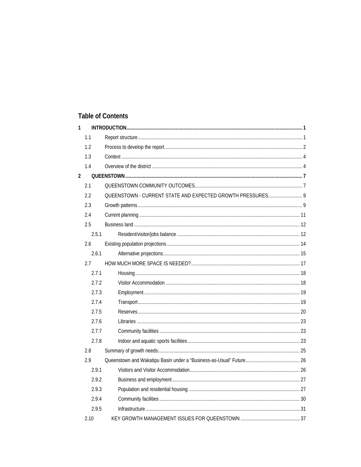## **Table of Contents**

| $\mathbf{1}$   |       |                                                            |  |
|----------------|-------|------------------------------------------------------------|--|
|                | 1.1   |                                                            |  |
|                | 1.2   |                                                            |  |
|                | 1.3   |                                                            |  |
|                | 1.4   |                                                            |  |
| $\overline{2}$ |       |                                                            |  |
|                | 2.1   |                                                            |  |
|                | 2.2   | QUEENSTOWN - CURRENT STATE AND EXPECTED GROWTH PRESSURES 9 |  |
|                | 2.3   |                                                            |  |
|                | 2.4   |                                                            |  |
|                | 2.5   |                                                            |  |
|                | 2.5.1 |                                                            |  |
|                | 2.6   |                                                            |  |
|                | 2.6.1 |                                                            |  |
|                | 2.7   |                                                            |  |
|                | 2.7.1 |                                                            |  |
|                | 2.7.2 |                                                            |  |
|                | 2.7.3 |                                                            |  |
|                | 2.7.4 |                                                            |  |
|                | 2.7.5 |                                                            |  |
|                | 2.7.6 |                                                            |  |
|                | 2.7.7 |                                                            |  |
|                | 2.7.8 |                                                            |  |
|                | 2.8   |                                                            |  |
|                | 2.9   |                                                            |  |
|                | 2.9.1 |                                                            |  |
|                | 2.9.2 |                                                            |  |
|                | 2.9.3 |                                                            |  |
|                | 2.9.4 |                                                            |  |
|                | 2.9.5 |                                                            |  |
|                | 2.10  |                                                            |  |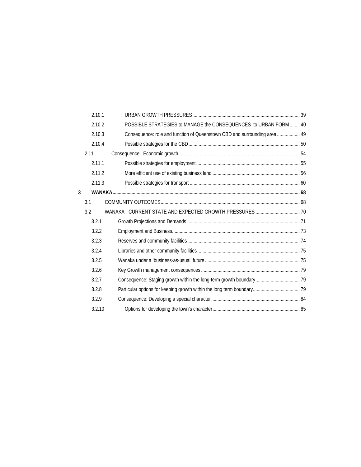|   | 2.10.1 |                                                                          |  |
|---|--------|--------------------------------------------------------------------------|--|
|   | 2.10.2 | POSSIBLE STRATEGIES to MANAGE the CONSEQUENCES to URBAN FORM 40          |  |
|   | 2.10.3 | Consequence: role and function of Queenstown CBD and surrounding area 49 |  |
|   | 2.10.4 |                                                                          |  |
|   | 2.11   |                                                                          |  |
|   | 2.11.1 |                                                                          |  |
|   | 2.11.2 |                                                                          |  |
|   | 2.11.3 |                                                                          |  |
| 3 |        |                                                                          |  |
|   | 3.1    |                                                                          |  |
|   | 3.2    |                                                                          |  |
|   | 3.2.1  |                                                                          |  |
|   | 3.2.2  |                                                                          |  |
|   | 3.2.3  |                                                                          |  |
|   | 3.2.4  |                                                                          |  |
|   | 3.2.5  |                                                                          |  |
|   | 3.2.6  |                                                                          |  |
|   | 3.2.7  |                                                                          |  |
|   | 3.2.8  |                                                                          |  |
|   | 3.2.9  |                                                                          |  |
|   | 3.2.10 |                                                                          |  |
|   |        |                                                                          |  |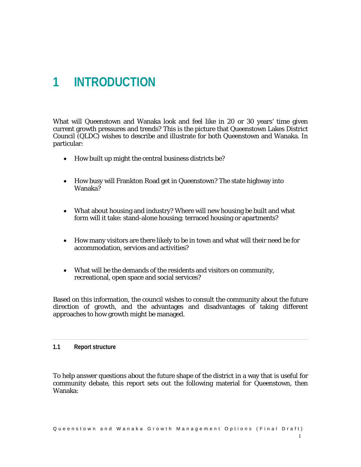## **1 INTRODUCTION**

What will Queenstown and Wanaka look and feel like in 20 or 30 years' time given current growth pressures and trends? This is the picture that Queenstown Lakes District Council (QLDC) wishes to describe and illustrate for both Queenstown and Wanaka. In particular:

- How built up might the central business districts be?
- How busy will Frankton Road get in Queenstown? The state highway into Wanaka?
- What about housing and industry? Where will new housing be built and what form will it take: stand-alone housing; terraced housing or apartments?
- How many visitors are there likely to be in town and what will their need be for accommodation, services and activities?
- What will be the demands of the residents and visitors on community, recreational, open space and social services?

Based on this information, the council wishes to consult the community about the future direction of growth, and the advantages and disadvantages of taking different approaches to how growth might be managed.

#### **1.1 Report structure**

To help answer questions about the future shape of the district in a way that is useful for community debate, this report sets out the following material for Queenstown, then Wanaka: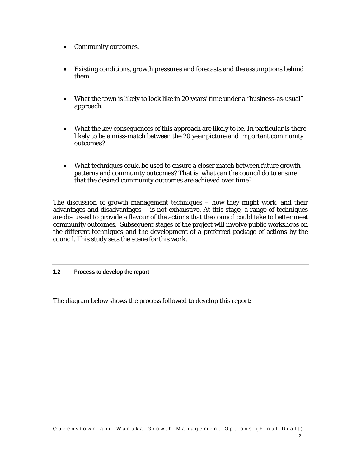- Community outcomes.
- Existing conditions, growth pressures and forecasts and the assumptions behind them.
- What the town is likely to look like in 20 years' time under a "business-as-usual" approach.
- What the key consequences of this approach are likely to be. In particular is there likely to be a miss-match between the 20 year picture and important community outcomes?
- What techniques could be used to ensure a closer match between future growth patterns and community outcomes? That is, what can the council do to ensure that the desired community outcomes are achieved over time?

The discussion of growth management techniques – how they might work, and their advantages and disadvantages – is not exhaustive. At this stage, a range of techniques are discussed to provide a flavour of the actions that the council could take to better meet community outcomes. Subsequent stages of the project will involve public workshops on the different techniques and the development of a preferred package of actions by the council. This study sets the scene for this work.

**1.2 Process to develop the report** 

The diagram below shows the process followed to develop this report: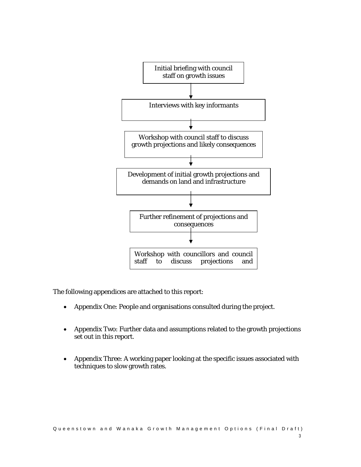

The following appendices are attached to this report:

- Appendix One: People and organisations consulted during the project.
- Appendix Two: Further data and assumptions related to the growth projections set out in this report.
- Appendix Three: A working paper looking at the specific issues associated with techniques to slow growth rates.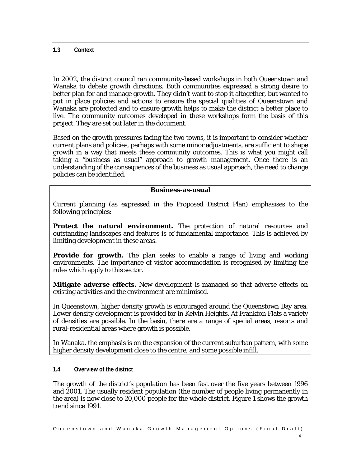## **1.3 Context**

In 2002, the district council ran community-based workshops in both Queenstown and Wanaka to debate growth directions. Both communities expressed a strong desire to better plan for and manage growth. They didn't want to stop it altogether, but wanted to put in place policies and actions to ensure the special qualities of Queenstown and Wanaka are protected and to ensure growth helps to make the district a better place to live. The community outcomes developed in these workshops form the basis of this project. They are set out later in the document.

Based on the growth pressures facing the two towns, it is important to consider whether current plans and policies, perhaps with some minor adjustments, are sufficient to shape growth in a way that meets these community outcomes. This is what you might call taking a "business as usual" approach to growth management. Once there is an understanding of the consequences of the business as usual approach, the need to change policies can be identified.

#### **Business-as-usual**

Current planning (as expressed in the Proposed District Plan) emphasises to the following principles:

**Protect the natural environment.** The protection of natural resources and outstanding landscapes and features is of fundamental importance. This is achieved by limiting development in these areas.

**Provide for growth.** The plan seeks to enable a range of living and working environments. The importance of visitor accommodation is recognised by limiting the rules which apply to this sector.

**Mitigate adverse effects.** New development is managed so that adverse effects on existing activities and the environment are minimised.

In Queenstown, higher density growth is encouraged around the Queenstown Bay area. Lower density development is provided for in Kelvin Heights. At Frankton Flats a variety of densities are possible. In the basin, there are a range of special areas, resorts and rural-residential areas where growth is possible.

In Wanaka, the emphasis is on the expansion of the current suburban pattern, with some higher density development close to the centre, and some possible infill.

## **1.4 Overview of the district**

The growth of the district's population has been fast over the five years between 1996 and 2001. The usually resident population (the number of people living permanently in the area) is now close to 20,000 people for the whole district. Figure 1 shows the growth trend since 1991.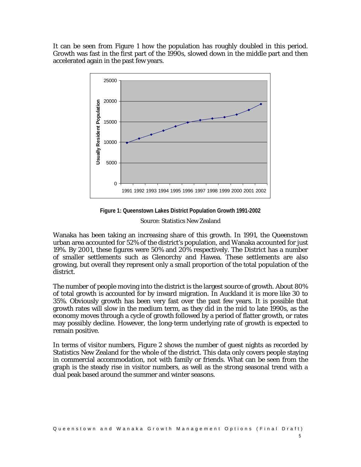It can be seen from Figure 1 how the population has roughly doubled in this period. Growth was fast in the first part of the 1990s, slowed down in the middle part and then accelerated again in the past few years.



**Figure 1: Queenstown Lakes District Population Growth 1991-2002** 

Source: Statistics New Zealand

Wanaka has been taking an increasing share of this growth. In 1991, the Queenstown urban area accounted for 52% of the district's population, and Wanaka accounted for just 19%. By 2001, these figures were  $50\%$  and  $20\%$  respectively. The District has a number of smaller settlements such as Glenorchy and Hawea. These settlements are also growing, but overall they represent only a small proportion of the total population of the district.

The number of people moving into the district is the largest source of growth. About 80% of total growth is accounted for by inward migration. In Auckland it is more like 30 to 35%. Obviously growth has been very fast over the past few years. It is possible that growth rates will slow in the medium term, as they did in the mid to late 1990s, as the economy moves through a cycle of growth followed by a period of flatter growth, or rates may possibly decline. However, the long-term underlying rate of growth is expected to remain positive.

In terms of visitor numbers, Figure 2 shows the number of guest nights as recorded by Statistics New Zealand for the whole of the district. This data only covers people staying in commercial accommodation, not with family or friends. What can be seen from the graph is the steady rise in visitor numbers, as well as the strong seasonal trend with a dual peak based around the summer and winter seasons.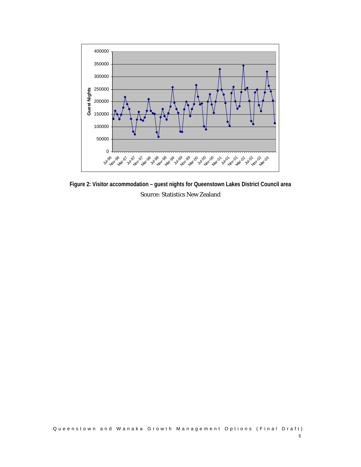

**Figure 2: Visitor accommodation – guest nights for Queenstown Lakes District Council area**  Source: Statistics New Zealand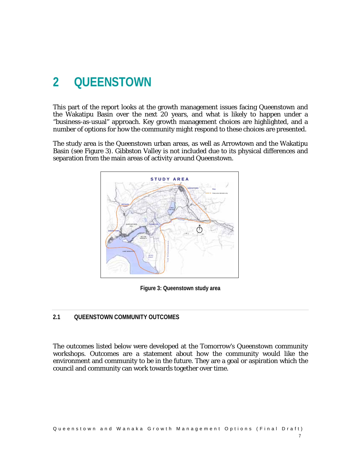## **2 QUEENSTOWN**

This part of the report looks at the growth management issues facing Queenstown and the Wakatipu Basin over the next 20 years, and what is likely to happen under a "business-as-usual" approach. Key growth management choices are highlighted, and a number of options for how the community might respond to these choices are presented.

The study area is the Queenstown urban areas, as well as Arrowtown and the Wakatipu Basin (see Figure 3). Gibbston Valley is not included due to its physical differences and separation from the main areas of activity around Queenstown.



**Figure 3: Queenstown study area** 

#### **2.1 QUEENSTOWN COMMUNITY OUTCOMES**

The outcomes listed below were developed at the Tomorrow's Queenstown community workshops. Outcomes are a statement about how the community would like the environment and community to be in the future. They are a goal or aspiration which the council and community can work towards together over time.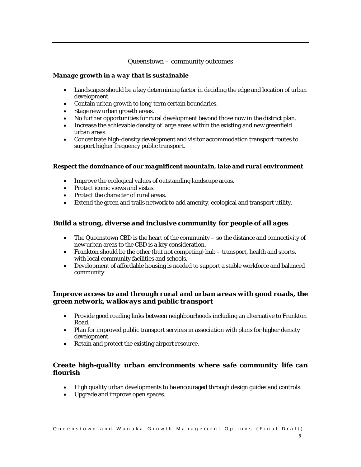## Queenstown – community outcomes

#### *Manage growth in a way that is sustainable*

- Landscapes should be a key determining factor in deciding the edge and location of urban development.
- Contain urban growth to long-term certain boundaries.
- Stage new urban growth areas.
- No further opportunities for rural development beyond those now in the district plan.
- Increase the achievable density of large areas within the existing and new greenfield urban areas.
- Concentrate high-density development and visitor accommodation transport routes to support higher frequency public transport.

#### *Respect the dominance of our magnificent mountain, lake and rural environment*

- Improve the ecological values of outstanding landscape areas.
- Protect iconic views and vistas.
- Protect the character of rural areas.
- Extend the green and trails network to add amenity, ecological and transport utility.

## *Build a strong, diverse and inclusive community for people of all ages*

- The Queenstown CBD is the heart of the community so the distance and connectivity of new urban areas to the CBD is a key consideration.
- Frankton should be the other (but not competing) hub transport, health and sports, with local community facilities and schools.
- Development of affordable housing is needed to support a stable workforce and balanced community.

## *Improve access to and through rural and urban areas with good roads, the green network, walkways and public transport*

- Provide good roading links between neighbourhoods including an alternative to Frankton Road.
- Plan for improved public transport services in association with plans for higher density development.
- Retain and protect the existing airport resource.

## *Create high-quality urban environments where safe community life can flourish*

- High quality urban developments to be encouraged through design guides and controls.
- Upgrade and improve open spaces.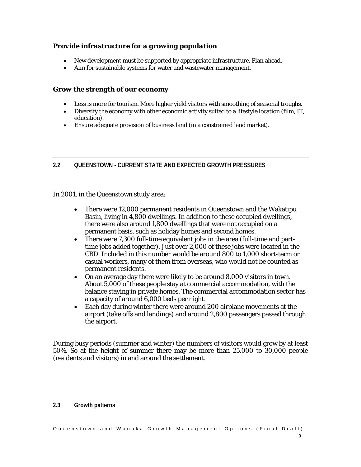## *Provide infrastructure for a growing population*

- New development must be supported by appropriate infrastructure. Plan ahead.
- Aim for sustainable systems for water and wastewater management.

## *Grow the strength of our economy*

- Less is more for tourism. More higher yield visitors with smoothing of seasonal troughs.
- Diversify the economy with other economic activity suited to a lifestyle location (film, IT, education).
- Ensure adequate provision of business land (in a constrained land market).

## **2.2 QUEENSTOWN - CURRENT STATE AND EXPECTED GROWTH PRESSURES**

In 2001, in the Queenstown study area:

- There were 12,000 permanent residents in Queenstown and the Wakatipu Basin, living in 4,800 dwellings. In addition to these occupied dwellings, there were also around 1,800 dwellings that were not occupied on a permanent basis, such as holiday homes and second homes.
- There were 7,300 full-time equivalent jobs in the area (full-time and parttime jobs added together). Just over 2,000 of these jobs were located in the CBD. Included in this number would be around 800 to 1,000 short-term or casual workers, many of them from overseas, who would not be counted as permanent residents.
- On an average day there were likely to be around 8,000 visitors in town. About 5,000 of these people stay at commercial accommodation, with the balance staying in private homes. The commercial accommodation sector has a capacity of around 6,000 beds per night.
- Each day during winter there were around 200 airplane movements at the airport (take offs and landings) and around 2,800 passengers passed through the airport.

During busy periods (summer and winter) the numbers of visitors would grow by at least 50%. So at the height of summer there may be more than 25,000 to 30,000 people (residents and visitors) in and around the settlement.

#### **2.3 Growth patterns**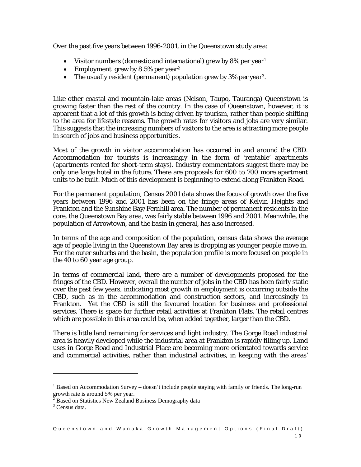Over the past five years between 1996-2001, in the Queenstown study area:

- Visitor numbers (domestic and international) grew by  $8\%$  per year<sup>1</sup>
- Employment grew by 8.5% per year<sup>2</sup>
- The usually resident (permanent) population grew by 3% per year<sup>3</sup>.

Like other coastal and mountain-lake areas (Nelson, Taupo, Tauranga) Queenstown is growing faster than the rest of the country. In the case of Queenstown, however, it is apparent that a lot of this growth is being driven by tourism, rather than people shifting to the area for lifestyle reasons. The growth rates for visitors and jobs are very similar. This suggests that the increasing numbers of visitors to the area is attracting more people in search of jobs and business opportunities.

Most of the growth in visitor accommodation has occurred in and around the CBD. Accommodation for tourists is increasingly in the form of 'rentable' apartments (apartments rented for short-term stays). Industry commentators suggest there may be only one large hotel in the future. There are proposals for 600 to 700 more apartment units to be built. Much of this development is beginning to extend along Frankton Road.

For the permanent population, Census 2001 data shows the focus of growth over the five years between 1996 and 2001 has been on the fringe areas of Kelvin Heights and Frankton and the Sunshine Bay/Fernhill area. The number of permanent residents in the core, the Queenstown Bay area, was fairly stable between 1996 and 2001. Meanwhile, the population of Arrowtown, and the basin in general, has also increased.

In terms of the age and composition of the population, census data shows the average age of people living in the Queenstown Bay area is dropping as younger people move in. For the outer suburbs and the basin, the population profile is more focused on people in the 40 to 60 year age group.

In terms of commercial land, there are a number of developments proposed for the fringes of the CBD. However, overall the number of jobs in the CBD has been fairly static over the past few years, indicating most growth in employment is occurring outside the CBD, such as in the accommodation and construction sectors, and increasingly in Frankton. Yet the CBD is still the favoured location for business and professional services. There is space for further retail activities at Frankton Flats. The retail centres which are possible in this area could be, when added together, larger than the CBD.

There is little land remaining for services and light industry. The Gorge Road industrial area is heavily developed while the industrial area at Frankton is rapidly filling up. Land uses in Gorge Road and Industrial Place are becoming more orientated towards service and commercial activities, rather than industrial activities, in keeping with the areas'

l

 $1$  Based on Accommodation Survey – doesn't include people staying with family or friends. The long-run

growth rate is around 5% per year. 2 Based on Statistics New Zealand Business Demography data

<sup>&</sup>lt;sup>3</sup> Census data.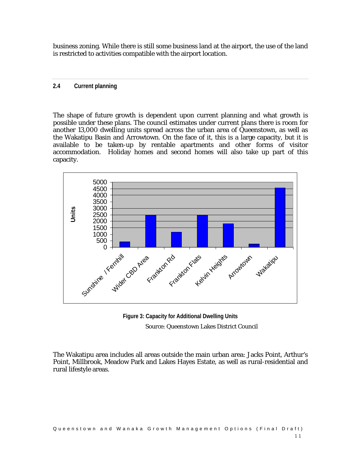business zoning. While there is still some business land at the airport, the use of the land is restricted to activities compatible with the airport location.

## **2.4 Current planning**

The shape of future growth is dependent upon current planning and what growth is possible under these plans. The council estimates under current plans there is room for another 13,000 dwelling units spread across the urban area of Queenstown, as well as the Wakatipu Basin and Arrowtown. On the face of it, this is a large capacity, but it is available to be taken-up by rentable apartments and other forms of visitor accommodation. Holiday homes and second homes will also take up part of this capacity.



**Figure 3: Capacity for Additional Dwelling Units**  Source: Queenstown Lakes District Council

The Wakatipu area includes all areas outside the main urban area: Jacks Point, Arthur's Point, Millbrook, Meadow Park and Lakes Hayes Estate, as well as rural-residential and rural lifestyle areas.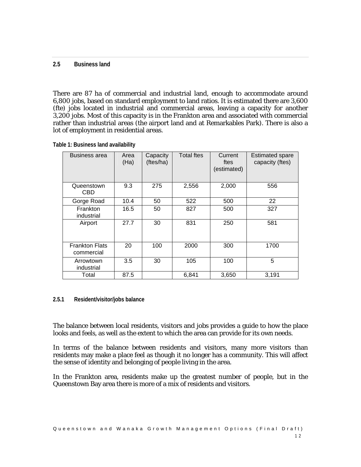#### **2.5 Business land**

There are 87 ha of commercial and industrial land, enough to accommodate around 6,800 jobs, based on standard employment to land ratios. It is estimated there are 3,600 (fte) jobs located in industrial and commercial areas, leaving a capacity for another 3,200 jobs. Most of this capacity is in the Frankton area and associated with commercial rather than industrial areas (the airport land and at Remarkables Park). There is also a lot of employment in residential areas.

| <b>Business area</b>                | Area<br>(Ha) | Capacity<br>(ftes/ha) | <b>Total ftes</b> | Current<br>ftes<br>(estimated) | <b>Estimated spare</b><br>capacity (ftes) |
|-------------------------------------|--------------|-----------------------|-------------------|--------------------------------|-------------------------------------------|
| Queenstown<br><b>CBD</b>            | 9.3          | 275                   | 2,556             | 2,000                          | 556                                       |
| Gorge Road                          | 10.4         | 50                    | 522               | 500                            | 22                                        |
| Frankton<br>industrial              | 16.5         | 50                    | 827               | 500                            | 327                                       |
| Airport                             | 27.7         | 30                    | 831               | 250                            | 581                                       |
| <b>Frankton Flats</b><br>commercial | 20           | 100                   | 2000              | 300                            | 1700                                      |
| Arrowtown<br>industrial             | 3.5          | 30                    | 105               | 100                            | 5                                         |
| Total                               | 87.5         |                       | 6,841             | 3,650                          | 3,191                                     |

**Table 1: Business land availability** 

#### **2.5.1 Resident/visitor/jobs balance**

The balance between local residents, visitors and jobs provides a guide to how the place looks and feels, as well as the extent to which the area can provide for its own needs.

In terms of the balance between residents and visitors, many more visitors than residents may make a place feel as though it no longer has a community. This will affect the sense of identity and belonging of people living in the area.

In the Frankton area, residents make up the greatest number of people, but in the Queenstown Bay area there is more of a mix of residents and visitors.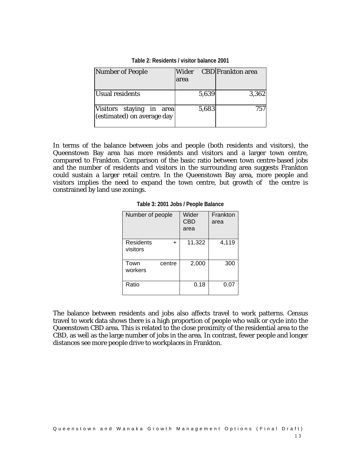| Number of People                                       | Wider | <b>CBD</b>  Frankton area |
|--------------------------------------------------------|-------|---------------------------|
|                                                        | area  |                           |
|                                                        |       |                           |
| <b>Usual residents</b>                                 | 5,639 | 3,362                     |
| Visitors staying in area<br>(estimated) on average day | 5,683 | 757                       |

**Table 2: Residents / visitor balance 2001** 

In terms of the balance between jobs and people (both residents and visitors), the Queenstown Bay area has more residents and visitors and a larger town centre, compared to Frankton. Comparison of the basic ratio between town centre-based jobs and the number of residents and visitors in the surrounding area suggests Frankton could sustain a larger retail centre. In the Queenstown Bay area, more people and visitors implies the need to expand the town centre, but growth of the centre is constrained by land use zonings.

**Table 3: 2001 Jobs / People Balance** 

| Number of people                   | Wider<br><b>CBD</b><br>area | Frankton<br>area |
|------------------------------------|-----------------------------|------------------|
| Residents<br>$\ddot{}$<br>visitors | 11,322                      | 4,119            |
| Town<br>centre<br>workers          | 2,000                       | 300              |
| Ratio                              | 0.18                        | 0.07             |

The balance between residents and jobs also affects travel to work patterns. Census travel to work data shows there is a high proportion of people who walk or cycle into the Queenstown CBD area. This is related to the close proximity of the residential area to the CBD, as well as the large number of jobs in the area. In contrast, fewer people and longer distances see more people drive to workplaces in Frankton.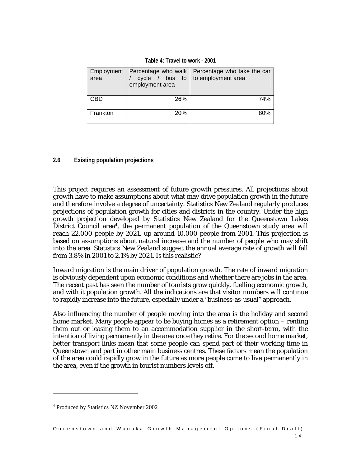**Table 4: Travel to work - 2001** 

| Employment<br>area | employment area | Percentage who walk   Percentage who take the car<br>cycle / bus to to employment area |
|--------------------|-----------------|----------------------------------------------------------------------------------------|
| CBD                | <b>26%</b>      | 74%                                                                                    |
| Frankton           | 20%             | 80%                                                                                    |

#### **2.6 Existing population projections**

This project requires an assessment of future growth pressures. All projections about growth have to make assumptions about what may drive population growth in the future and therefore involve a degree of uncertainty. Statistics New Zealand regularly produces projections of population growth for cities and districts in the country. Under the high growth projection developed by Statistics New Zealand for the Queenstown Lakes District Council area<sup>4</sup>, the permanent population of the Queenstown study area will reach 22,000 people by 2021, up around 10,000 people from 2001. This projection is based on assumptions about natural increase and the number of people who may shift into the area. Statistics New Zealand suggest the annual average rate of growth will fall from 3.8% in 2001 to 2.1% by 2021. Is this realistic?

Inward migration is the main driver of population growth. The rate of inward migration is obviously dependent upon economic conditions and whether there are jobs in the area. The recent past has seen the number of tourists grow quickly, fuelling economic growth, and with it population growth. All the indications are that visitor numbers will continue to rapidly increase into the future, especially under a "business-as-usual" approach.

Also influencing the number of people moving into the area is the holiday and second home market. Many people appear to be buying homes as a retirement option – renting them out or leasing them to an accommodation supplier in the short-term, with the intention of living permanently in the area once they retire. For the second home market, better transport links mean that some people can spend part of their working time in Queenstown and part in other main business centres. These factors mean the population of the area could rapidly grow in the future as more people come to live permanently in the area, even if the growth in tourist numbers levels off.

l

<sup>4</sup> Produced by Statistics NZ November 2002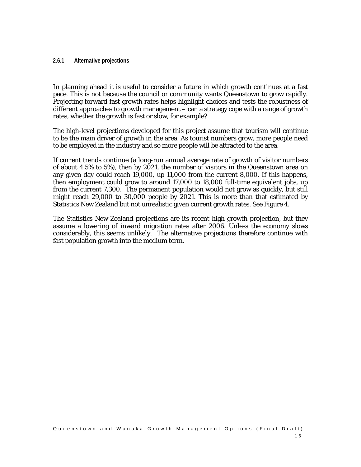#### **2.6.1 Alternative projections**

In planning ahead it is useful to consider a future in which growth continues at a fast pace. This is not because the council or community wants Queenstown to grow rapidly. Projecting forward fast growth rates helps highlight choices and tests the robustness of different approaches to growth management – can a strategy cope with a range of growth rates, whether the growth is fast or slow, for example?

The high-level projections developed for this project assume that tourism will continue to be the main driver of growth in the area. As tourist numbers grow, more people need to be employed in the industry and so more people will be attracted to the area.

If current trends continue (a long-run annual average rate of growth of visitor numbers of about 4.5% to 5%), then by 2021, the number of visitors in the Queenstown area on any given day could reach 19,000, up 11,000 from the current 8,000. If this happens, then employment could grow to around 17,000 to 18,000 full-time equivalent jobs, up from the current 7,300. The permanent population would not grow as quickly, but still might reach 29,000 to 30,000 people by 2021. This is more than that estimated by Statistics New Zealand but not unrealistic given current growth rates. See Figure 4.

The Statistics New Zealand projections are its recent high growth projection, but they assume a lowering of inward migration rates after 2006. Unless the economy slows considerably, this seems unlikely. The alternative projections therefore continue with fast population growth into the medium term.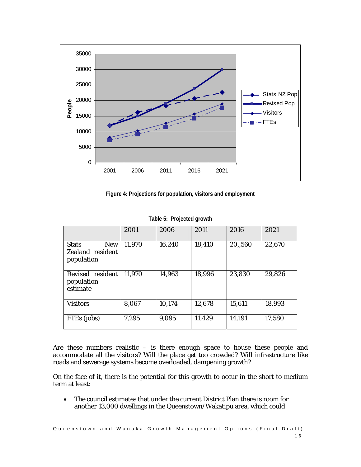

**Figure 4: Projections for population, visitors and employment** 

|                                                              | 2001   | 2006   | 2011   | 2016    | 2021   |
|--------------------------------------------------------------|--------|--------|--------|---------|--------|
| <b>Stats</b><br><b>New</b><br>Zealand resident<br>population | 11,970 | 16,240 | 18,410 | 20,,560 | 22,670 |
| Revised resident<br>population<br>estimate                   | 11,970 | 14,963 | 18,996 | 23,830  | 29,826 |
| <b>Visitors</b>                                              | 8,067  | 10,174 | 12,678 | 15,611  | 18,993 |
| FTEs (jobs)                                                  | 7,295  | 9,095  | 11,429 | 14,191  | 17,580 |

**Table 5: Projected growth** 

Are these numbers realistic – is there enough space to house these people and accommodate all the visitors? Will the place get too crowded? Will infrastructure like roads and sewerage systems become overloaded, dampening growth?

On the face of it, there is the potential for this growth to occur in the short to medium term at least:

• The council estimates that under the current District Plan there is room for another 13,000 dwellings in the Queenstown/Wakatipu area, which could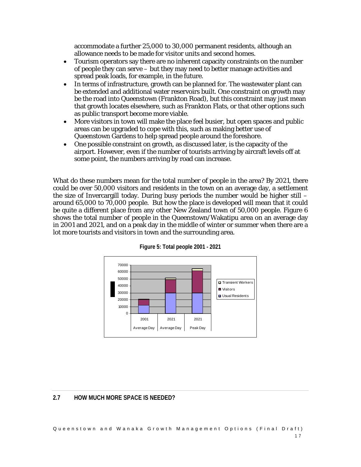accommodate a further 25,000 to 30,000 permanent residents, although an allowance needs to be made for visitor units and second homes.

- Tourism operators say there are no inherent capacity constraints on the number of people they can serve – but they may need to better manage activities and spread peak loads, for example, in the future.
- In terms of infrastructure, growth can be planned for. The wastewater plant can be extended and additional water reservoirs built. One constraint on growth may be the road into Queenstown (Frankton Road), but this constraint may just mean that growth locates elsewhere, such as Frankton Flats, or that other options such as public transport become more viable.
- More visitors in town will make the place feel busier, but open spaces and public areas can be upgraded to cope with this, such as making better use of Queenstown Gardens to help spread people around the foreshore.
- One possible constraint on growth, as discussed later, is the capacity of the airport. However, even if the number of tourists arriving by aircraft levels off at some point, the numbers arriving by road can increase.

What do these numbers mean for the total number of people in the area? By 2021, there could be over 50,000 visitors and residents in the town on an average day, a settlement the size of Invercargill today. During busy periods the number would be higher still – around 65,000 to 70,000 people. But how the place is developed will mean that it could be quite a different place from any other New Zealand town of 50,000 people. Figure 6 shows the total number of people in the Queenstown/Wakatipu area on an average day in 2001 and 2021, and on a peak day in the middle of winter or summer when there are a lot more tourists and visitors in town and the surrounding area.





## **2.7 HOW MUCH MORE SPACE IS NEEDED?**

Queenstown and Wanaka Growth Man agement Options (Final Draft) 1 7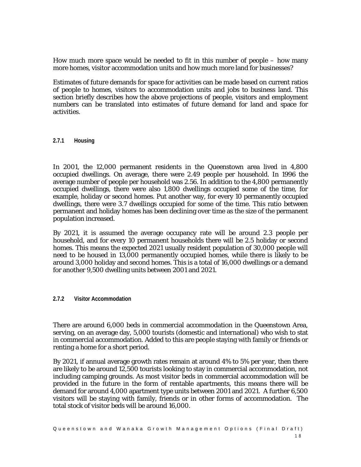How much more space would be needed to fit in this number of people – how many more homes, visitor accommodation units and how much more land for businesses?

Estimates of future demands for space for activities can be made based on current ratios of people to homes, visitors to accommodation units and jobs to business land. This section briefly describes how the above projections of people, visitors and employment numbers can be translated into estimates of future demand for land and space for activities.

#### **2.7.1 Housing**

In 2001, the 12,000 permanent residents in the Queenstown area lived in 4,800 occupied dwellings. On average, there were 2.49 people per household. In 1996 the average number of people per household was 2.56. In addition to the 4,800 permanently occupied dwellings, there were also 1,800 dwellings occupied some of the time, for example, holiday or second homes. Put another way, for every 10 permanently occupied dwellings, there were 3.7 dwellings occupied for some of the time. This ratio between permanent and holiday homes has been declining over time as the size of the permanent population increased.

By 2021, it is assumed the average occupancy rate will be around 2.3 people per household, and for every 10 permanent households there will be 2.5 holiday or second homes. This means the expected 2021 usually resident population of 30,000 people will need to be housed in 13,000 permanently occupied homes, while there is likely to be around 3,000 holiday and second homes. This is a total of 16,000 dwellings or a demand for another 9,500 dwelling units between 2001 and 2021.

#### **2.7.2 Visitor Accommodation**

There are around 6,000 beds in commercial accommodation in the Queenstown Area, serving, on an average day, 5,000 tourists (domestic and international) who wish to stat in commercial accommodation. Added to this are people staying with family or friends or renting a home for a short period.

By 2021, if annual average growth rates remain at around 4% to 5% per year, then there are likely to be around 12,500 tourists looking to stay in commercial accommodation, not including camping grounds. As most visitor beds in commercial accommodation will be provided in the future in the form of rentable apartments, this means there will be demand for around 4,000 apartment type units between 2001 and 2021. A further 6,500 visitors will be staying with family, friends or in other forms of accommodation. The total stock of visitor beds will be around 16,000.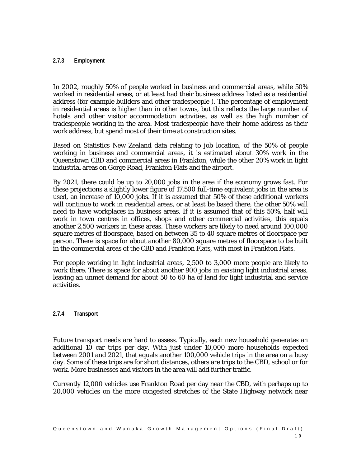#### **2.7.3 Employment**

In 2002, roughly 50% of people worked in business and commercial areas, while 50% worked in residential areas, or at least had their business address listed as a residential address (for example builders and other tradespeople ). The percentage of employment in residential areas is higher than in other towns, but this reflects the large number of hotels and other visitor accommodation activities, as well as the high number of tradespeople working in the area. Most tradespeople have their home address as their work address, but spend most of their time at construction sites.

Based on Statistics New Zealand data relating to job location, of the 50% of people working in business and commercial areas, it is estimated about 30% work in the Queenstown CBD and commercial areas in Frankton, while the other 20% work in light industrial areas on Gorge Road, Frankton Flats and the airport.

By 2021, there could be up to 20,000 jobs in the area if the economy grows fast. For these projections a slightly lower figure of 17,500 full-time equivalent jobs in the area is used, an increase of 10,000 jobs. If it is assumed that 50% of these additional workers will continue to work in residential areas, or at least be based there, the other 50% will need to have workplaces in business areas. If it is assumed that of this 50%, half will work in town centres in offices, shops and other commercial activities, this equals another 2,500 workers in these areas. These workers are likely to need around 100,000 square metres of floorspace, based on between 35 to 40 square metres of floorspace per person. There is space for about another 80,000 square metres of floorspace to be built in the commercial areas of the CBD and Frankton Flats, with most in Frankton Flats.

For people working in light industrial areas, 2,500 to 3,000 more people are likely to work there. There is space for about another 900 jobs in existing light industrial areas, leaving an unmet demand for about 50 to 60 ha of land for light industrial and service activities.

## **2.7.4 Transport**

Future transport needs are hard to assess. Typically, each new household generates an additional 10 car trips per day. With just under 10,000 more households expected between 2001 and 2021, that equals another 100,000 vehicle trips in the area on a busy day. Some of these trips are for short distances, others are trips to the CBD, school or for work. More businesses and visitors in the area will add further traffic.

Currently 12,000 vehicles use Frankton Road per day near the CBD, with perhaps up to 20,000 vehicles on the more congested stretches of the State Highway network near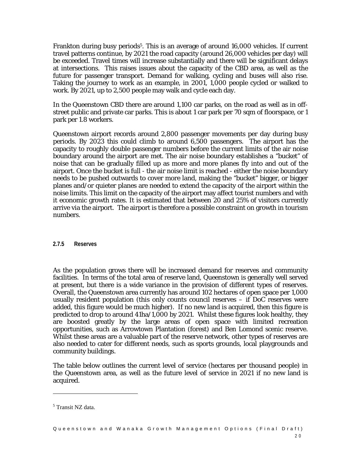Frankton during busy periods<sup>5</sup>. This is an average of around 16,000 vehicles. If current travel patterns continue, by 2021 the road capacity (around 26,000 vehicles per day) will be exceeded. Travel times will increase substantially and there will be significant delays at intersections. This raises issues about the capacity of the CBD area, as well as the future for passenger transport. Demand for walking, cycling and buses will also rise. Taking the journey to work as an example, in 2001, 1,000 people cycled or walked to work. By 2021, up to 2,500 people may walk and cycle each day.

In the Queenstown CBD there are around 1,100 car parks, on the road as well as in offstreet public and private car parks. This is about 1 car park per 70 sqm of floorspace, or 1 park per 1.8 workers.

Queenstown airport records around 2,800 passenger movements per day during busy periods. By 2023 this could climb to around 6,500 passengers. The airport has the capacity to roughly double passenger numbers before the current limits of the air noise boundary around the airport are met. The air noise boundary establishes a "bucket" of noise that can be gradually filled up as more and more planes fly into and out of the airport. Once the bucket is full - the air noise limit is reached - either the noise boundary needs to be pushed outwards to cover more land, making the "bucket" bigger, or bigger planes and/or quieter planes are needed to extend the capacity of the airport within the noise limits. This limit on the capacity of the airport may affect tourist numbers and with it economic growth rates. It is estimated that between 20 and 25% of visitors currently arrive via the airport. The airport is therefore a possible constraint on growth in tourism numbers.

#### **2.7.5 Reserves**

As the population grows there will be increased demand for reserves and community facilities. In terms of the total area of reserve land, Queenstown is generally well served at present, but there is a wide variance in the provision of different types of reserves. Overall, the Queenstown area currently has around 102 hectares of open space per 1,000 usually resident population (this only counts council reserves – if DoC reserves were added, this figure would be much higher). If no new land is acquired, then this figure is predicted to drop to around 41ha/1,000 by 2021. Whilst these figures look healthy, they are boosted greatly by the large areas of open space with limited recreation opportunities, such as Arrowtown Plantation (forest) and Ben Lomond scenic reserve. Whilst these areas are a valuable part of the reserve network, other types of reserves are also needed to cater for different needs, such as sports grounds, local playgrounds and community buildings.

The table below outlines the current level of service (hectares per thousand people) in the Queenstown area, as well as the future level of service in 2021 if no new land is acquired.

l

<sup>5</sup> Transit NZ data.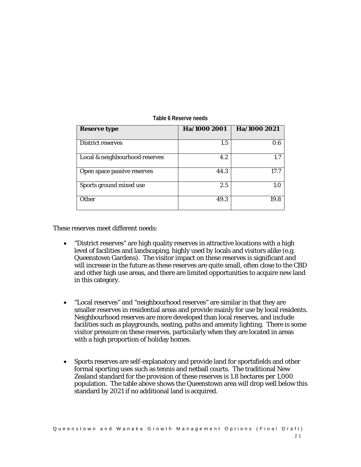| <b>Reserve type</b>            | Ha/1000 2001 | Ha/1000 2021 |
|--------------------------------|--------------|--------------|
| <b>District reserves</b>       | 1.5          | 0.6          |
| Local & neighbourhood reserves | 4.2          | 17           |
| Open space passive reserves    | 44.3         | 17.7         |
| Sports ground mixed use        | 2.5          | 1.0          |
| <b>Other</b>                   | 49.3         | 19.8         |

#### **Table 6 Reserve needs**

These reserves meet different needs:

- "District reserves" are high quality reserves in attractive locations with a high level of facilities and landscaping, highly used by locals and visitors alike (e.g. Queenstown Gardens). The visitor impact on these reserves is significant and will increase in the future as these reserves are quite small, often close to the CBD and other high use areas, and there are limited opportunities to acquire new land in this category.
- "Local reserves" and "neighbourhood reserves" are similar in that they are smaller reserves in residential areas and provide mainly for use by local residents. Neighbourhood reserves are more developed than local reserves, and include facilities such as playgrounds, seating, paths and amenity lighting. There is some visitor pressure on these reserves, particularly when they are located in areas with a high proportion of holiday homes.
- Sports reserves are self-explanatory and provide land for sportsfields and other formal sporting uses such as tennis and netball courts. The traditional New Zealand standard for the provision of these reserves is 1.8 hectares per 1,000 population. The table above shows the Queenstown area will drop well below this standard by 2021 if no additional land is acquired.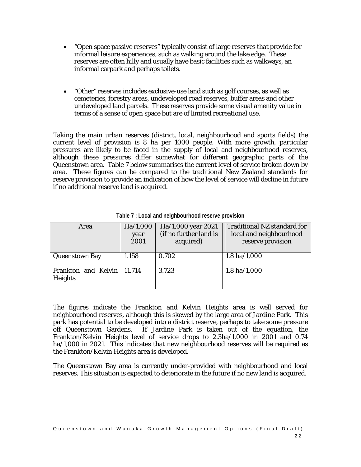- "Open space passive reserves" typically consist of large reserves that provide for informal leisure experiences, such as walking around the lake edge. These reserves are often hilly and usually have basic facilities such as walkways, an informal carpark and perhaps toilets.
- "Other" reserves includes exclusive-use land such as golf courses, as well as cemeteries, forestry areas, undeveloped road reserves, buffer areas and other undeveloped land parcels. These reserves provide some visual amenity value in terms of a sense of open space but are of limited recreational use.

Taking the main urban reserves (district, local, neighbourhood and sports fields) the current level of provision is 8 ha per 1000 people. With more growth, particular pressures are likely to be faced in the supply of local and neighbourhood reserves, although these pressures differ somewhat for different geographic parts of the Queenstown area. Table 7 below summarises the current level of service broken down by area. These figures can be compared to the traditional New Zealand standards for reserve provision to provide an indication of how the level of service will decline in future if no additional reserve land is acquired.

| Area                                    | Ha/1,000<br>year<br>2001 | Ha/1,000 year 2021<br>(if no further land is<br>acquired) | <b>Traditional NZ standard for</b><br>local and neighbourhood<br>reserve provision |
|-----------------------------------------|--------------------------|-----------------------------------------------------------|------------------------------------------------------------------------------------|
| <b>Queenstown Bay</b>                   | 1.158                    | 0.702                                                     | $1.8$ ha/ $1,000$                                                                  |
| Frankton and Kelvin   11.714<br>Heights |                          | 3.723                                                     | $1.8$ ha/ $1,000$                                                                  |

**Table 7 : Local and neighbourhood reserve provision** 

The figures indicate the Frankton and Kelvin Heights area is well served for neighbourhood reserves, although this is skewed by the large area of Jardine Park. This park has potential to be developed into a district reserve, perhaps to take some pressure off Queenstown Gardens. If Jardine Park is taken out of the equation, the Frankton/Kelvin Heights level of service drops to 2.3ha/1,000 in 2001 and 0.74 ha/1,000 in 2021. This indicates that new neighbourhood reserves will be required as the Frankton/Kelvin Heights area is developed.

The Queenstown Bay area is currently under-provided with neighbourhood and local reserves. This situation is expected to deteriorate in the future if no new land is acquired.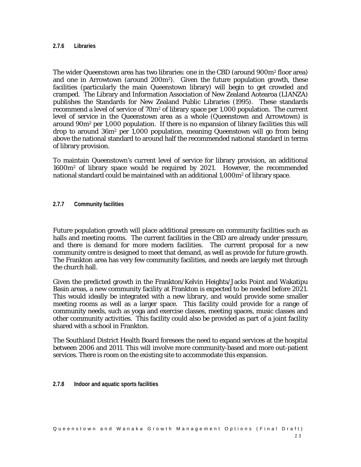#### **2.7.6 Libraries**

The wider Queenstown area has two libraries: one in the CBD (around 900m<sup>2</sup> floor area) and one in Arrowtown (around  $200m^2$ ). Given the future population growth, these facilities (particularly the main Queenstown library) will begin to get crowded and cramped. The Library and Information Association of New Zealand Aotearoa (LIANZA) publishes the Standards for New Zealand Public Libraries (1995). These standards recommend a level of service of  $70m^2$  of library space per 1,000 population. The current level of service in the Queenstown area as a whole (Queenstown and Arrowtown) is around 90m2 per 1,000 population. If there is no expansion of library facilities this will drop to around 36m2 per 1,000 population, meaning Queenstown will go from being above the national standard to around half the recommended national standard in terms of library provision.

To maintain Queenstown's current level of service for library provision, an additional 1600m2 of library space would be required by 2021. However, the recommended national standard could be maintained with an additional 1,000m<sup>2</sup> of library space.

#### **2.7.7 Community facilities**

Future population growth will place additional pressure on community facilities such as halls and meeting rooms. The current facilities in the CBD are already under pressure, and there is demand for more modern facilities. The current proposal for a new community centre is designed to meet that demand, as well as provide for future growth. The Frankton area has very few community facilities, and needs are largely met through the church hall.

Given the predicted growth in the Frankton/Kelvin Heights/Jacks Point and Wakatipu Basin areas, a new community facility at Frankton is expected to be needed before 2021. This would ideally be integrated with a new library, and would provide some smaller meeting rooms as well as a larger space. This facility could provide for a range of community needs, such as yoga and exercise classes, meeting spaces, music classes and other community activities. This facility could also be provided as part of a joint facility shared with a school in Frankton.

The Southland District Health Board foresees the need to expand services at the hospital between 2006 and 2011. This will involve more community-based and more out-patient services. There is room on the existing site to accommodate this expansion.

**2.7.8 Indoor and aquatic sports facilities**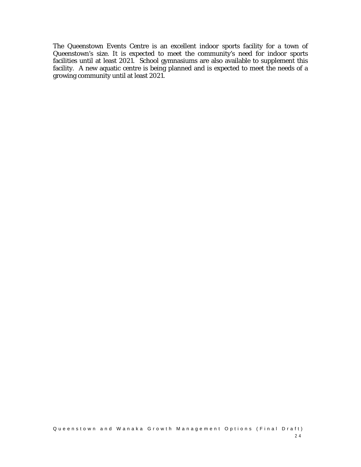The Queenstown Events Centre is an excellent indoor sports facility for a town of Queenstown's size. It is expected to meet the community's need for indoor sports facilities until at least 2021. School gymnasiums are also available to supplement this facility. A new aquatic centre is being planned and is expected to meet the needs of a growing community until at least 2021.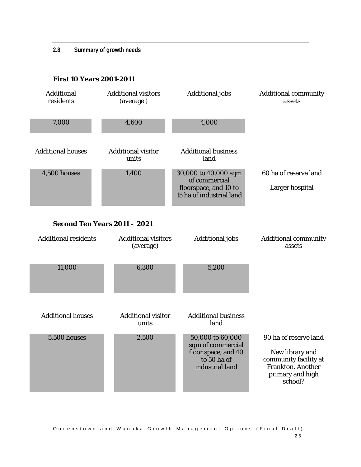**2.8 Summary of growth needs** 

## **First 10 Years 2001-2011**

| <b>Additional</b><br>residents | <b>Additional visitors</b><br>(average) | <b>Additional</b> jobs                                                                         | <b>Additional community</b><br>assets                                                                                 |
|--------------------------------|-----------------------------------------|------------------------------------------------------------------------------------------------|-----------------------------------------------------------------------------------------------------------------------|
| 7,000                          | 4,600                                   | 4,000                                                                                          |                                                                                                                       |
| <b>Additional houses</b>       | <b>Additional visitor</b><br>units      | <b>Additional business</b><br>land                                                             |                                                                                                                       |
| 4,500 houses                   | 1,400                                   | 30,000 to 40,000 sqm<br>of commercial<br>floorspace, and 10 to<br>15 ha of industrial land     | 60 ha of reserve land<br>Larger hospital                                                                              |
|                                | <b>Second Ten Years 2011 - 2021</b>     |                                                                                                |                                                                                                                       |
| <b>Additional residents</b>    | <b>Additional visitors</b><br>(average) | <b>Additional jobs</b>                                                                         | <b>Additional community</b><br>assets                                                                                 |
| 11,000                         | 6,300                                   | 5,200                                                                                          |                                                                                                                       |
| <b>Additional houses</b>       | <b>Additional visitor</b><br>units      | <b>Additional business</b><br>land                                                             |                                                                                                                       |
| <b>5,500 houses</b>            | 2,500                                   | 50,000 to 60,000<br>sqm of commercial<br>floor space, and 40<br>to 50 ha of<br>industrial land | 90 ha of reserve land<br>New library and<br>community facility at<br>Frankton. Another<br>primary and high<br>school? |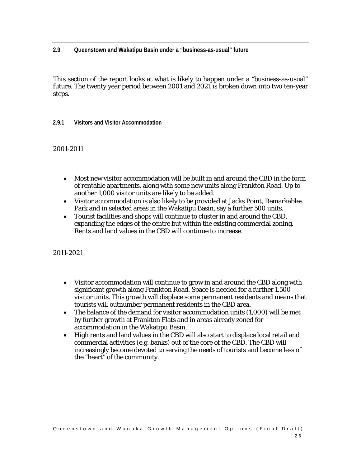**2.9 Queenstown and Wakatipu Basin under a "business-as-usual" future** 

This section of the report looks at what is likely to happen under a "business-as-usual" future. The twenty year period between 2001 and 2021 is broken down into two ten-year steps.

**2.9.1 Visitors and Visitor Accommodation** 

2001-2011

- Most new visitor accommodation will be built in and around the CBD in the form of rentable apartments, along with some new units along Frankton Road. Up to another 1,000 visitor units are likely to be added.
- Visitor accommodation is also likely to be provided at Jacks Point, Remarkables Park and in selected areas in the Wakatipu Basin, say a further 500 units.
- Tourist facilities and shops will continue to cluster in and around the CBD, expanding the edges of the centre but within the existing commercial zoning. Rents and land values in the CBD will continue to increase.

- Visitor accommodation will continue to grow in and around the CBD along with significant growth along Frankton Road. Space is needed for a further 1,500 visitor units. This growth will displace some permanent residents and means that tourists will outnumber permanent residents in the CBD area.
- The balance of the demand for visitor accommodation units (1,000) will be met by further growth at Frankton Flats and in areas already zoned for accommodation in the Wakatipu Basin.
- High rents and land values in the CBD will also start to displace local retail and commercial activities (e.g. banks) out of the core of the CBD. The CBD will increasingly become devoted to serving the needs of tourists and become less of the "heart" of the community.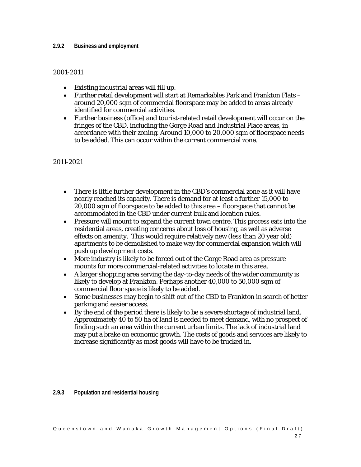#### **2.9.2 Business and employment**

#### 2001-2011

- Existing industrial areas will fill up.
- Further retail development will start at Remarkables Park and Frankton Flats around 20,000 sqm of commercial floorspace may be added to areas already identified for commercial activities.
- Further business (office) and tourist-related retail development will occur on the fringes of the CBD, including the Gorge Road and Industrial Place areas, in accordance with their zoning. Around 10,000 to 20,000 sqm of floorspace needs to be added. This can occur within the current commercial zone.

## 2011-2021

- There is little further development in the CBD's commercial zone as it will have nearly reached its capacity. There is demand for at least a further 15,000 to 20,000 sqm of floorspace to be added to this area – floorspace that cannot be accommodated in the CBD under current bulk and location rules.
- Pressure will mount to expand the current town centre. This process eats into the residential areas, creating concerns about loss of housing, as well as adverse effects on amenity. This would require relatively new (less than 20 year old) apartments to be demolished to make way for commercial expansion which will push up development costs.
- More industry is likely to be forced out of the Gorge Road area as pressure mounts for more commercial-related activities to locate in this area.
- A larger shopping area serving the day-to-day needs of the wider community is likely to develop at Frankton. Perhaps another 40,000 to 50,000 sqm of commercial floor space is likely to be added.
- Some businesses may begin to shift out of the CBD to Frankton in search of better parking and easier access.
- By the end of the period there is likely to be a severe shortage of industrial land. Approximately 40 to 50 ha of land is needed to meet demand, with no prospect of finding such an area within the current urban limits. The lack of industrial land may put a brake on economic growth. The costs of goods and services are likely to increase significantly as most goods will have to be trucked in.

#### **2.9.3 Population and residential housing**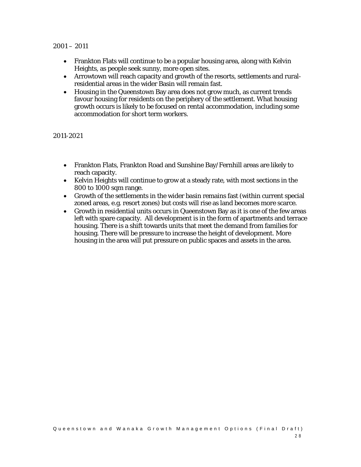#### 2001 – 2011

- Frankton Flats will continue to be a popular housing area, along with Kelvin Heights, as people seek sunny, more open sites.
- Arrowtown will reach capacity and growth of the resorts, settlements and ruralresidential areas in the wider Basin will remain fast.
- Housing in the Queenstown Bay area does not grow much, as current trends favour housing for residents on the periphery of the settlement. What housing growth occurs is likely to be focused on rental accommodation, including some accommodation for short term workers.

- Frankton Flats, Frankton Road and Sunshine Bay/Fernhill areas are likely to reach capacity.
- Kelvin Heights will continue to grow at a steady rate, with most sections in the 800 to 1000 sqm range.
- Growth of the settlements in the wider basin remains fast (within current special zoned areas, e.g. resort zones) but costs will rise as land becomes more scarce.
- Growth in residential units occurs in Queenstown Bay as it is one of the few areas left with spare capacity. All development is in the form of apartments and terrace housing. There is a shift towards units that meet the demand from families for housing. There will be pressure to increase the height of development. More housing in the area will put pressure on public spaces and assets in the area.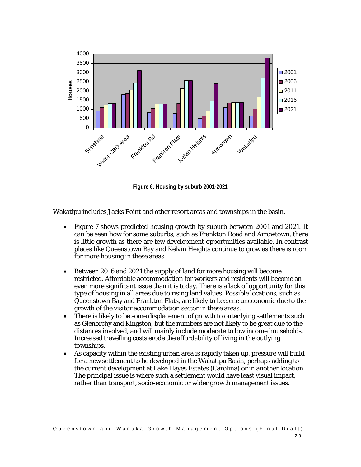

**Figure 6: Housing by suburb 2001-2021** 

Wakatipu includes Jacks Point and other resort areas and townships in the basin.

- Figure 7 shows predicted housing growth by suburb between 2001 and 2021. It can be seen how for some suburbs, such as Frankton Road and Arrowtown, there is little growth as there are few development opportunities available. In contrast places like Queenstown Bay and Kelvin Heights continue to grow as there is room for more housing in these areas.
- Between 2016 and 2021 the supply of land for more housing will become restricted. Affordable accommodation for workers and residents will become an even more significant issue than it is today. There is a lack of opportunity for this type of housing in all areas due to rising land values. Possible locations, such as Queenstown Bay and Frankton Flats, are likely to become uneconomic due to the growth of the visitor accommodation sector in these areas.
- There is likely to be some displacement of growth to outer lying settlements such as Glenorchy and Kingston, but the numbers are not likely to be great due to the distances involved, and will mainly include moderate to low income households. Increased travelling costs erode the affordability of living in the outlying townships.
- As capacity within the existing urban area is rapidly taken up, pressure will build for a new settlement to be developed in the Wakatipu Basin, perhaps adding to the current development at Lake Hayes Estates (Carolina) or in another location. The principal issue is where such a settlement would have least visual impact, rather than transport, socio-economic or wider growth management issues.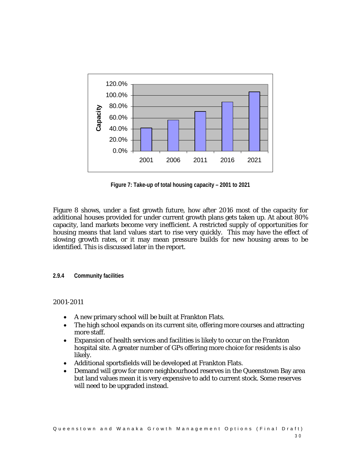

**Figure 7: Take-up of total housing capacity – 2001 to 2021** 

Figure 8 shows, under a fast growth future, how after 2016 most of the capacity for additional houses provided for under current growth plans gets taken up. At about 80% capacity, land markets become very inefficient. A restricted supply of opportunities for housing means that land values start to rise very quickly. This may have the effect of slowing growth rates, or it may mean pressure builds for new housing areas to be identified. This is discussed later in the report.

**2.9.4 Community facilities** 

- A new primary school will be built at Frankton Flats.
- The high school expands on its current site, offering more courses and attracting more staff.
- Expansion of health services and facilities is likely to occur on the Frankton hospital site. A greater number of GPs offering more choice for residents is also likely.
- Additional sportsfields will be developed at Frankton Flats.
- Demand will grow for more neighbourhood reserves in the Queenstown Bay area but land values mean it is very expensive to add to current stock. Some reserves will need to be upgraded instead.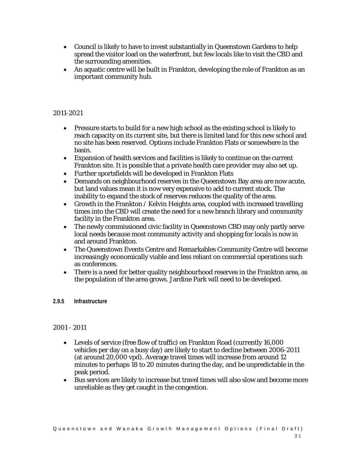- Council is likely to have to invest substantially in Queenstown Gardens to help spread the visitor load on the waterfront, but few locals like to visit the CBD and the surrounding amenities.
- An aquatic centre will be built in Frankton, developing the role of Frankton as an important community hub.

## 2011-2021

- Pressure starts to build for a new high school as the existing school is likely to reach capacity on its current site, but there is limited land for this new school and no site has been reserved. Options include Frankton Flats or somewhere in the basin.
- Expansion of health services and facilities is likely to continue on the current Frankton site. It is possible that a private health care provider may also set up.
- Further sportsfields will be developed in Frankton Flats
- Demands on neighbourhood reserves in the Queenstown Bay area are now acute, but land values mean it is now very expensive to add to current stock. The inability to expand the stock of reserves reduces the quality of the area.
- Growth in the Frankton / Kelvin Heights area, coupled with increased travelling times into the CBD will create the need for a new branch library and community facility in the Frankton area.
- The newly commissioned civic facility in Queenstown CBD may only partly serve local needs because most community activity and shopping for locals is now in and around Frankton.
- The Queenstown Events Centre and Remarkables Community Centre will become increasingly economically viable and less reliant on commercial operations such as conferences.
- There is a need for better quality neighbourhood reserves in the Frankton area, as the population of the area grows. Jardine Park will need to be developed.
- **2.9.5 Infrastructure**

- Levels of service (free flow of traffic) on Frankton Road (currently 16,000 vehicles per day on a busy day) are likely to start to decline between 2006-2011 (at around 20,000 vpd). Average travel times will increase from around 12 minutes to perhaps 18 to 20 minutes during the day, and be unpredictable in the peak period.
- Bus services are likely to increase but travel times will also slow and become more unreliable as they get caught in the congestion.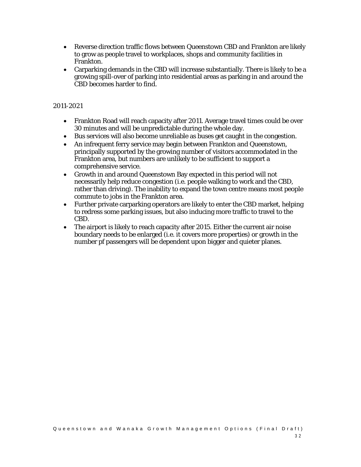- Reverse direction traffic flows between Queenstown CBD and Frankton are likely to grow as people travel to workplaces, shops and community facilities in Frankton.
- Carparking demands in the CBD will increase substantially. There is likely to be a growing spill-over of parking into residential areas as parking in and around the CBD becomes harder to find.

- Frankton Road will reach capacity after 2011. Average travel times could be over 30 minutes and will be unpredictable during the whole day.
- Bus services will also become unreliable as buses get caught in the congestion.
- An infrequent ferry service may begin between Frankton and Queenstown, principally supported by the growing number of visitors accommodated in the Frankton area, but numbers are unlikely to be sufficient to support a comprehensive service.
- Growth in and around Queenstown Bay expected in this period will not necessarily help reduce congestion (i.e. people walking to work and the CBD, rather than driving). The inability to expand the town centre means most people commute to jobs in the Frankton area.
- Further private carparking operators are likely to enter the CBD market, helping to redress some parking issues, but also inducing more traffic to travel to the CBD.
- The airport is likely to reach capacity after 2015. Either the current air noise boundary needs to be enlarged (i.e. it covers more properties) or growth in the number pf passengers will be dependent upon bigger and quieter planes.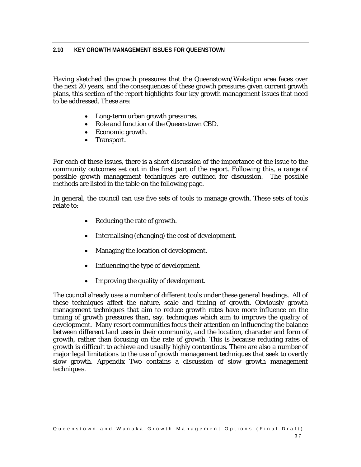Having sketched the growth pressures that the Queenstown/Wakatipu area faces over the next 20 years, and the consequences of these growth pressures given current growth plans, this section of the report highlights four key growth management issues that need to be addressed. These are:

- Long-term urban growth pressures.
- Role and function of the Queenstown CBD.
- Economic growth.
- Transport.

For each of these issues, there is a short discussion of the importance of the issue to the community outcomes set out in the first part of the report. Following this, a range of possible growth management techniques are outlined for discussion. The possible methods are listed in the table on the following page.

In general, the council can use five sets of tools to manage growth. These sets of tools relate to:

- Reducing the rate of growth.
- Internalising (changing) the cost of development.
- Managing the location of development.
- Influencing the type of development.
- Improving the quality of development.

The council already uses a number of different tools under these general headings. All of these techniques affect the nature, scale and timing of growth. Obviously growth management techniques that aim to reduce growth rates have more influence on the timing of growth pressures than, say, techniques which aim to improve the quality of development. Many resort communities focus their attention on influencing the balance between different land uses in their community, and the location, character and form of growth, rather than focusing on the rate of growth. This is because reducing rates of growth is difficult to achieve and usually highly contentious. There are also a number of major legal limitations to the use of growth management techniques that seek to overtly slow growth. Appendix Two contains a discussion of slow growth management techniques.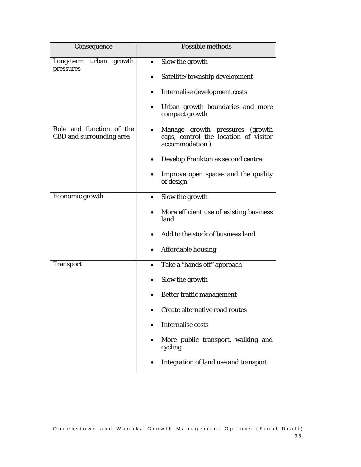| Consequence                                                 | Possible methods                                                                           |
|-------------------------------------------------------------|--------------------------------------------------------------------------------------------|
| urban growth<br>Long-term<br>pressures                      | Slow the growth                                                                            |
|                                                             | Satellite/township development                                                             |
|                                                             | Internalise development costs                                                              |
|                                                             | Urban growth boundaries and more<br>compact growth                                         |
| Role and function of the<br><b>CBD</b> and surrounding area | Manage growth pressures (growth<br>caps, control the location of visitor<br>accommodation) |
|                                                             | Develop Frankton as second centre                                                          |
|                                                             | Improve open spaces and the quality<br>of design                                           |
| Economic growth                                             | Slow the growth                                                                            |
|                                                             | More efficient use of existing business<br>land                                            |
|                                                             | Add to the stock of business land                                                          |
|                                                             | <b>Affordable housing</b>                                                                  |
| <b>Transport</b>                                            | Take a "hands off" approach<br>٠                                                           |
|                                                             | Slow the growth                                                                            |
|                                                             | Better traffic management                                                                  |
|                                                             | Create alternative road routes                                                             |
|                                                             | <b>Internalise costs</b>                                                                   |
|                                                             | More public transport, walking and<br>cycling                                              |
|                                                             | Integration of land use and transport                                                      |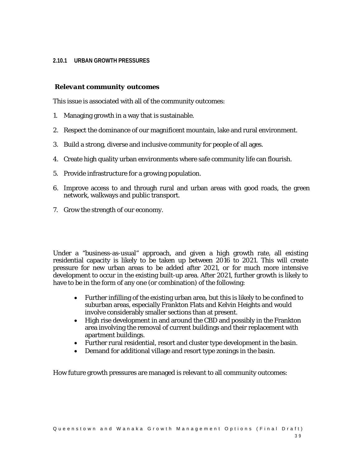#### **2.10.1 URBAN GROWTH PRESSURES**

## *Relevant community outcomes*

This issue is associated with all of the community outcomes:

- 1. Managing growth in a way that is sustainable.
- 2. Respect the dominance of our magnificent mountain, lake and rural environment.
- 3. Build a strong, diverse and inclusive community for people of all ages.
- 4. Create high quality urban environments where safe community life can flourish.
- 5. Provide infrastructure for a growing population.
- 6. Improve access to and through rural and urban areas with good roads, the green network, walkways and public transport.
- 7. Grow the strength of our economy.

Under a "business-as-usual" approach, and given a high growth rate, all existing residential capacity is likely to be taken up between 2016 to 2021. This will create pressure for new urban areas to be added after 2021, or for much more intensive development to occur in the existing built-up area. After 2021, further growth is likely to have to be in the form of any one (or combination) of the following:

- Further infilling of the existing urban area, but this is likely to be confined to suburban areas, especially Frankton Flats and Kelvin Heights and would involve considerably smaller sections than at present.
- High rise development in and around the CBD and possibly in the Frankton area involving the removal of current buildings and their replacement with apartment buildings.
- Further rural residential, resort and cluster type development in the basin.
- Demand for additional village and resort type zonings in the basin.

How future growth pressures are managed is relevant to all community outcomes: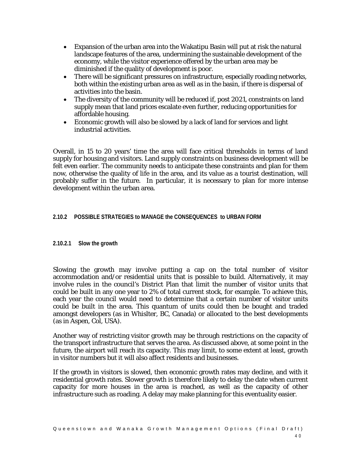- Expansion of the urban area into the Wakatipu Basin will put at risk the natural landscape features of the area, undermining the sustainable development of the economy, while the visitor experience offered by the urban area may be diminished if the quality of development is poor.
- There will be significant pressures on infrastructure, especially roading networks, both within the existing urban area as well as in the basin, if there is dispersal of activities into the basin.
- The diversity of the community will be reduced if, post 2021, constraints on land supply mean that land prices escalate even further, reducing opportunities for affordable housing.
- Economic growth will also be slowed by a lack of land for services and light industrial activities.

Overall, in 15 to 20 years' time the area will face critical thresholds in terms of land supply for housing and visitors. Land supply constraints on business development will be felt even earlier. The community needs to anticipate these constraints and plan for them now, otherwise the quality of life in the area, and its value as a tourist destination, will probably suffer in the future. In particular, it is necessary to plan for more intense development within the urban area.

## **2.10.2 POSSIBLE STRATEGIES to MANAGE the CONSEQUENCES to URBAN FORM**

## **2.10.2.1 Slow the growth**

Slowing the growth may involve putting a cap on the total number of visitor accommodation and/or residential units that is possible to build. Alternatively, it may involve rules in the council's District Plan that limit the number of visitor units that could be built in any one year to 2% of total current stock, for example. To achieve this, each year the council would need to determine that a certain number of visitor units could be built in the area. This quantum of units could then be bought and traded amongst developers (as in Whislter, BC, Canada) or allocated to the best developments (as in Aspen, Col, USA).

Another way of restricting visitor growth may be through restrictions on the capacity of the transport infrastructure that serves the area. As discussed above, at some point in the future, the airport will reach its capacity. This may limit, to some extent at least, growth in visitor numbers but it will also affect residents and businesses.

If the growth in visitors is slowed, then economic growth rates may decline, and with it residential growth rates. Slower growth is therefore likely to delay the date when current capacity for more houses in the area is reached, as well as the capacity of other infrastructure such as roading. A delay may make planning for this eventuality easier.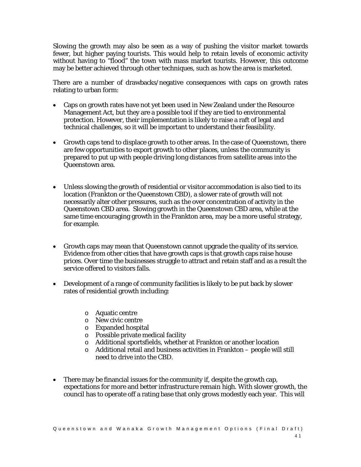Slowing the growth may also be seen as a way of pushing the visitor market towards fewer, but higher paying tourists. This would help to retain levels of economic activity without having to "flood" the town with mass market tourists. However, this outcome may be better achieved through other techniques, such as how the area is marketed.

There are a number of drawbacks/negative consequences with caps on growth rates relating to urban form:

- Caps on growth rates have not yet been used in New Zealand under the Resource Management Act, but they are a possible tool if they are tied to environmental protection. However, their implementation is likely to raise a raft of legal and technical challenges, so it will be important to understand their feasibility.
- Growth caps tend to displace growth to other areas. In the case of Queenstown, there are few opportunities to export growth to other places, unless the community is prepared to put up with people driving long distances from satellite areas into the Queenstown area.
- Unless slowing the growth of residential or visitor accommodation is also tied to its location (Frankton or the Queenstown CBD), a slower rate of growth will not necessarily alter other pressures, such as the over concentration of activity in the Queenstown CBD area. Slowing growth in the Queenstown CBD area, while at the same time encouraging growth in the Frankton area, may be a more useful strategy, for example.
- Growth caps may mean that Queenstown cannot upgrade the quality of its service. Evidence from other cities that have growth caps is that growth caps raise house prices. Over time the businesses struggle to attract and retain staff and as a result the service offered to visitors falls.
- Development of a range of community facilities is likely to be put back by slower rates of residential growth including:
	- o Aquatic centre
	- o New civic centre
	- o Expanded hospital
	- o Possible private medical facility
	- o Additional sportsfields, whether at Frankton or another location
	- o Additional retail and business activities in Frankton people will still need to drive into the CBD.
- There may be financial issues for the community if, despite the growth cap, expectations for more and better infrastructure remain high. With slower growth, the council has to operate off a rating base that only grows modestly each year. This will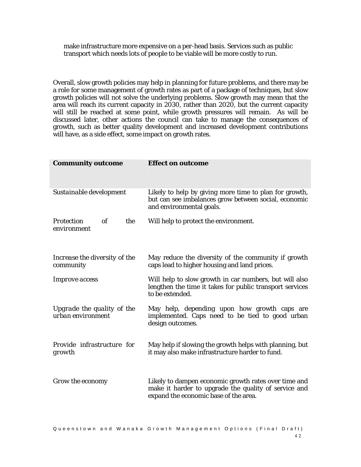make infrastructure more expensive on a per-head basis. Services such as public transport which needs lots of people to be viable will be more costly to run.

Overall, slow growth policies may help in planning for future problems, and there may be a role for some management of growth rates as part of a package of techniques, but slow growth policies will not solve the underlying problems. Slow growth may mean that the area will reach its current capacity in 2030, rather than 2020, but the current capacity will still be reached at some point, while growth pressures will remain. As will be discussed later, other actions the council can take to manage the consequences of growth, such as better quality development and increased development contributions will have, as a side effect, some impact on growth rates.

| <b>Community outcome</b>                                    | <b>Effect on outcome</b>                                                                                                                              |
|-------------------------------------------------------------|-------------------------------------------------------------------------------------------------------------------------------------------------------|
| Sustainable development                                     | Likely to help by giving more time to plan for growth,<br>but can see imbalances grow between social, economic<br>and environmental goals.            |
| $\mathfrak{o} f$<br><b>Protection</b><br>the<br>environment | Will help to protect the environment.                                                                                                                 |
| Increase the diversity of the<br>community                  | May reduce the diversity of the community if growth<br>caps lead to higher housing and land prices.                                                   |
| <b>Improve</b> access                                       | Will help to slow growth in car numbers, but will also<br>lengthen the time it takes for public transport services<br>to be extended.                 |
| Upgrade the quality of the<br>urban environment             | May help, depending upon how growth caps are<br>implemented. Caps need to be tied to good urban<br>design outcomes.                                   |
| Provide infrastructure for<br>growth                        | May help if slowing the growth helps with planning, but<br>it may also make infrastructure harder to fund.                                            |
| Grow the economy                                            | Likely to dampen economic growth rates over time and<br>make it harder to upgrade the quality of service and<br>expand the economic base of the area. |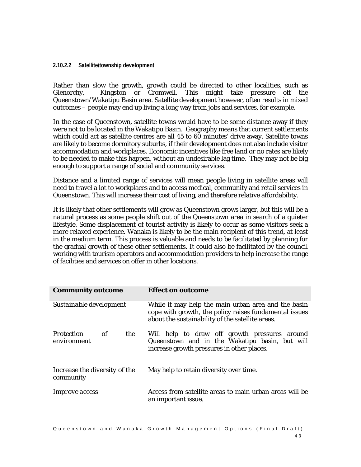#### **2.10.2.2 Satellite/township development**

Rather than slow the growth, growth could be directed to other localities, such as Glenorchy, Kingston or Cromwell. This might take pressure off the Queenstown/Wakatipu Basin area. Satellite development however, often results in mixed outcomes – people may end up living a long way from jobs and services, for example.

In the case of Queenstown, satellite towns would have to be some distance away if they were not to be located in the Wakatipu Basin. Geography means that current settlements which could act as satellite centres are all 45 to 60 minutes' drive away. Satellite towns are likely to become dormitory suburbs, if their development does not also include visitor accommodation and workplaces. Economic incentives like free land or no rates are likely to be needed to make this happen, without an undesirable lag time. They may not be big enough to support a range of social and community services.

Distance and a limited range of services will mean people living in satellite areas will need to travel a lot to workplaces and to access medical, community and retail services in Queenstown. This will increase their cost of living, and therefore relative affordability.

It is likely that other settlements will grow as Queenstown grows larger, but this will be a natural process as some people shift out of the Queenstown area in search of a quieter lifestyle. Some displacement of tourist activity is likely to occur as some visitors seek a more relaxed experience. Wanaka is likely to be the main recipient of this trend, at least in the medium term. This process is valuable and needs to be facilitated by planning for the gradual growth of these other settlements. It could also be facilitated by the council working with tourism operators and accommodation providers to help increase the range of facilities and services on offer in other locations.

| <b>Community outcome</b>                      | <b>Effect on outcome</b>                                                                                                                                          |
|-----------------------------------------------|-------------------------------------------------------------------------------------------------------------------------------------------------------------------|
| Sustainable development                       | While it may help the main urban area and the basin<br>cope with growth, the policy raises fundamental issues<br>about the sustainability of the satellite areas. |
| of<br>the<br><i>Protection</i><br>environment | Will help to draw off growth pressures around<br>Queenstown and in the Wakatipu basin, but will<br>increase growth pressures in other places.                     |
| Increase the diversity of the<br>community    | May help to retain diversity over time.                                                                                                                           |
| <i>Improve access</i>                         | Access from satellite areas to main urban areas will be<br>an important issue.                                                                                    |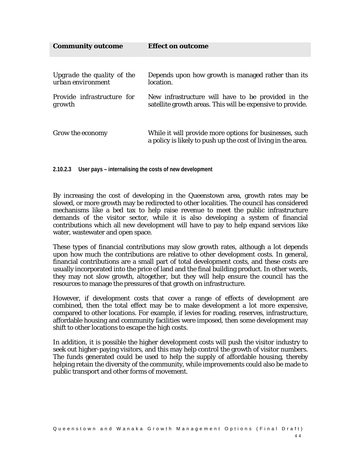| <b>Community outcome</b>                        | <b>Effect on outcome</b>                                                                                                 |
|-------------------------------------------------|--------------------------------------------------------------------------------------------------------------------------|
|                                                 |                                                                                                                          |
| Upgrade the quality of the<br>urban environment | Depends upon how growth is managed rather than its<br>location.                                                          |
| <i>Provide infrastructure for</i><br>growth     | New infrastructure will have to be provided in the<br>satellite growth areas. This will be expensive to provide.         |
| Grow the economy                                | While it will provide more options for businesses, such<br>a policy is likely to push up the cost of living in the area. |

**2.10.2.3 User pays – internalising the costs of new development** 

By increasing the cost of developing in the Queenstown area, growth rates may be slowed, or more growth may be redirected to other localities. The council has considered mechanisms like a bed tax to help raise revenue to meet the public infrastructure demands of the visitor sector, while it is also developing a system of financial contributions which all new development will have to pay to help expand services like water, wastewater and open space.

These types of financial contributions may slow growth rates, although a lot depends upon how much the contributions are relative to other development costs. In general, financial contributions are a small part of total development costs, and these costs are usually incorporated into the price of land and the final building product. In other words, they may not slow growth, altogether, but they will help ensure the council has the resources to manage the pressures of that growth on infrastructure.

However, if development costs that cover a range of effects of development are combined, then the total effect may be to make development a lot more expensive, compared to other locations. For example, if levies for roading, reserves, infrastructure, affordable housing and community facilities were imposed, then some development may shift to other locations to escape the high costs.

In addition, it is possible the higher development costs will push the visitor industry to seek out higher-paying visitors, and this may help control the growth of visitor numbers. The funds generated could be used to help the supply of affordable housing, thereby helping retain the diversity of the community, while improvements could also be made to public transport and other forms of movement.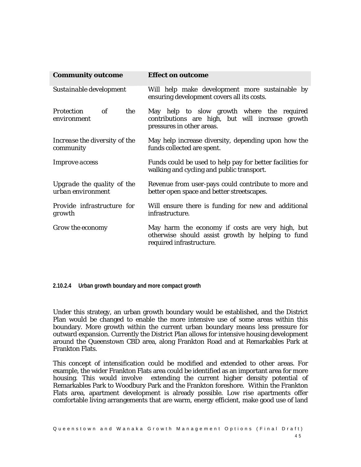| <b>Community outcome</b>                        | <b>Effect on outcome</b>                                                                                                          |
|-------------------------------------------------|-----------------------------------------------------------------------------------------------------------------------------------|
| Sustainable development                         | Will help make development more sustainable by<br>ensuring development covers all its costs.                                      |
| of<br><b>Protection</b><br>the<br>environment   | May help to slow growth where the required<br>contributions are high, but will increase growth<br>pressures in other areas.       |
| Increase the diversity of the<br>community      | May help increase diversity, depending upon how the<br>funds collected are spent.                                                 |
| <i>Improve access</i>                           | Funds could be used to help pay for better facilities for<br>walking and cycling and public transport.                            |
| Upgrade the quality of the<br>urban environment | Revenue from user-pays could contribute to more and<br>better open space and better streetscapes.                                 |
| Provide infrastructure for<br>growth            | Will ensure there is funding for new and additional<br>infrastructure.                                                            |
| Grow the economy                                | May harm the economy if costs are very high, but<br>otherwise should assist growth by helping to fund<br>required infrastructure. |

**2.10.2.4 Urban growth boundary and more compact growth** 

Under this strategy, an urban growth boundary would be established, and the District Plan would be changed to enable the more intensive use of some areas within this boundary. More growth within the current urban boundary means less pressure for outward expansion. Currently the District Plan allows for intensive housing development around the Queenstown CBD area, along Frankton Road and at Remarkables Park at Frankton Flats.

This concept of intensification could be modified and extended to other areas. For example, the wider Frankton Flats area could be identified as an important area for more housing. This would involve extending the current higher density potential of Remarkables Park to Woodbury Park and the Frankton foreshore. Within the Frankton Flats area, apartment development is already possible. Low rise apartments offer comfortable living arrangements that are warm, energy efficient, make good use of land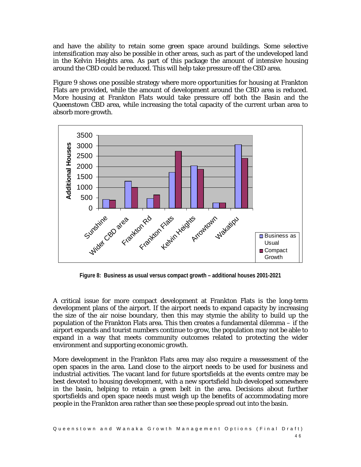and have the ability to retain some green space around buildings. Some selective intensification may also be possible in other areas, such as part of the undeveloped land in the Kelvin Heights area. As part of this package the amount of intensive housing around the CBD could be reduced. This will help take pressure off the CBD area.

Figure 9 shows one possible strategy where more opportunities for housing at Frankton Flats are provided, while the amount of development around the CBD area is reduced. More housing at Frankton Flats would take pressure off both the Basin and the Queenstown CBD area, while increasing the total capacity of the current urban area to absorb more growth.



**Figure 8: Business as usual versus compact growth – additional houses 2001-2021** 

A critical issue for more compact development at Frankton Flats is the long-term development plans of the airport. If the airport needs to expand capacity by increasing the size of the air noise boundary, then this may stymie the ability to build up the population of the Frankton Flats area. This then creates a fundamental dilemma – if the airport expands and tourist numbers continue to grow, the population may not be able to expand in a way that meets community outcomes related to protecting the wider environment and supporting economic growth.

More development in the Frankton Flats area may also require a reassessment of the open spaces in the area. Land close to the airport needs to be used for business and industrial activities. The vacant land for future sportsfields at the events centre may be best devoted to housing development, with a new sportsfield hub developed somewhere in the basin, helping to retain a green belt in the area. Decisions about further sportsfields and open space needs must weigh up the benefits of accommodating more people in the Frankton area rather than see these people spread out into the basin.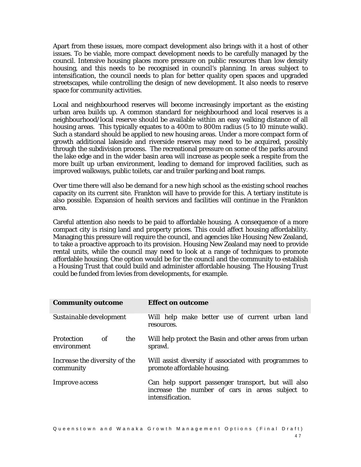Apart from these issues, more compact development also brings with it a host of other issues. To be viable, more compact development needs to be carefully managed by the council. Intensive housing places more pressure on public resources than low density housing, and this needs to be recognised in council's planning. In areas subject to intensification, the council needs to plan for better quality open spaces and upgraded streetscapes, while controlling the design of new development. It also needs to reserve space for community activities.

Local and neighbourhood reserves will become increasingly important as the existing urban area builds up. A common standard for neighbourhood and local reserves is a neighbourhood/local reserve should be available within an easy walking distance of all housing areas. This typically equates to a 400m to 800m radius (5 to 10 minute walk). Such a standard should be applied to new housing areas. Under a more compact form of growth additional lakeside and riverside reserves may need to be acquired, possibly through the subdivision process. The recreational pressure on some of the parks around the lake edge and in the wider basin area will increase as people seek a respite from the more built up urban environment, leading to demand for improved facilities, such as improved walkways, public toilets, car and trailer parking and boat ramps.

Over time there will also be demand for a new high school as the existing school reaches capacity on its current site. Frankton will have to provide for this. A tertiary institute is also possible. Expansion of health services and facilities will continue in the Frankton area.

Careful attention also needs to be paid to affordable housing. A consequence of a more compact city is rising land and property prices. This could affect housing affordability. Managing this pressure will require the council, and agencies like Housing New Zealand, to take a proactive approach to its provision. Housing New Zealand may need to provide rental units, while the council may need to look at a range of techniques to promote affordable housing. One option would be for the council and the community to establish a Housing Trust that could build and administer affordable housing. The Housing Trust could be funded from levies from developments, for example.

| <b>Community outcome</b>                      | <b>Effect on outcome</b>                                                                                                   |
|-----------------------------------------------|----------------------------------------------------------------------------------------------------------------------------|
| Sustainable development                       | Will help make better use of current urban land<br>resources.                                                              |
| of<br><i>Protection</i><br>the<br>environment | Will help protect the Basin and other areas from urban<br>sprawl.                                                          |
| Increase the diversity of the<br>community    | Will assist diversity if associated with programmes to<br>promote affordable housing.                                      |
| <i>Improve access</i>                         | Can help support passenger transport, but will also<br>increase the number of cars in areas subject to<br>intensification. |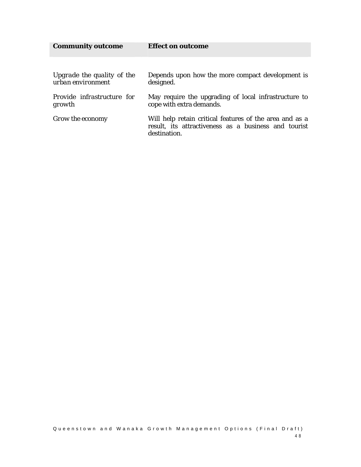| <b>Community outcome</b>                        | <b>Effect on outcome</b>                                                                                                        |
|-------------------------------------------------|---------------------------------------------------------------------------------------------------------------------------------|
|                                                 |                                                                                                                                 |
| Upgrade the quality of the<br>urban environment | Depends upon how the more compact development is<br>designed.                                                                   |
| Provide infrastructure for<br>growth            | May require the upgrading of local infrastructure to<br>cope with extra demands.                                                |
| Grow the economy                                | Will help retain critical features of the area and as a<br>result, its attractiveness as a business and tourist<br>destination. |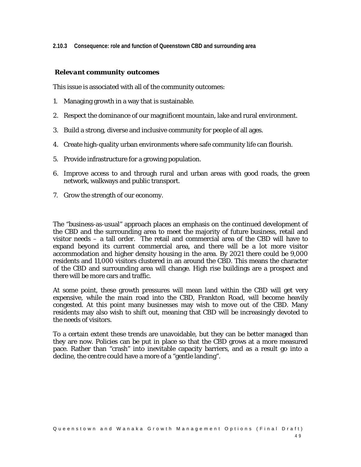**2.10.3 Consequence: role and function of Queenstown CBD and surrounding area** 

### *Relevant community outcomes*

This issue is associated with all of the community outcomes:

- 1. Managing growth in a way that is sustainable.
- 2. Respect the dominance of our magnificent mountain, lake and rural environment.
- 3. Build a strong, diverse and inclusive community for people of all ages.
- 4. Create high-quality urban environments where safe community life can flourish.
- 5. Provide infrastructure for a growing population.
- 6. Improve access to and through rural and urban areas with good roads, the green network, walkways and public transport.
- 7. Grow the strength of our economy.

The "business-as-usual" approach places an emphasis on the continued development of the CBD and the surrounding area to meet the majority of future business, retail and visitor needs – a tall order. The retail and commercial area of the CBD will have to expand beyond its current commercial area, and there will be a lot more visitor accommodation and higher density housing in the area. By 2021 there could be 9,000 residents and 11,000 visitors clustered in an around the CBD. This means the character of the CBD and surrounding area will change. High rise buildings are a prospect and there will be more cars and traffic.

At some point, these growth pressures will mean land within the CBD will get very expensive, while the main road into the CBD, Frankton Road, will become heavily congested. At this point many businesses may wish to move out of the CBD. Many residents may also wish to shift out, meaning that CBD will be increasingly devoted to the needs of visitors.

To a certain extent these trends are unavoidable, but they can be better managed than they are now. Policies can be put in place so that the CBD grows at a more measured pace. Rather than "crash" into inevitable capacity barriers, and as a result go into a decline, the centre could have a more of a "gentle landing".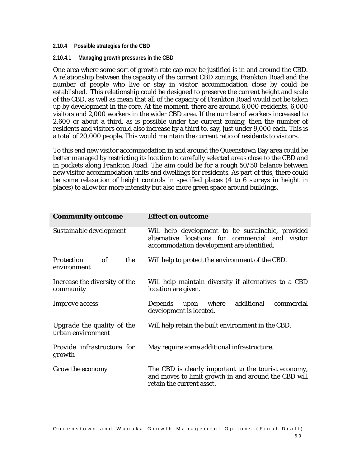#### **2.10.4 Possible strategies for the CBD**

#### **2.10.4.1 Managing growth pressures in the CBD**

One area where some sort of growth rate cap may be justified is in and around the CBD. A relationship between the capacity of the current CBD zonings, Frankton Road and the number of people who live or stay in visitor accommodation close by could be established. This relationship could be designed to preserve the current height and scale of the CBD, as well as mean that all of the capacity of Frankton Road would not be taken up by development in the core. At the moment, there are around 6,000 residents, 6,000 visitors and 2,000 workers in the wider CBD area. If the number of workers increased to 2,600 or about a third, as is possible under the current zoning, then the number of residents and visitors could also increase by a third to, say, just under 9,000 each. This is a total of 20,000 people. This would maintain the current ratio of residents to visitors.

To this end new visitor accommodation in and around the Queenstown Bay area could be better managed by restricting its location to carefully selected areas close to the CBD and in pockets along Frankton Road. The aim could be for a rough 50/50 balance between new visitor accommodation units and dwellings for residents. As part of this, there could be some relaxation of height controls in specified places (4 to 6 storeys in height in places) to allow for more intensity but also more green space around buildings.

| <b>Community outcome</b>                             | <b>Effect on outcome</b>                                                                                                                           |
|------------------------------------------------------|----------------------------------------------------------------------------------------------------------------------------------------------------|
| Sustainable development                              | Will help development to be sustainable, provided<br>alternative locations for commercial and visitor<br>accommodation development are identified. |
| $\it{of}$<br>the<br><b>Protection</b><br>environment | Will help to protect the environment of the CBD.                                                                                                   |
| Increase the diversity of the<br>community           | Will help maintain diversity if alternatives to a CBD<br>location are given.                                                                       |
| <i>Improve access</i>                                | where<br>additional<br>Depends<br>upon<br>commercial<br>development is located.                                                                    |
| Upgrade the quality of the<br>urban environment      | Will help retain the built environment in the CBD.                                                                                                 |
| Provide infrastructure for<br>growth                 | May require some additional infrastructure.                                                                                                        |
| Grow the economy                                     | The CBD is clearly important to the tourist economy,<br>and moves to limit growth in and around the CBD will<br>retain the current asset.          |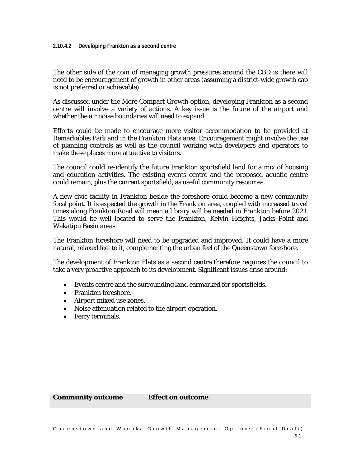The other side of the coin of managing growth pressures around the CBD is there will need to be encouragement of growth in other areas (assuming a district-wide growth cap is not preferred or achievable).

As discussed under the More Compact Growth option, developing Frankton as a second centre will involve a variety of actions. A key issue is the future of the airport and whether the air noise boundaries will need to expand.

Efforts could be made to encourage more visitor accommodation to be provided at Remarkables Park and in the Frankton Flats area. Encouragement might involve the use of planning controls as well as the council working with developers and operators to make these places more attractive to visitors.

The council could re-identify the future Frankton sportsfield land for a mix of housing and education activities. The existing events centre and the proposed aquatic centre could remain, plus the current sportsfield, as useful community resources.

A new civic facility in Frankton beside the foreshore could become a new community focal point. It is expected the growth in the Frankton area, coupled with increased travel times along Frankton Road will mean a library will be needed in Frankton before 2021. This would be well located to serve the Frankton, Kelvin Heights, Jacks Point and Wakatipu Basin areas.

The Frankton foreshore will need to be upgraded and improved. It could have a more natural, relaxed feel to it, complementing the urban feel of the Queenstown foreshore.

The development of Frankton Flats as a second centre therefore requires the council to take a very proactive approach to its development. Significant issues arise around:

- Events centre and the surrounding land earmarked for sportsfields.
- Frankton foreshore.
- Airport mixed use zones.
- Noise attenuation related to the airport operation.
- Ferry terminals.

**Community outcome Effect on outcome**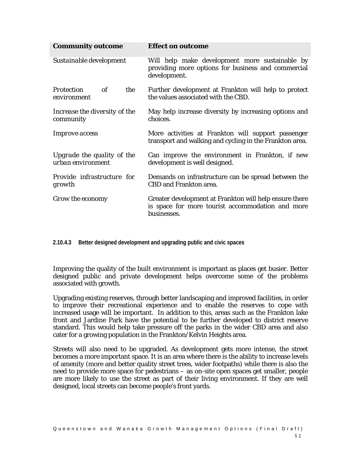| <b>Community outcome</b>                        | <b>Effect on outcome</b>                                                                                                  |
|-------------------------------------------------|---------------------------------------------------------------------------------------------------------------------------|
| Sustainable development                         | Will help make development more sustainable by<br>providing more options for business and commercial<br>development.      |
| <i>Protection</i><br>of<br>the<br>environment   | Further development at Frankton will help to protect<br>the values associated with the CBD.                               |
| Increase the diversity of the<br>community      | May help increase diversity by increasing options and<br>choices.                                                         |
| <i>Improve access</i>                           | More activities at Frankton will support passenger<br>transport and walking and cycling in the Frankton area.             |
| Upgrade the quality of the<br>urban environment | Can improve the environment in Frankton, if new<br>development is well designed.                                          |
| Provide infrastructure for<br>growth            | Demands on infrastructure can be spread between the<br><b>CBD</b> and Frankton area.                                      |
| Grow the economy                                | Greater development at Frankton will help ensure there<br>is space for more tourist accommodation and more<br>businesses. |

**2.10.4.3 Better designed development and upgrading public and civic spaces** 

Improving the quality of the built environment is important as places get busier. Better designed public and private development helps overcome some of the problems associated with growth.

Upgrading existing reserves, through better landscaping and improved facilities, in order to improve their recreational experience and to enable the reserves to cope with increased usage will be important. In addition to this, areas such as the Frankton lake front and Jardine Park have the potential to be further developed to district reserve standard. This would help take pressure off the parks in the wider CBD area and also cater for a growing population in the Frankton/Kelvin Heights area.

Streets will also need to be upgraded. As development gets more intense, the street becomes a more important space. It is an area where there is the ability to increase levels of amenity (more and better quality street trees, wider footpaths) while there is also the need to provide more space for pedestrians – as on-site open spaces get smaller, people are more likely to use the street as part of their living environment. If they are well designed, local streets can become people's front yards.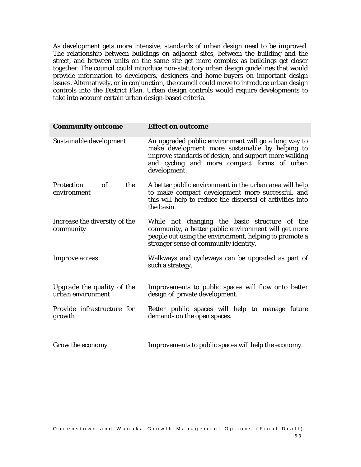As development gets more intensive, standards of urban design need to be improved. The relationship between buildings on adjacent sites, between the building and the street, and between units on the same site get more complex as buildings get closer together. The council could introduce non-statutory urban design guidelines that would provide information to developers, designers and home-buyers on important design issues. Alternatively, or in conjunction, the council could move to introduce urban design controls into the District Plan. Urban design controls would require developments to take into account certain urban design-based criteria.

| <b>Community outcome</b>                             | <b>Effect on outcome</b>                                                                                                                                                                                                        |
|------------------------------------------------------|---------------------------------------------------------------------------------------------------------------------------------------------------------------------------------------------------------------------------------|
| Sustainable development                              | An upgraded public environment will go a long way to<br>make development more sustainable by helping to<br>improve standards of design, and support more walking<br>and cycling and more compact forms of urban<br>development. |
| the<br><b>Protection</b><br>$\it{of}$<br>environment | A better public environment in the urban area will help<br>to make compact development more successful, and<br>this will help to reduce the dispersal of activities into<br>the basin.                                          |
| Increase the diversity of the<br>community           | While not changing the basic structure of the<br>community, a better public environment will get more<br>people out using the environment, helping to promote a<br>stronger sense of community identity.                        |
| <i>Improve access</i>                                | Walkways and cycleways can be upgraded as part of<br>such a strategy.                                                                                                                                                           |
| Upgrade the quality of the<br>urban environment      | Improvements to public spaces will flow onto better<br>design of private development.                                                                                                                                           |
| Provide infrastructure for<br>growth                 | Better public spaces will help to manage future<br>demands on the open spaces.                                                                                                                                                  |
| Grow the economy                                     | Improvements to public spaces will help the economy.                                                                                                                                                                            |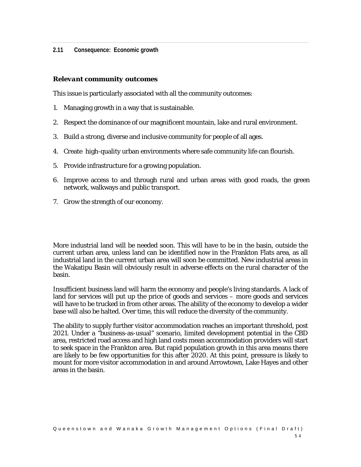**2.11 Consequence: Economic growth** 

## *Relevant community outcomes*

This issue is particularly associated with all the community outcomes:

- 1. Managing growth in a way that is sustainable.
- 2. Respect the dominance of our magnificent mountain, lake and rural environment.
- 3. Build a strong, diverse and inclusive community for people of all ages.
- 4. Create high-quality urban environments where safe community life can flourish.
- 5. Provide infrastructure for a growing population.
- 6. Improve access to and through rural and urban areas with good roads, the green network, walkways and public transport.
- 7. Grow the strength of our economy.

More industrial land will be needed soon. This will have to be in the basin, outside the current urban area, unless land can be identified now in the Frankton Flats area, as all industrial land in the current urban area will soon be committed. New industrial areas in the Wakatipu Basin will obviously result in adverse effects on the rural character of the basin.

Insufficient business land will harm the economy and people's living standards. A lack of land for services will put up the price of goods and services – more goods and services will have to be trucked in from other areas. The ability of the economy to develop a wider base will also be halted. Over time, this will reduce the diversity of the community.

The ability to supply further visitor accommodation reaches an important threshold, post 2021. Under a "business-as-usual" scenario, limited development potential in the CBD area, restricted road access and high land costs mean accommodation providers will start to seek space in the Frankton area. But rapid population growth in this area means there are likely to be few opportunities for this after 2020. At this point, pressure is likely to mount for more visitor accommodation in and around Arrowtown, Lake Hayes and other areas in the basin.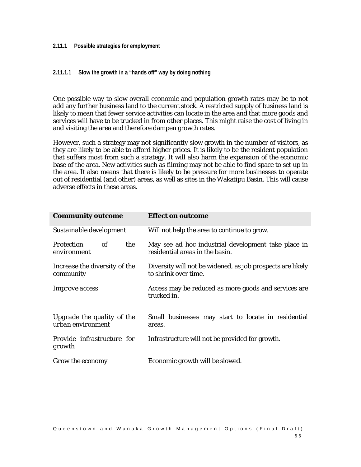#### **2.11.1 Possible strategies for employment**

## **2.11.1.1 Slow the growth in a "hands off" way by doing nothing**

One possible way to slow overall economic and population growth rates may be to not add any further business land to the current stock. A restricted supply of business land is likely to mean that fewer service activities can locate in the area and that more goods and services will have to be trucked in from other places. This might raise the cost of living in and visiting the area and therefore dampen growth rates.

However, such a strategy may not significantly slow growth in the number of visitors, as they are likely to be able to afford higher prices. It is likely to be the resident population that suffers most from such a strategy. It will also harm the expansion of the economic base of the area. New activities such as filming may not be able to find space to set up in the area. It also means that there is likely to be pressure for more businesses to operate out of residential (and other) areas, as well as sites in the Wakatipu Basin. This will cause adverse effects in these areas.

| <b>Community outcome</b>                        | <b>Effect on outcome</b>                                                               |
|-------------------------------------------------|----------------------------------------------------------------------------------------|
| Sustainable development                         | Will not help the area to continue to grow.                                            |
| the<br><b>Protection</b><br>of<br>environment   | May see ad hoc industrial development take place in<br>residential areas in the basin. |
| Increase the diversity of the<br>community      | Diversity will not be widened, as job prospects are likely<br>to shrink over time.     |
| Improve access                                  | Access may be reduced as more goods and services are<br>trucked in.                    |
| Upgrade the quality of the<br>urban environment | Small businesses may start to locate in residential<br>areas.                          |
| Provide infrastructure for<br>growth            | Infrastructure will not be provided for growth.                                        |
| Grow the economy                                | Economic growth will be slowed.                                                        |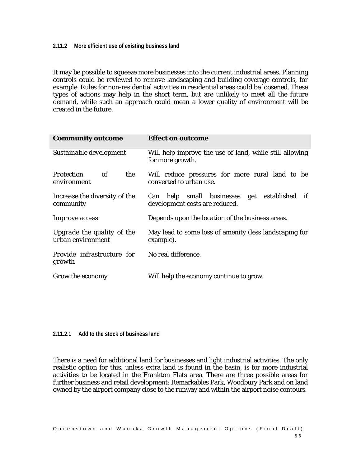#### **2.11.2 More efficient use of existing business land**

It may be possible to squeeze more businesses into the current industrial areas. Planning controls could be reviewed to remove landscaping and building coverage controls, for example. Rules for non-residential activities in residential areas could be loosened. These types of actions may help in the short term, but are unlikely to meet all the future demand, while such an approach could mean a lower quality of environment will be created in the future.

| <b>Community outcome</b>                        | <b>Effect on outcome</b>                                                       |
|-------------------------------------------------|--------------------------------------------------------------------------------|
| Sustainable development                         | Will help improve the use of land, while still allowing<br>for more growth.    |
| the<br>of<br><i>Protection</i><br>environment   | Will reduce pressures for more rural land to be<br>converted to urban use.     |
| Increase the diversity of the<br>community      | Can help small businesses get established if<br>development costs are reduced. |
| <i>Improve access</i>                           | Depends upon the location of the business areas.                               |
| Upgrade the quality of the<br>urban environment | May lead to some loss of amenity (less landscaping for<br>example).            |
| <i>Provide infrastructure for</i><br>growth     | No real difference.                                                            |
| Grow the economy                                | Will help the economy continue to grow.                                        |

**2.11.2.1 Add to the stock of business land** 

There is a need for additional land for businesses and light industrial activities. The only realistic option for this, unless extra land is found in the basin, is for more industrial activities to be located in the Frankton Flats area. There are three possible areas for further business and retail development: Remarkables Park, Woodbury Park and on land owned by the airport company close to the runway and within the airport noise contours.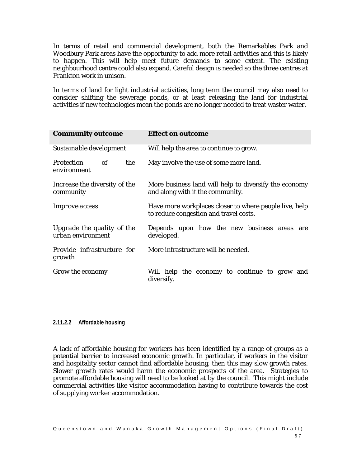In terms of retail and commercial development, both the Remarkables Park and Woodbury Park areas have the opportunity to add more retail activities and this is likely to happen. This will help meet future demands to some extent. The existing neighbourhood centre could also expand. Careful design is needed so the three centres at Frankton work in unison.

In terms of land for light industrial activities, long term the council may also need to consider shifting the sewerage ponds, or at least releasing the land for industrial activities if new technologies mean the ponds are no longer needed to treat waster water.

| <b>Community outcome</b>                        | <b>Effect on outcome</b>                                                                         |  |  |  |
|-------------------------------------------------|--------------------------------------------------------------------------------------------------|--|--|--|
| Sustainable development                         | Will help the area to continue to grow.                                                          |  |  |  |
| of<br>the<br><b>Protection</b><br>environment   | May involve the use of some more land.                                                           |  |  |  |
| Increase the diversity of the<br>community      | More business land will help to diversify the economy<br>and along with it the community.        |  |  |  |
| <i>Improve access</i>                           | Have more workplaces closer to where people live, help<br>to reduce congestion and travel costs. |  |  |  |
| Upgrade the quality of the<br>urban environment | Depends upon how the new business areas are<br>developed.                                        |  |  |  |
| <i>Provide infrastructure for</i><br>growth     | More infrastructure will be needed.                                                              |  |  |  |
| Grow the economy                                | Will help the economy to continue to grow and<br>diversify.                                      |  |  |  |

#### **2.11.2.2 Affordable housing**

A lack of affordable housing for workers has been identified by a range of groups as a potential barrier to increased economic growth. In particular, if workers in the visitor and hospitality sector cannot find affordable housing, then this may slow growth rates. Slower growth rates would harm the economic prospects of the area. Strategies to promote affordable housing will need to be looked at by the council. This might include commercial activities like visitor accommodation having to contribute towards the cost of supplying worker accommodation.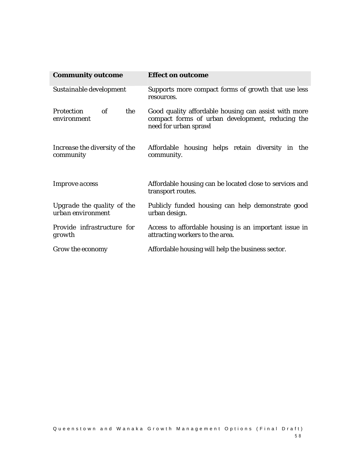| <b>Community outcome</b>                             | <b>Effect on outcome</b>                                                                                                          |  |  |  |  |
|------------------------------------------------------|-----------------------------------------------------------------------------------------------------------------------------------|--|--|--|--|
| Sustainable development                              | Supports more compact forms of growth that use less<br>resources.                                                                 |  |  |  |  |
| the<br><b>Protection</b><br>$\it{of}$<br>environment | Good quality affordable housing can assist with more<br>compact forms of urban development, reducing the<br>need for urban sprawl |  |  |  |  |
| Increase the diversity of the<br>community           | Affordable housing helps retain diversity in the<br>community.                                                                    |  |  |  |  |
| <i>Improve access</i>                                | Affordable housing can be located close to services and<br>transport routes.                                                      |  |  |  |  |
| Upgrade the quality of the<br>urban environment      | Publicly funded housing can help demonstrate good<br>urban design.                                                                |  |  |  |  |
| Provide infrastructure for<br>growth                 | Access to affordable housing is an important issue in<br>attracting workers to the area.                                          |  |  |  |  |
| Grow the economy                                     | Affordable housing will help the business sector.                                                                                 |  |  |  |  |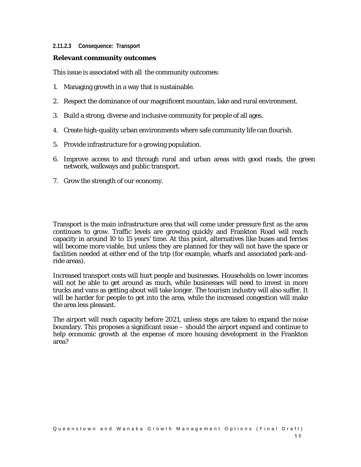#### **2.11.2.3 Consequence: Transport**

#### **Relevant community outcomes**

This issue is associated with all the community outcomes:

- 1. Managing growth in a way that is sustainable.
- 2. Respect the dominance of our magnificent mountain, lake and rural environment.
- 3. Build a strong, diverse and inclusive community for people of all ages.
- 4. Create high-quality urban environments where safe community life can flourish.
- 5. Provide infrastructure for a growing population.
- 6. Improve access to and through rural and urban areas with good roads, the green network, walkways and public transport.
- 7. Grow the strength of our economy.

Transport is the main infrastructure area that will come under pressure first as the area continues to grow. Traffic levels are growing quickly and Frankton Road will reach capacity in around 10 to 15 years' time. At this point, alternatives like buses and ferries will become more viable, but unless they are planned for they will not have the space or facilities needed at either end of the trip (for example, wharfs and associated park-andride areas).

Increased transport costs will hurt people and businesses. Households on lower incomes will not be able to get around as much, while businesses will need to invest in more trucks and vans as getting about will take longer. The tourism industry will also suffer. It will be harder for people to get into the area, while the increased congestion will make the area less pleasant.

The airport will reach capacity before 2021, unless steps are taken to expand the noise boundary. This proposes a significant issue – should the airport expand and continue to help economic growth at the expense of more housing development in the Frankton area?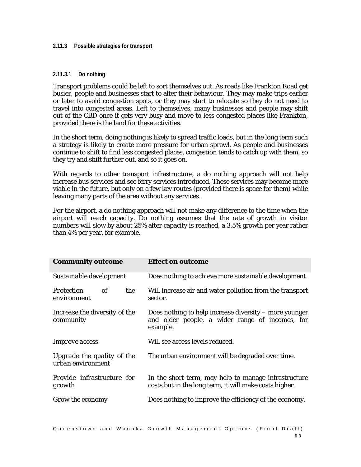#### **2.11.3 Possible strategies for transport**

#### **2.11.3.1 Do nothing**

Transport problems could be left to sort themselves out. As roads like Frankton Road get busier, people and businesses start to alter their behaviour. They may make trips earlier or later to avoid congestion spots, or they may start to relocate so they do not need to travel into congested areas. Left to themselves, many businesses and people may shift out of the CBD once it gets very busy and move to less congested places like Frankton, provided there is the land for these activities.

In the short term, doing nothing is likely to spread traffic loads, but in the long term such a strategy is likely to create more pressure for urban sprawl. As people and businesses continue to shift to find less congested places, congestion tends to catch up with them, so they try and shift further out, and so it goes on.

With regards to other transport infrastructure, a do nothing approach will not help increase bus services and see ferry services introduced. These services may become more viable in the future, but only on a few key routes (provided there is space for them) while leaving many parts of the area without any services.

For the airport, a do nothing approach will not make any difference to the time when the airport will reach capacity. Do nothing assumes that the rate of growth in visitor numbers will slow by about 25% after capacity is reached, a 3.5% growth per year rather than 4% per year, for example.

| <b>Community outcome</b>                        | <b>Effect on outcome</b>                                                                                              |  |  |  |
|-------------------------------------------------|-----------------------------------------------------------------------------------------------------------------------|--|--|--|
| Sustainable development                         | Does nothing to achieve more sustainable development.                                                                 |  |  |  |
| the<br>of<br><b>Protection</b><br>environment   | Will increase air and water pollution from the transport<br>sector.                                                   |  |  |  |
| Increase the diversity of the<br>community      | Does nothing to help increase diversity – more younger<br>and older people, a wider range of incomes, for<br>example. |  |  |  |
| <i>Improve access</i>                           | Will see access levels reduced.                                                                                       |  |  |  |
| Upgrade the quality of the<br>urban environment | The urban environment will be degraded over time.                                                                     |  |  |  |
| Provide infrastructure for<br>growth            | In the short term, may help to manage infrastructure<br>costs but in the long term, it will make costs higher.        |  |  |  |
| Grow the economy                                | Does nothing to improve the efficiency of the economy.                                                                |  |  |  |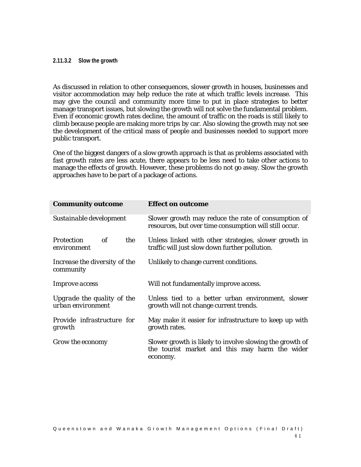#### **2.11.3.2 Slow the growth**

As discussed in relation to other consequences, slower growth in houses, businesses and visitor accommodation may help reduce the rate at which traffic levels increase. This may give the council and community more time to put in place strategies to better manage transport issues, but slowing the growth will not solve the fundamental problem. Even if economic growth rates decline, the amount of traffic on the roads is still likely to climb because people are making more trips by car. Also slowing the growth may not see the development of the critical mass of people and businesses needed to support more public transport.

One of the biggest dangers of a slow growth approach is that as problems associated with fast growth rates are less acute, there appears to be less need to take other actions to manage the effects of growth. However, these problems do not go away. Slow the growth approaches have to be part of a package of actions.

| <b>Community outcome</b>                        | <b>Effect on outcome</b>                                                                                               |  |  |
|-------------------------------------------------|------------------------------------------------------------------------------------------------------------------------|--|--|
| Sustainable development                         | Slower growth may reduce the rate of consumption of<br>resources, but over time consumption will still occur.          |  |  |
| of<br><i>Protection</i><br>the<br>environment   | Unless linked with other strategies, slower growth in<br>traffic will just slow down further pollution.                |  |  |
| Increase the diversity of the<br>community      | Unlikely to change current conditions.                                                                                 |  |  |
| <i>Improve access</i>                           | Will not fundamentally improve access.                                                                                 |  |  |
| Upgrade the quality of the<br>urban environment | Unless tied to a better urban environment, slower<br>growth will not change current trends.                            |  |  |
| Provide infrastructure for<br>growth            | May make it easier for infrastructure to keep up with<br>growth rates.                                                 |  |  |
| Grow the economy                                | Slower growth is likely to involve slowing the growth of<br>the tourist market and this may harm the wider<br>economy. |  |  |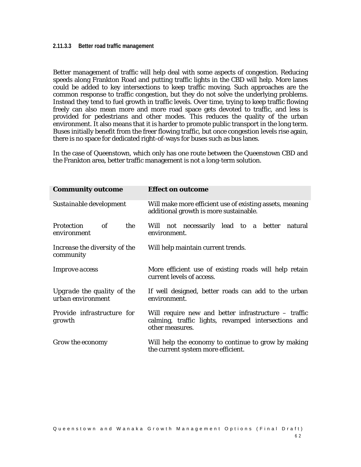#### **2.11.3.3 Better road traffic management**

Better management of traffic will help deal with some aspects of congestion. Reducing speeds along Frankton Road and putting traffic lights in the CBD will help. More lanes could be added to key intersections to keep traffic moving. Such approaches are the common response to traffic congestion, but they do not solve the underlying problems. Instead they tend to fuel growth in traffic levels. Over time, trying to keep traffic flowing freely can also mean more and more road space gets devoted to traffic, and less is provided for pedestrians and other modes. This reduces the quality of the urban environment. It also means that it is harder to promote public transport in the long term. Buses initially benefit from the freer flowing traffic, but once congestion levels rise again, there is no space for dedicated right-of-ways for buses such as bus lanes.

In the case of Queenstown, which only has one route between the Queenstown CBD and the Frankton area, better traffic management is not a long-term solution.

| <b>Community outcome</b>                        | <b>Effect on outcome</b>                                                                                                         |  |  |  |  |
|-------------------------------------------------|----------------------------------------------------------------------------------------------------------------------------------|--|--|--|--|
| Sustainable development                         | Will make more efficient use of existing assets, meaning<br>additional growth is more sustainable.                               |  |  |  |  |
| Protection<br>of<br>the<br>environment          | Will not necessarily lead to a better natural<br>environment.                                                                    |  |  |  |  |
| Increase the diversity of the<br>community      | Will help maintain current trends.                                                                                               |  |  |  |  |
| <i>Improve access</i>                           | More efficient use of existing roads will help retain<br>current levels of access.                                               |  |  |  |  |
| Upgrade the quality of the<br>urban environment | If well designed, better roads can add to the urban<br>environment.                                                              |  |  |  |  |
| Provide infrastructure for<br>growth            | Will require new and better infrastructure $-$ traffic<br>calming, traffic lights, revamped intersections and<br>other measures. |  |  |  |  |
| Grow the economy                                | Will help the economy to continue to grow by making<br>the current system more efficient.                                        |  |  |  |  |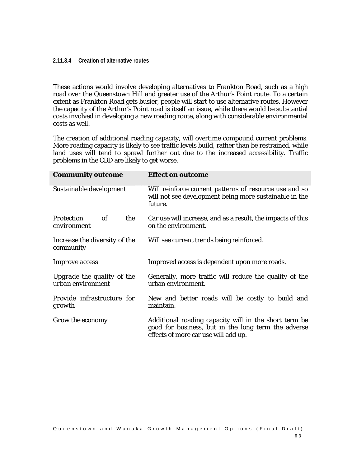#### **2.11.3.4 Creation of alternative routes**

These actions would involve developing alternatives to Frankton Road, such as a high road over the Queenstown Hill and greater use of the Arthur's Point route. To a certain extent as Frankton Road gets busier, people will start to use alternative routes. However the capacity of the Arthur's Point road is itself an issue, while there would be substantial costs involved in developing a new roading route, along with considerable environmental costs as well.

The creation of additional roading capacity, will overtime compound current problems. More roading capacity is likely to see traffic levels build, rather than be restrained, while land uses will tend to sprawl further out due to the increased accessibility. Traffic problems in the CBD are likely to get worse.

| <b>Community outcome</b>                             | <b>Effect on outcome</b>                                                                                                                             |  |  |  |
|------------------------------------------------------|------------------------------------------------------------------------------------------------------------------------------------------------------|--|--|--|
| Sustainable development                              | Will reinforce current patterns of resource use and so<br>will not see development being more sustainable in the<br>future.                          |  |  |  |
| $\it{of}$<br><b>Protection</b><br>the<br>environment | Car use will increase, and as a result, the impacts of this<br>on the environment.                                                                   |  |  |  |
| Increase the diversity of the<br>community           | Will see current trends being reinforced.                                                                                                            |  |  |  |
| <i>Improve access</i>                                | Improved access is dependent upon more roads.                                                                                                        |  |  |  |
| Upgrade the quality of the<br>urban environment      | Generally, more traffic will reduce the quality of the<br>urban environment.                                                                         |  |  |  |
| Provide infrastructure for<br>growth                 | New and better roads will be costly to build and<br>maintain.                                                                                        |  |  |  |
| Grow the economy                                     | Additional roading capacity will in the short term be<br>good for business, but in the long term the adverse<br>effects of more car use will add up. |  |  |  |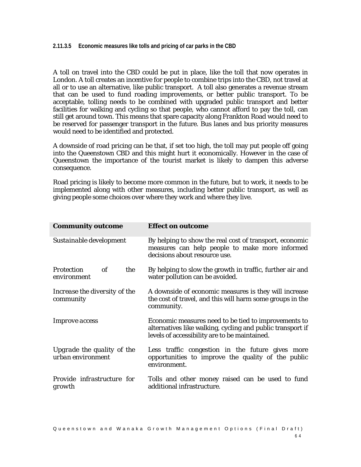#### **2.11.3.5 Economic measures like tolls and pricing of car parks in the CBD**

A toll on travel into the CBD could be put in place, like the toll that now operates in London. A toll creates an incentive for people to combine trips into the CBD, not travel at all or to use an alternative, like public transport. A toll also generates a revenue stream that can be used to fund roading improvements, or better public transport. To be acceptable, tolling needs to be combined with upgraded public transport and better facilities for walking and cycling so that people, who cannot afford to pay the toll, can still get around town. This means that spare capacity along Frankton Road would need to be reserved for passenger transport in the future. Bus lanes and bus priority measures would need to be identified and protected.

A downside of road pricing can be that, if set too high, the toll may put people off going into the Queenstown CBD and this might hurt it economically. However in the case of Queenstown the importance of the tourist market is likely to dampen this adverse consequence.

Road pricing is likely to become more common in the future, but to work, it needs to be implemented along with other measures, including better public transport, as well as giving people some choices over where they work and where they live.

| <b>Community outcome</b>                        | <b>Effect on outcome</b>                                                                                                                                            |  |  |  |  |
|-------------------------------------------------|---------------------------------------------------------------------------------------------------------------------------------------------------------------------|--|--|--|--|
| Sustainable development                         | By helping to show the real cost of transport, economic<br>measures can help people to make more informed<br>decisions about resource use.                          |  |  |  |  |
| <b>Protection</b><br>of<br>the<br>environment   | By helping to slow the growth in traffic, further air and<br>water pollution can be avoided.                                                                        |  |  |  |  |
| Increase the diversity of the<br>community      | A downside of economic measures is they will increase<br>the cost of travel, and this will harm some groups in the<br>community.                                    |  |  |  |  |
| <i>Improve access</i>                           | Economic measures need to be tied to improvements to<br>alternatives like walking, cycling and public transport if<br>levels of accessibility are to be maintained. |  |  |  |  |
| Upgrade the quality of the<br>urban environment | Less traffic congestion in the future gives more<br>opportunities to improve the quality of the public<br>environment.                                              |  |  |  |  |
| Provide infrastructure for<br>growth            | Tolls and other money raised can be used to fund<br>additional infrastructure.                                                                                      |  |  |  |  |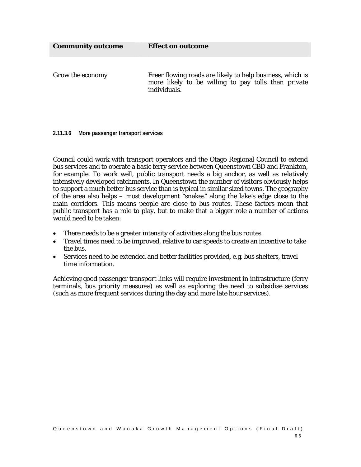**Community outcome Effect on outcome** 

*Grow the economy* Freer flowing roads are likely to help business, which is more likely to be willing to pay tolls than private individuals.

**2.11.3.6 More passenger transport services** 

Council could work with transport operators and the Otago Regional Council to extend bus services and to operate a basic ferry service between Queenstown CBD and Frankton, for example. To work well, public transport needs a big anchor, as well as relatively intensively developed catchments. In Queenstown the number of visitors obviously helps to support a much better bus service than is typical in similar sized towns. The geography of the area also helps – most development "snakes" along the lake's edge close to the main corridors. This means people are close to bus routes. These factors mean that public transport has a role to play, but to make that a bigger role a number of actions would need to be taken:

- There needs to be a greater intensity of activities along the bus routes.
- Travel times need to be improved, relative to car speeds to create an incentive to take the bus.
- Services need to be extended and better facilities provided, e.g. bus shelters, travel time information.

Achieving good passenger transport links will require investment in infrastructure (ferry terminals, bus priority measures) as well as exploring the need to subsidise services (such as more frequent services during the day and more late hour services).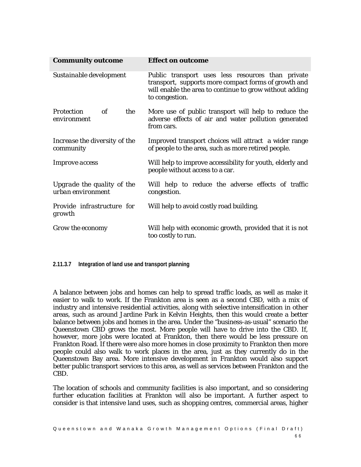| <b>Community outcome</b>                        | <b>Effect on outcome</b>                                                                                                                                                               |  |  |  |  |
|-------------------------------------------------|----------------------------------------------------------------------------------------------------------------------------------------------------------------------------------------|--|--|--|--|
| Sustainable development                         | Public transport uses less resources than private<br>transport, supports more compact forms of growth and<br>will enable the area to continue to grow without adding<br>to congestion. |  |  |  |  |
| of<br>the<br><b>Protection</b><br>environment   | More use of public transport will help to reduce the<br>adverse effects of air and water pollution generated<br>from cars.                                                             |  |  |  |  |
| Increase the diversity of the<br>community      | Improved transport choices will attract a wider range<br>of people to the area, such as more retired people.                                                                           |  |  |  |  |
| <i>Improve access</i>                           | Will help to improve accessibility for youth, elderly and<br>people without access to a car.                                                                                           |  |  |  |  |
| Upgrade the quality of the<br>urban environment | Will help to reduce the adverse effects of traffic<br>congestion.                                                                                                                      |  |  |  |  |
| Provide infrastructure for<br>growth            | Will help to avoid costly road building.                                                                                                                                               |  |  |  |  |
| Grow the economy                                | Will help with economic growth, provided that it is not<br>too costly to run.                                                                                                          |  |  |  |  |

**2.11.3.7 Integration of land use and transport planning** 

A balance between jobs and homes can help to spread traffic loads, as well as make it easier to walk to work. If the Frankton area is seen as a second CBD, with a mix of industry and intensive residential activities, along with selective intensification in other areas, such as around Jardine Park in Kelvin Heights, then this would create a better balance between jobs and homes in the area. Under the "business-as-usual" scenario the Queenstown CBD grows the most. More people will have to drive into the CBD. If, however, more jobs were located at Frankton, then there would be less pressure on Frankton Road. If there were also more homes in close proximity to Frankton then more people could also walk to work places in the area, just as they currently do in the Queenstown Bay area. More intensive development in Frankton would also support better public transport services to this area, as well as services between Frankton and the CBD.

The location of schools and community facilities is also important, and so considering further education facilities at Frankton will also be important. A further aspect to consider is that intensive land uses, such as shopping centres, commercial areas, higher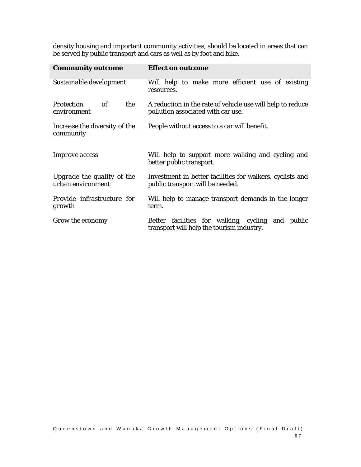density housing and important community activities, should be located in areas that can be served by public transport and cars as well as by foot and bike.

| <b>Community outcome</b>                        | <b>Effect on outcome</b>                                                                         |  |  |  |  |
|-------------------------------------------------|--------------------------------------------------------------------------------------------------|--|--|--|--|
| Sustainable development                         | Will help to make more efficient use of existing<br>resources.                                   |  |  |  |  |
| of<br>the<br><i>Protection</i><br>environment   | A reduction in the rate of vehicle use will help to reduce<br>pollution associated with car use. |  |  |  |  |
| Increase the diversity of the<br>community      | People without access to a car will benefit.                                                     |  |  |  |  |
| <i>Improve access</i>                           | Will help to support more walking and cycling and<br>better public transport.                    |  |  |  |  |
| Upgrade the quality of the<br>urban environment | Investment in better facilities for walkers, cyclists and                                        |  |  |  |  |
|                                                 | public transport will be needed.                                                                 |  |  |  |  |
| Provide infrastructure for<br>growth            | Will help to manage transport demands in the longer<br>term.                                     |  |  |  |  |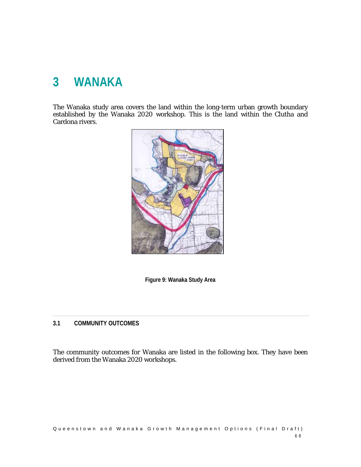# **3 WANAKA**

The Wanaka study area covers the land within the long-term urban growth boundary established by the Wanaka 2020 workshop. This is the land within the Clutha and Cardona rivers.





## **3.1 COMMUNITY OUTCOMES**

The community outcomes for Wanaka are listed in the following box. They have been derived from the Wanaka 2020 workshops.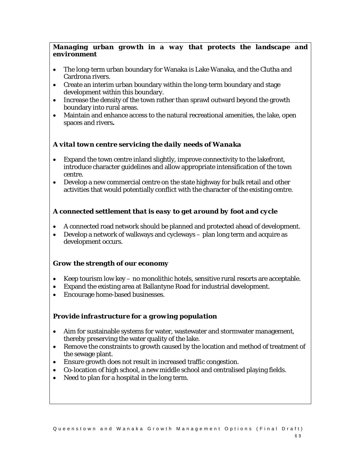# *Managing urban growth in a way that protects the landscape and environment*

- The long-term urban boundary for Wanaka is Lake Wanaka, and the Clutha and Cardrona rivers.
- Create an interim urban boundary within the long-term boundary and stage development within this boundary.
- Increase the density of the town rather than sprawl outward beyond the growth boundary into rural areas.
- Maintain and enhance access to the natural recreational amenities, the lake, open spaces and rivers**.**

# *A vital town centre servicing the daily needs of Wanaka*

- Expand the town centre inland slightly, improve connectivity to the lakefront, introduce character guidelines and allow appropriate intensification of the town centre.
- Develop a new commercial centre on the state highway for bulk retail and other activities that would potentially conflict with the character of the existing centre.

# *A connected settlement that is easy to get around by foot and cycle*

- A connected road network should be planned and protected ahead of development.
- Develop a network of walkways and cycleways plan long term and acquire as development occurs.

# *Grow the strength of our economy*

- Keep tourism low key no monolithic hotels, sensitive rural resorts are acceptable.
- Expand the existing area at Ballantyne Road for industrial development.
- Encourage home-based businesses.

# *Provide infrastructure for a growing population*

- Aim for sustainable systems for water, wastewater and stormwater management, thereby preserving the water quality of the lake.
- Remove the constraints to growth caused by the location and method of treatment of the sewage plant.
- Ensure growth does not result in increased traffic congestion.
- Co-location of high school, a new middle school and centralised playing fields.
- Need to plan for a hospital in the long term.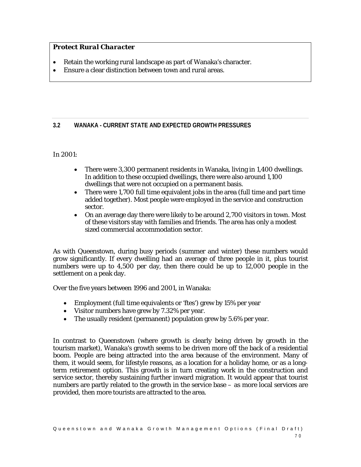# *Protect Rural Character*

- Retain the working rural landscape as part of Wanaka's character.
- Ensure a clear distinction between town and rural areas.

# **3.2 WANAKA - CURRENT STATE AND EXPECTED GROWTH PRESSURES**

# In 2001:

- There were 3,300 permanent residents in Wanaka, living in 1,400 dwellings. In addition to these occupied dwellings, there were also around 1,100 dwellings that were not occupied on a permanent basis.
- There were 1,700 full time equivalent jobs in the area (full time and part time added together). Most people were employed in the service and construction sector.
- On an average day there were likely to be around 2,700 visitors in town. Most of these visitors stay with families and friends. The area has only a modest sized commercial accommodation sector.

As with Queenstown, during busy periods (summer and winter) these numbers would grow significantly. If every dwelling had an average of three people in it, plus tourist numbers were up to 4,500 per day, then there could be up to 12,000 people in the settlement on a peak day.

Over the five years between 1996 and 2001, in Wanaka:

- Employment (full time equivalents or 'ftes') grew by 15% per year
- Visitor numbers have grew by 7.32% per year.
- The usually resident (permanent) population grew by 5.6% per year.

In contrast to Queenstown (where growth is clearly being driven by growth in the tourism market), Wanaka's growth seems to be driven more off the back of a residential boom. People are being attracted into the area because of the environment. Many of them, it would seem, for lifestyle reasons, as a location for a holiday home, or as a longterm retirement option. This growth is in turn creating work in the construction and service sector, thereby sustaining further inward migration. It would appear that tourist numbers are partly related to the growth in the service base – as more local services are provided, then more tourists are attracted to the area.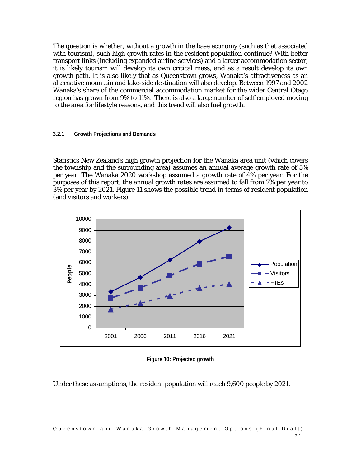The question is whether, without a growth in the base economy (such as that associated with tourism), such high growth rates in the resident population continue? With better transport links (including expanded airline services) and a larger accommodation sector, it is likely tourism will develop its own critical mass, and as a result develop its own growth path. It is also likely that as Queenstown grows, Wanaka's attractiveness as an alternative mountain and lake-side destination will also develop. Between 1997 and 2002 Wanaka's share of the commercial accommodation market for the wider Central Otago region has grown from 9% to 11%. There is also a large number of self employed moving to the area for lifestyle reasons, and this trend will also fuel growth.

#### **3.2.1 Growth Projections and Demands**

Statistics New Zealand's high growth projection for the Wanaka area unit (which covers the township and the surrounding area) assumes an annual average growth rate of 5% per year. The Wanaka 2020 workshop assumed a growth rate of 4% per year. For the purposes of this report, the annual growth rates are assumed to fall from 7% per year to 3% per year by 2021. Figure 11 shows the possible trend in terms of resident population (and visitors and workers).



**Figure 10: Projected growth** 

Under these assumptions, the resident population will reach 9,600 people by 2021.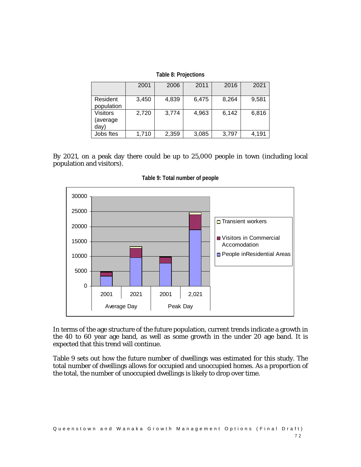|                              | 2001  | 2006  | 2011  | 2016  | 2021  |
|------------------------------|-------|-------|-------|-------|-------|
| Resident<br>population       | 3,450 | 4,839 | 6,475 | 8,264 | 9,581 |
| Visitors<br>(average<br>day) | 2,720 | 3,774 | 4,963 | 6,142 | 6,816 |
| Jobs ftes                    | 1,710 | 2,359 | 3,085 | 3,797 | 4,191 |

By 2021, on a peak day there could be up to 25,000 people in town (including local population and visitors).



**Table 9: Total number of people** 

In terms of the age structure of the future population, current trends indicate a growth in the 40 to 60 year age band, as well as some growth in the under 20 age band. It is expected that this trend will continue.

Table 9 sets out how the future number of dwellings was estimated for this study. The total number of dwellings allows for occupied and unoccupied homes. As a proportion of the total, the number of unoccupied dwellings is likely to drop over time.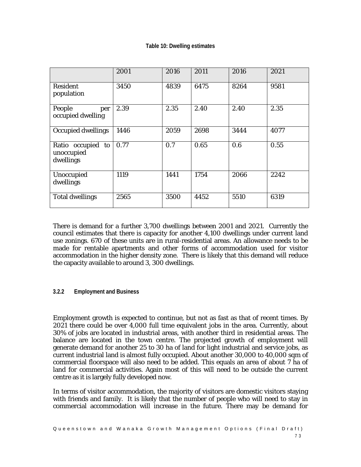|                                              | 2001 | 2016 | 2011 | 2016 | 2021 |
|----------------------------------------------|------|------|------|------|------|
| <b>Resident</b><br>population                | 3450 | 4839 | 6475 | 8264 | 9581 |
| People<br>per<br>occupied dwelling           | 2.39 | 2.35 | 2.40 | 2.40 | 2.35 |
| Occupied dwellings                           | 1446 | 2059 | 2698 | 3444 | 4077 |
| Ratio occupied to<br>unoccupied<br>dwellings | 0.77 | 0.7  | 0.65 | 0.6  | 0.55 |
| Unoccupied<br>dwellings                      | 1119 | 1441 | 1754 | 2066 | 2242 |
| <b>Total dwellings</b>                       | 2565 | 3500 | 4452 | 5510 | 6319 |

There is demand for a further 3,700 dwellings between 2001 and 2021. Currently the council estimates that there is capacity for another 4,100 dwellings under current land use zonings. 670 of these units are in rural-residential areas. An allowance needs to be made for rentable apartments and other forms of accommodation used for visitor accommodation in the higher density zone. There is likely that this demand will reduce the capacity available to around 3, 300 dwellings.

#### **3.2.2 Employment and Business**

Employment growth is expected to continue, but not as fast as that of recent times. By 2021 there could be over 4,000 full time equivalent jobs in the area. Currently, about 30% of jobs are located in industrial areas, with another third in residential areas. The balance are located in the town centre. The projected growth of employment will generate demand for another 25 to 30 ha of land for light industrial and service jobs, as current industrial land is almost fully occupied. About another 30,000 to 40,000 sqm of commercial floorspace will also need to be added. This equals an area of about 7 ha of land for commercial activities. Again most of this will need to be outside the current centre as it is largely fully developed now.

In terms of visitor accommodation, the majority of visitors are domestic visitors staying with friends and family. It is likely that the number of people who will need to stay in commercial accommodation will increase in the future. There may be demand for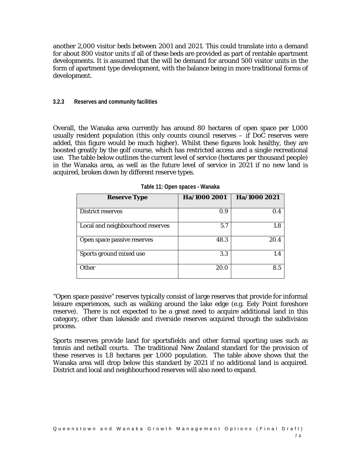another 2,000 visitor beds between 2001 and 2021. This could translate into a demand for about 800 visitor units if all of these beds are provided as part of rentable apartment developments. It is assumed that the will be demand for around 500 visitor units in the form of apartment type development, with the balance being in more traditional forms of development.

#### **3.2.3 Reserves and community facilities**

Overall, the Wanaka area currently has around 80 hectares of open space per 1,000 usually resident population (this only counts council reserves – if DoC reserves were added, this figure would be much higher). Whilst these figures look healthy, they are boosted greatly by the golf course, which has restricted access and a single recreational use. The table below outlines the current level of service (hectares per thousand people) in the Wanaka area, as well as the future level of service in 2021 if no new land is acquired, broken down by different reserve types.

| <b>Reserve Type</b>              | Ha/1000 2001 | Ha/1000 2021 |
|----------------------------------|--------------|--------------|
| <b>District reserves</b>         | 0.9          | 0.4          |
| Local and neighbourhood reserves | 5.7          | 1.8          |
| Open space passive reserves      | 48.3         | 20.4         |
| Sports ground mixed use          | 3.3          | 1.4          |
| Other                            | 20.0         | 8.5          |

**Table 11: Open spaces - Wanaka** 

"Open space passive" reserves typically consist of large reserves that provide for informal leisure experiences, such as walking around the lake edge (e.g. Eely Point foreshore reserve). There is not expected to be a great need to acquire additional land in this category, other than lakeside and riverside reserves acquired through the subdivision process.

Sports reserves provide land for sportsfields and other formal sporting uses such as tennis and netball courts. The traditional New Zealand standard for the provision of these reserves is 1.8 hectares per 1,000 population. The table above shows that the Wanaka area will drop below this standard by 2021 if no additional land is acquired. District and local and neighbourhood reserves will also need to expand.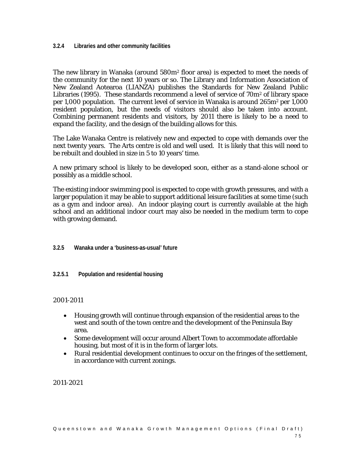**3.2.4 Libraries and other community facilities** 

The new library in Wanaka (around  $580m<sup>2</sup>$  floor area) is expected to meet the needs of the community for the next 10 years or so. The Library and Information Association of New Zealand Aotearoa (LIANZA) publishes the Standards for New Zealand Public Libraries (1995). These standards recommend a level of service of  $70m^2$  of library space per 1,000 population. The current level of service in Wanaka is around 265m2 per 1,000 resident population, but the needs of visitors should also be taken into account. Combining permanent residents and visitors, by 2011 there is likely to be a need to expand the facility, and the design of the building allows for this.

The Lake Wanaka Centre is relatively new and expected to cope with demands over the next twenty years. The Arts centre is old and well used. It is likely that this will need to be rebuilt and doubled in size in 5 to 10 years' time.

A new primary school is likely to be developed soon, either as a stand-alone school or possibly as a middle school.

The existing indoor swimming pool is expected to cope with growth pressures, and with a larger population it may be able to support additional leisure facilities at some time (such as a gym and indoor area). An indoor playing court is currently available at the high school and an additional indoor court may also be needed in the medium term to cope with growing demand.

## **3.2.5 Wanaka under a 'business-as-usual' future**

**3.2.5.1 Population and residential housing** 

## 2001-2011

- Housing growth will continue through expansion of the residential areas to the west and south of the town centre and the development of the Peninsula Bay area.
- Some development will occur around Albert Town to accommodate affordable housing, but most of it is in the form of larger lots.
- Rural residential development continues to occur on the fringes of the settlement, in accordance with current zonings.

2011-2021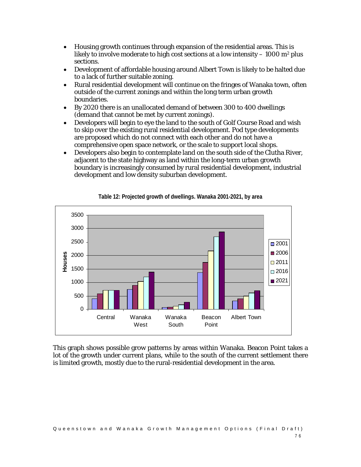- Housing growth continues through expansion of the residential areas. This is likely to involve moderate to high cost sections at a low intensity  $-1000$  m<sup>2</sup> plus sections.
- Development of affordable housing around Albert Town is likely to be halted due to a lack of further suitable zoning.
- Rural residential development will continue on the fringes of Wanaka town, often outside of the current zonings and within the long term urban growth boundaries.
- By 2020 there is an unallocated demand of between 300 to 400 dwellings (demand that cannot be met by current zonings).
- Developers will begin to eye the land to the south of Golf Course Road and wish to skip over the existing rural residential development. Pod type developments are proposed which do not connect with each other and do not have a comprehensive open space network, or the scale to support local shops.
- Developers also begin to contemplate land on the south side of the Clutha River, adjacent to the state highway as land within the long-term urban growth boundary is increasingly consumed by rural residential development, industrial development and low density suburban development.



**Table 12: Projected growth of dwellings. Wanaka 2001-2021, by area** 

This graph shows possible grow patterns by areas within Wanaka. Beacon Point takes a lot of the growth under current plans, while to the south of the current settlement there is limited growth, mostly due to the rural-residential development in the area.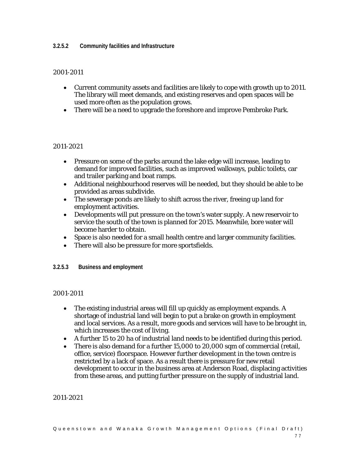### **3.2.5.2 Community facilities and Infrastructure**

## 2001-2011

- Current community assets and facilities are likely to cope with growth up to 2011. The library will meet demands, and existing reserves and open spaces will be used more often as the population grows.
- There will be a need to upgrade the foreshore and improve Pembroke Park.

## 2011-2021

- Pressure on some of the parks around the lake edge will increase, leading to demand for improved facilities, such as improved walkways, public toilets, car and trailer parking and boat ramps.
- Additional neighbourhood reserves will be needed, but they should be able to be provided as areas subdivide.
- The sewerage ponds are likely to shift across the river, freeing up land for employment activities.
- Developments will put pressure on the town's water supply. A new reservoir to service the south of the town is planned for 2015. Meanwhile, bore water will become harder to obtain.
- Space is also needed for a small health centre and larger community facilities.
- There will also be pressure for more sportsfields.

## **3.2.5.3 Business and employment**

## 2001-2011

- The existing industrial areas will fill up quickly as employment expands. A shortage of industrial land will begin to put a brake on growth in employment and local services. As a result, more goods and services will have to be brought in, which increases the cost of living.
- A further 15 to 20 ha of industrial land needs to be identified during this period.
- There is also demand for a further 15,000 to 20,000 sqm of commercial (retail, office, service) floorspace. However further development in the town centre is restricted by a lack of space. As a result there is pressure for new retail development to occur in the business area at Anderson Road, displacing activities from these areas, and putting further pressure on the supply of industrial land.

2011-2021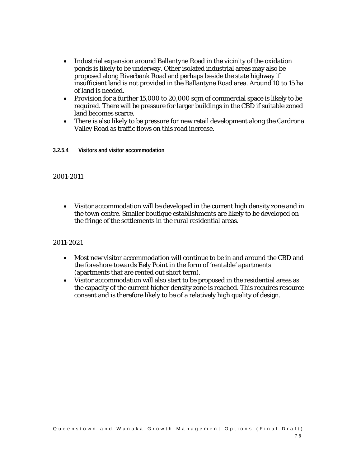- Industrial expansion around Ballantyne Road in the vicinity of the oxidation ponds is likely to be underway. Other isolated industrial areas may also be proposed along Riverbank Road and perhaps beside the state highway if insufficient land is not provided in the Ballantyne Road area. Around 10 to 15 ha of land is needed.
- Provision for a further 15,000 to 20,000 sqm of commercial space is likely to be required. There will be pressure for larger buildings in the CBD if suitable zoned land becomes scarce.
- There is also likely to be pressure for new retail development along the Cardrona Valley Road as traffic flows on this road increase.
- **3.2.5.4 Visitors and visitor accommodation**

## 2001-2011

• Visitor accommodation will be developed in the current high density zone and in the town centre. Smaller boutique establishments are likely to be developed on the fringe of the settlements in the rural residential areas.

## 2011-2021

- Most new visitor accommodation will continue to be in and around the CBD and the foreshore towards Eely Point in the form of 'rentable' apartments (apartments that are rented out short term).
- Visitor accommodation will also start to be proposed in the residential areas as the capacity of the current higher density zone is reached. This requires resource consent and is therefore likely to be of a relatively high quality of design.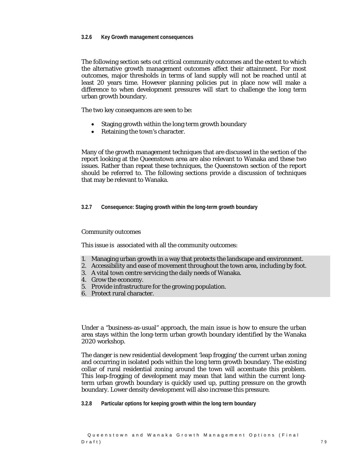#### **3.2.6 Key Growth management consequences**

The following section sets out critical community outcomes and the extent to which the alternative growth management outcomes affect their attainment. For most outcomes, major thresholds in terms of land supply will not be reached until at least 20 years time. However planning policies put in place now will make a difference to when development pressures will start to challenge the long term urban growth boundary.

The two key consequences are seen to be:

- Staging growth within the long term growth boundary
- Retaining the town's character.

Many of the growth management techniques that are discussed in the section of the report looking at the Queenstown area are also relevant to Wanaka and these two issues. Rather than repeat these techniques, the Queenstown section of the report should be referred to. The following sections provide a discussion of techniques that may be relevant to Wanaka.

**3.2.7 Consequence: Staging growth within the long-term growth boundary** 

#### Community outcomes

This issue is associated with all the community outcomes:

- 1. Managing urban growth in a way that protects the landscape and environment.
- 2. Accessibility and ease of movement throughout the town area, including by foot.
- 3. A vital town centre servicing the daily needs of Wanaka.
- 4. Grow the economy.
- 5. Provide infrastructure for the growing population.
- 6. Protect rural character.

Under a "business-as-usual" approach, the main issue is how to ensure the urban area stays within the long-term urban growth boundary identified by the Wanaka 2020 workshop.

The danger is new residential development 'leap frogging' the current urban zoning and occurring in isolated pods within the long term growth boundary. The existing collar of rural residential zoning around the town will accentuate this problem. This leap-frogging of development may mean that land within the current longterm urban growth boundary is quickly used up, putting pressure on the growth boundary. Lower density development will also increase this pressure.

**3.2.8 Particular options for keeping growth within the long term boundary**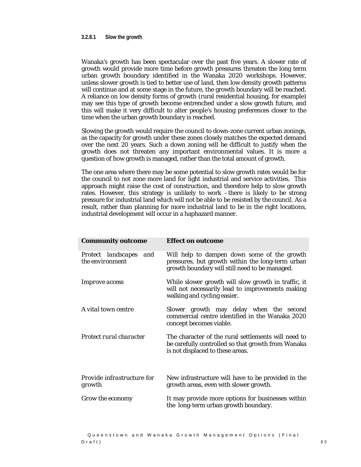Wanaka's growth has been spectacular over the past five years. A slower rate of growth would provide more time before growth pressures threaten the long term urban growth boundary identified in the Wanaka 2020 workshops. However, unless slower growth is tied to better use of land, then low density growth patterns will continue and at some stage in the future, the growth boundary will be reached. A reliance on low density forms of growth (rural residential housing, for example) may see this type of growth become entrenched under a slow growth future, and this will make it very difficult to alter people's housing preferences closer to the time when the urban growth boundary is reached.

Slowing the growth would require the council to down-zone current urban zonings, as the capacity for growth under these zones closely matches the expected demand over the next 20 years. Such a down zoning will be difficult to justify when the growth does not threaten any important environmental values. It is more a question of how growth is managed, rather than the total amount of growth.

The one area where there may be some potential to slow growth rates would be for the council to not zone more land for light industrial and service activities. This approach might raise the cost of construction, and therefore help to slow growth rates. However, this strategy is unlikely to work –there is likely to be strong pressure for industrial land which will not be able to be resisted by the council. As a result, rather than planning for more industrial land to be in the right locations, industrial development will occur in a haphazard manner.

| <b>Community outcome</b>                     | <b>Effect on outcome</b>                                                                                                                          |
|----------------------------------------------|---------------------------------------------------------------------------------------------------------------------------------------------------|
| Protect landscapes<br>and<br>the environment | Will help to dampen down some of the growth<br>pressures, but growth within the long-term urban<br>growth boundary will still need to be managed. |
| <i>Improve access</i>                        | While slower growth will slow growth in traffic, it<br>will not necessarily lead to improvements making<br>walking and cycling easier.            |
| A vital town centre                          | Slower growth may delay when the second<br>commercial centre identified in the Wanaka 2020<br>concept becomes viable.                             |
| Protect rural character                      | The character of the rural settlements will need to<br>be carefully controlled so that growth from Wanaka<br>is not displaced to these areas.     |
| <i>Provide infrastructure for</i><br>growth  | New infrastructure will have to be provided in the<br>growth areas, even with slower growth.                                                      |
| Grow the economy                             | It may provide more options for businesses within<br>the long-term urban growth boundary.                                                         |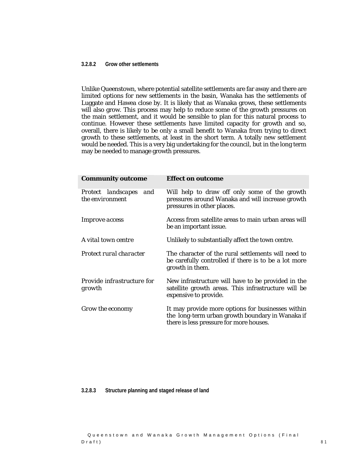#### **3.2.8.2 Grow other settlements**

Unlike Queenstown, where potential satellite settlements are far away and there are limited options for new settlements in the basin, Wanaka has the settlements of Luggate and Hawea close by. It is likely that as Wanaka grows, these settlements will also grow. This process may help to reduce some of the growth pressures on the main settlement, and it would be sensible to plan for this natural process to continue. However these settlements have limited capacity for growth and so, overall, there is likely to be only a small benefit to Wanaka from trying to direct growth to these settlements, at least in the short term. A totally new settlement would be needed. This is a very big undertaking for the council, but in the long term may be needed to manage growth pressures.

| <b>Community outcome</b>                     | <b>Effect on outcome</b>                                                                                                                         |
|----------------------------------------------|--------------------------------------------------------------------------------------------------------------------------------------------------|
| Protect landscapes<br>and<br>the environment | Will help to draw off only some of the growth<br>pressures around Wanaka and will increase growth<br>pressures in other places.                  |
| <i>Improve access</i>                        | Access from satellite areas to main urban areas will<br>be an important issue.                                                                   |
| A vital town centre                          | Unlikely to substantially affect the town centre.                                                                                                |
| Protect rural character                      | The character of the rural settlements will need to<br>be carefully controlled if there is to be a lot more<br>growth in them.                   |
| <i>Provide infrastructure for</i><br>growth  | New infrastructure will have to be provided in the<br>satellite growth areas. This infrastructure will be<br>expensive to provide.               |
| Grow the economy                             | It may provide more options for businesses within<br>the long-term urban growth boundary in Wanaka if<br>there is less pressure for more houses. |

**3.2.8.3 Structure planning and staged release of land**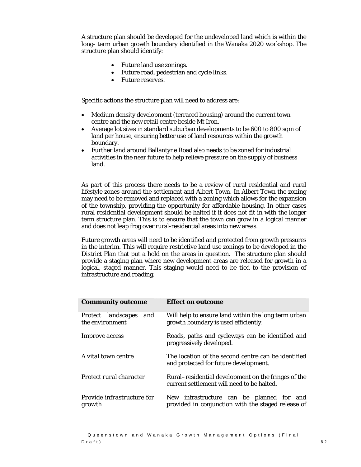A structure plan should be developed for the undeveloped land which is within the long- term urban growth boundary identified in the Wanaka 2020 workshop. The structure plan should identify:

- Future land use zonings.
- Future road, pedestrian and cycle links.
- Future reserves.

Specific actions the structure plan will need to address are:

- Medium density development (terraced housing) around the current town centre and the new retail centre beside Mt Iron.
- Average lot sizes in standard suburban developments to be 600 to 800 sqm of land per house, ensuring better use of land resources within the growth boundary.
- Further land around Ballantyne Road also needs to be zoned for industrial activities in the near future to help relieve pressure on the supply of business land.

As part of this process there needs to be a review of rural residential and rural lifestyle zones around the settlement and Albert Town. In Albert Town the zoning may need to be removed and replaced with a zoning which allows for the expansion of the township, providing the opportunity for affordable housing. In other cases rural residential development should be halted if it does not fit in with the longer term structure plan. This is to ensure that the town can grow in a logical manner and does not leap frog over rural-residential areas into new areas.

Future growth areas will need to be identified and protected from growth pressures in the interim. This will require restrictive land use zonings to be developed in the District Plan that put a hold on the areas in question. The structure plan should provide a staging plan where new development areas are released for growth in a logical, staged manner. This staging would need to be tied to the provision of infrastructure and roading.

| <b>Community outcome</b>                     | <b>Effect on outcome</b>                                                                          |
|----------------------------------------------|---------------------------------------------------------------------------------------------------|
| Protect landscapes<br>and<br>the environment | Will help to ensure land within the long term urban<br>growth boundary is used efficiently.       |
| <i>Improve access</i>                        | Roads, paths and cycleways can be identified and<br>progressively developed.                      |
| A vital town centre                          | The location of the second centre can be identified<br>and protected for future development.      |
| Protect rural character                      | Rural–residential development on the fringes of the<br>current settlement will need to be halted. |
| Provide infrastructure for<br>growth         | New infrastructure can be planned for and<br>provided in conjunction with the staged release of   |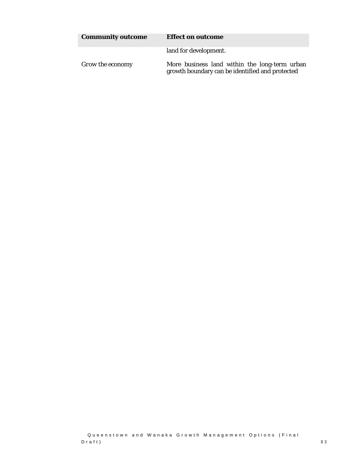| <b>Community outcome</b> | <b>Effect on outcome</b>                                                                         |
|--------------------------|--------------------------------------------------------------------------------------------------|
|                          | land for development.                                                                            |
| Grow the economy         | More business land within the long-term urban<br>growth boundary can be identified and protected |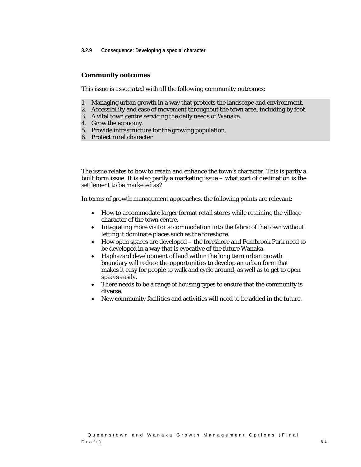#### **3.2.9 Consequence: Developing a special character**

#### **Community outcomes**

*This issue is associated with all the following community outcomes:* 

- 1. Managing urban growth in a way that protects the landscape and environment.
- 2. Accessibility and ease of movement throughout the town area, including by foot.
- 3. A vital town centre servicing the daily needs of Wanaka.
- 4. Grow the economy.
- 5. Provide infrastructure for the growing population.
- 6. Protect rural character

The issue relates to how to retain and enhance the town's character. This is partly a built form issue. It is also partly a marketing issue – what sort of destination is the settlement to be marketed as?

In terms of growth management approaches, the following points are relevant:

- How to accommodate larger format retail stores while retaining the village character of the town centre.
- Integrating more visitor accommodation into the fabric of the town without letting it dominate places such as the foreshore.
- How open spaces are developed the foreshore and Pembrook Park need to be developed in a way that is evocative of the future Wanaka.
- Haphazard development of land within the long term urban growth boundary will reduce the opportunities to develop an urban form that makes it easy for people to walk and cycle around, as well as to get to open spaces easily.
- There needs to be a range of housing types to ensure that the community is diverse.
- New community facilities and activities will need to be added in the future.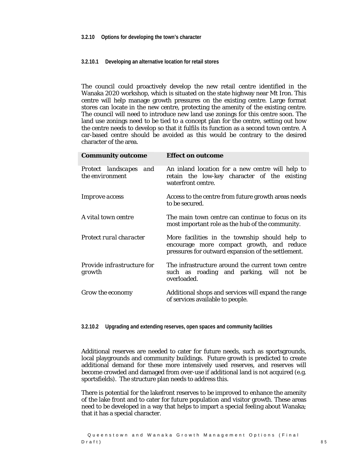#### **3.2.10.1 Developing an alternative location for retail stores**

The council could proactively develop the new retail centre identified in the Wanaka 2020 workshop, which is situated on the state highway near Mt Iron. This centre will help manage growth pressures on the existing centre. Large format stores can locate in the new centre, protecting the amenity of the existing centre. The council will need to introduce new land use zonings for this centre soon. The land use zonings need to be tied to a concept plan for the centre, setting out how the centre needs to develop so that it fulfils its function as a second town centre. A car-based centre should be avoided as this would be contrary to the desired character of the area.

| <b>Community outcome</b>                  | <b>Effect on outcome</b>                                                                                                                          |
|-------------------------------------------|---------------------------------------------------------------------------------------------------------------------------------------------------|
| Protect landscapes and<br>the environment | An inland location for a new centre will help to<br>retain the low-key character of the existing<br>waterfront centre.                            |
| <i>Improve access</i>                     | Access to the centre from future growth areas needs<br>to be secured.                                                                             |
| A vital town centre                       | The main town centre can continue to focus on its<br>most important role as the hub of the community.                                             |
| Protect rural character                   | More facilities in the township should help to<br>encourage more compact growth, and reduce<br>pressures for outward expansion of the settlement. |
| Provide infrastructure for<br>growth      | The infrastructure around the current town centre<br>such as roading and parking, will not be<br>overloaded.                                      |
| Grow the economy                          | Additional shops and services will expand the range<br>of services available to people.                                                           |

**3.2.10.2 Upgrading and extending reserves, open spaces and community facilities** 

Additional reserves are needed to cater for future needs, such as sportsgrounds, local playgrounds and community buildings. Future growth is predicted to create additional demand for these more intensively used reserves, and reserves will become crowded and damaged from over-use if additional land is not acquired (e.g. sportsfields). The structure plan needs to address this.

There is potential for the lakefront reserves to be improved to enhance the amenity of the lake front and to cater for future population and visitor growth. These areas need to be developed in a way that helps to impart a special feeling about Wanaka; that it has a special character.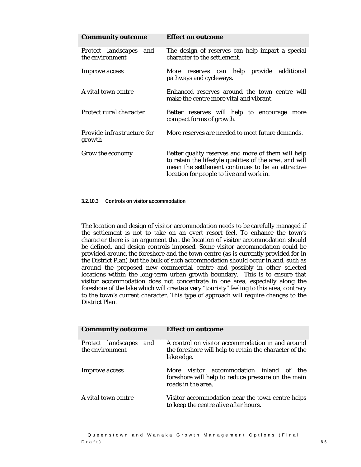| <b>Community outcome</b>                  | <b>Effect on outcome</b>                                                                                                                                                                                       |
|-------------------------------------------|----------------------------------------------------------------------------------------------------------------------------------------------------------------------------------------------------------------|
| Protect landscapes and<br>the environment | The design of reserves can help impart a special<br>character to the settlement.                                                                                                                               |
| <i>Improve access</i>                     | reserves can help provide additional<br>More<br>pathways and cycleways.                                                                                                                                        |
| A vital town centre                       | Enhanced reserves around the town centre will<br>make the centre more vital and vibrant.                                                                                                                       |
| Protect rural character                   | Better reserves will help to encourage more<br>compact forms of growth.                                                                                                                                        |
| Provide infrastructure for<br>growth      | More reserves are needed to meet future demands.                                                                                                                                                               |
| Grow the economy                          | Better quality reserves and more of them will help<br>to retain the lifestyle qualities of the area, and will<br>mean the settlement continues to be an attractive<br>location for people to live and work in. |

#### **3.2.10.3 Controls on visitor accommodation**

The location and design of visitor accommodation needs to be carefully managed if the settlement is not to take on an overt resort feel. To enhance the town's character there is an argument that the location of visitor accommodation should be defined, and design controls imposed. Some visitor accommodation could be provided around the foreshore and the town centre (as is currently provided for in the District Plan) but the bulk of such accommodation should occur inland, such as around the proposed new commercial centre and possibly in other selected locations within the long-term urban growth boundary. This is to ensure that visitor accommodation does not concentrate in one area, especially along the foreshore of the lake which will create a very "touristy" feeling to this area, contrary to the town's current character. This type of approach will require changes to the District Plan.

| <b>Community outcome</b>                  | <b>Effect on outcome</b>                                                                                                 |
|-------------------------------------------|--------------------------------------------------------------------------------------------------------------------------|
| Protect landscapes and<br>the environment | A control on visitor accommodation in and around<br>the foreshore will help to retain the character of the<br>lake edge. |
| <b>Improve</b> access                     | visitor accommodation inland of the<br>More<br>foreshore will help to reduce pressure on the main<br>roads in the area.  |
| A vital town centre                       | Visitor accommodation near the town centre helps<br>to keep the centre alive after hours.                                |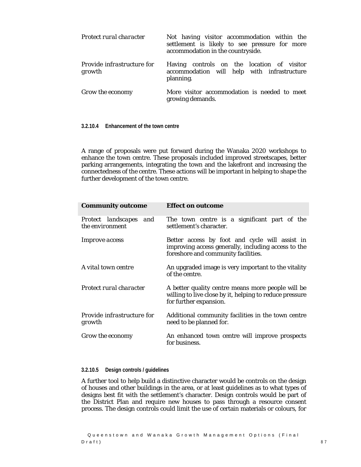| Protect rural character              | Not having visitor accommodation within the<br>settlement is likely to see pressure for more<br>accommodation in the countryside. |
|--------------------------------------|-----------------------------------------------------------------------------------------------------------------------------------|
| Provide infrastructure for<br>growth | Having controls on the location of visitor<br>accommodation will help with infrastructure<br>planning.                            |
| Grow the economy                     | More visitor accommodation is needed to meet<br>growing demands.                                                                  |

**3.2.10.4 Enhancement of the town centre** 

A range of proposals were put forward during the Wanaka 2020 workshops to enhance the town centre. These proposals included improved streetscapes, better parking arrangements, integrating the town and the lakefront and increasing the connectedness of the centre. These actions will be important in helping to shape the further development of the town centre.

| <b>Community outcome</b>                     | <b>Effect on outcome</b>                                                                                                                     |
|----------------------------------------------|----------------------------------------------------------------------------------------------------------------------------------------------|
| Protect landscapes<br>and<br>the environment | The town centre is a significant part of the<br>settlement's character.                                                                      |
| <i>Improve access</i>                        | Better access by foot and cycle will assist in<br>improving access generally, including access to the<br>foreshore and community facilities. |
| A vital town centre                          | An upgraded image is very important to the vitality<br>of the centre.                                                                        |
| Protect rural character                      | A better quality centre means more people will be<br>willing to live close by it, helping to reduce pressure<br>for further expansion.       |
| <i>Provide infrastructure for</i><br>growth  | Additional community facilities in the town centre<br>need to be planned for.                                                                |
| <i>Grow the economy</i>                      | An enhanced town centre will improve prospects<br>for business.                                                                              |

### **3.2.10.5 Design controls / guidelines**

A further tool to help build a distinctive character would be controls on the design of houses and other buildings in the area, or at least guidelines as to what types of designs best fit with the settlement's character. Design controls would be part of the District Plan and require new houses to pass through a resource consent process. The design controls could limit the use of certain materials or colours, for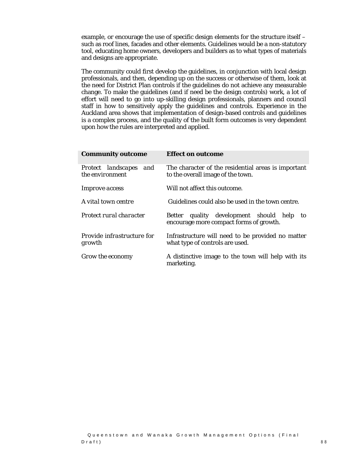example, or encourage the use of specific design elements for the structure itself – such as roof lines, facades and other elements. Guidelines would be a non-statutory tool, educating home owners, developers and builders as to what types of materials and designs are appropriate.

The community could first develop the guidelines, in conjunction with local design professionals, and then, depending up on the success or otherwise of them, look at the need for District Plan controls if the guidelines do not achieve any measurable change. To make the guidelines (and if need be the design controls) work, a lot of effort will need to go into up-skilling design professionals, planners and council staff in how to sensitively apply the guidelines and controls. Experience in the Auckland area shows that implementation of design-based controls and guidelines is a complex process, and the quality of the built form outcomes is very dependent upon how the rules are interpreted and applied.

| <b>Community outcome</b>                     | <b>Effect on outcome</b>                                                                 |
|----------------------------------------------|------------------------------------------------------------------------------------------|
| Protect landscapes<br>and<br>the environment | The character of the residential areas is important<br>to the overall image of the town. |
| <i>Improve access</i>                        | Will not affect this outcome.                                                            |
| A vital town centre                          | Guidelines could also be used in the town centre.                                        |
| Protect rural character                      | quality development should help to<br>Better<br>encourage more compact forms of growth.  |
| Provide infrastructure for<br>growth         | Infrastructure will need to be provided no matter<br>what type of controls are used.     |
| Grow the economy                             | A distinctive image to the town will help with its<br>marketing.                         |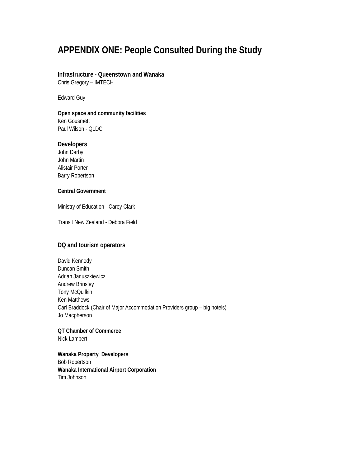# **APPENDIX ONE: People Consulted During the Study**

# **Infrastructure - Queenstown and Wanaka**

Chris Gregory – IMTECH

Edward Guy

## **Open space and community facilities**  Ken Gousmett Paul Wilson - QLDC

## **Developers**

John Darby John Martin Alistair Porter Barry Robertson

## **Central Government**

Ministry of Education - Carey Clark

Transit New Zealand - Debora Field

## **DQ and tourism operators**

David Kennedy Duncan Smith Adrian Januszkiewicz Andrew Brinsley Tony McQuilkin Ken Matthews Carl Braddock (Chair of Major Accommodation Providers group – big hotels) Jo Macpherson

**QT Chamber of Commerce** Nick Lambert

**Wanaka Property Developers**  Bob Robertson **Wanaka International Airport Corporation**  Tim Johnson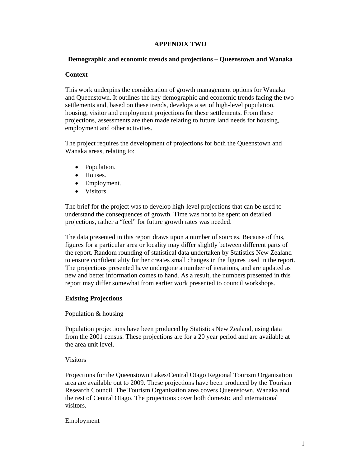## **APPENDIX TWO**

### **Demographic and economic trends and projections – Queenstown and Wanaka**

## **Context**

This work underpins the consideration of growth management options for Wanaka and Queenstown. It outlines the key demographic and economic trends facing the two settlements and, based on these trends, develops a set of high-level population, housing, visitor and employment projections for these settlements. From these projections, assessments are then made relating to future land needs for housing, employment and other activities.

The project requires the development of projections for both the Queenstown and Wanaka areas, relating to:

- Population.
- Houses.
- Employment.
- Visitors.

The brief for the project was to develop high-level projections that can be used to understand the consequences of growth. Time was not to be spent on detailed projections, rather a "feel" for future growth rates was needed.

The data presented in this report draws upon a number of sources. Because of this, figures for a particular area or locality may differ slightly between different parts of the report. Random rounding of statistical data undertaken by Statistics New Zealand to ensure confidentiality further creates small changes in the figures used in the report. The projections presented have undergone a number of iterations, and are updated as new and better information comes to hand. As a result, the numbers presented in this report may differ somewhat from earlier work presented to council workshops.

## **Existing Projections**

#### Population & housing

Population projections have been produced by Statistics New Zealand, using data from the 2001 census. These projections are for a 20 year period and are available at the area unit level.

## Visitors

Projections for the Queenstown Lakes/Central Otago Regional Tourism Organisation area are available out to 2009. These projections have been produced by the Tourism Research Council. The Tourism Organisation area covers Queenstown, Wanaka and the rest of Central Otago. The projections cover both domestic and international visitors.

Employment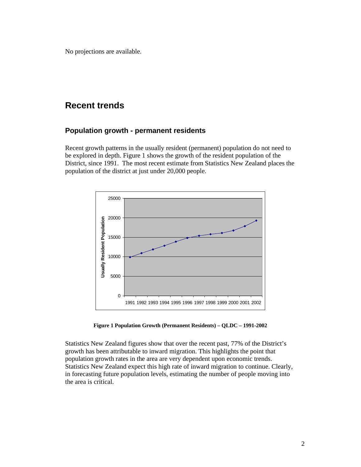No projections are available.

## **Recent trends**

## **Population growth - permanent residents**

Recent growth patterns in the usually resident (permanent) population do not need to be explored in depth. Figure 1 shows the growth of the resident population of the District, since 1991. The most recent estimate from Statistics New Zealand places the population of the district at just under 20,000 people.



**Figure 1 Population Growth (Permanent Residents) – QLDC – 1991-2002** 

Statistics New Zealand figures show that over the recent past, 77% of the District's growth has been attributable to inward migration. This highlights the point that population growth rates in the area are very dependent upon economic trends. Statistics New Zealand expect this high rate of inward migration to continue. Clearly, in forecasting future population levels, estimating the number of people moving into the area is critical.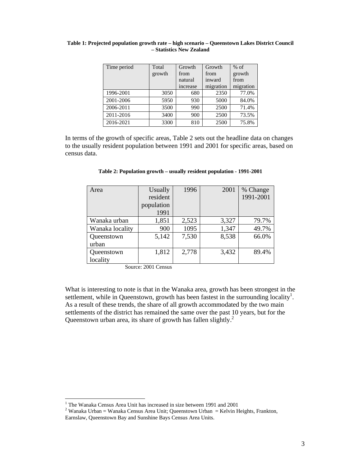| Time period | Total  | Growth   | Growth    | $%$ of    |
|-------------|--------|----------|-----------|-----------|
|             | growth | from     | from      | growth    |
|             |        | natural  | inward    | from      |
|             |        | increase | migration | migration |
| 1996-2001   | 3050   | 680      | 2350      | 77.0%     |
| 2001-2006   | 5950   | 930      | 5000      | 84.0%     |
| 2006-2011   | 3500   | 990      | 2500      | 71.4%     |
| 2011-2016   | 3400   | 900      | 2500      | 73.5%     |
| 2016-2021   | 3300   | 810      | 2500      | 75.8%     |

#### **Table 1: Projected population growth rate – high scenario – Queenstown Lakes District Council – Statistics New Zealand**

In terms of the growth of specific areas, Table 2 sets out the headline data on changes to the usually resident population between 1991 and 2001 for specific areas, based on census data.

| Area            | Usually    | 1996  | 2001  | % Change  |
|-----------------|------------|-------|-------|-----------|
|                 | resident   |       |       | 1991-2001 |
|                 | population |       |       |           |
|                 | 1991       |       |       |           |
| Wanaka urban    | 1,851      | 2,523 | 3,327 | 79.7%     |
| Wanaka locality | 900        | 1095  | 1,347 | 49.7%     |
| Queenstown      | 5,142      | 7,530 | 8,538 | 66.0%     |
| urban           |            |       |       |           |
| Queenstown      | 1,812      | 2,778 | 3,432 | 89.4%     |
| locality        |            |       |       |           |

#### **Table 2: Population growth – usually resident population - 1991-2001**

Source: 2001 Census

What is interesting to note is that in the Wanaka area, growth has been strongest in the settlement, while in Queenstown, growth has been fastest in the surrounding locality<sup>1</sup>. As a result of these trends, the share of all growth accommodated by the two main settlements of the district has remained the same over the past 10 years, but for the Queenstown urban area, its share of growth has fallen slightly.<sup>2</sup>

 $\overline{a}$ 

<sup>&</sup>lt;sup>1</sup> The Wanaka Census Area Unit has increased in size between 1991 and 2001

<sup>&</sup>lt;sup>2</sup> Wanaka Urban = Wanaka Census Area Unit; Queenstown Urban = Kelvin Heights, Frankton,

Earnslaw, Queenstown Bay and Sunshine Bays Census Area Units.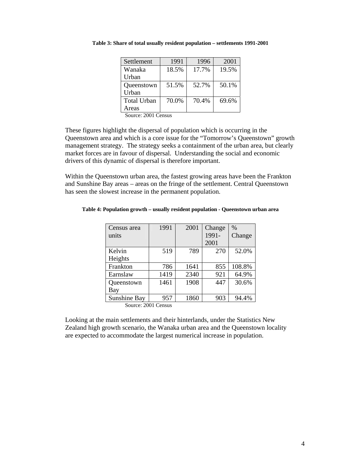| Settlement                         | 1991  | 1996  | 2001  |
|------------------------------------|-------|-------|-------|
| Wanaka                             | 18.5% | 17.7% | 19.5% |
| Urban                              |       |       |       |
| Queenstown                         | 51.5% | 52.7% | 50.1% |
| Urban                              |       |       |       |
| <b>Total Urban</b>                 | 70.0% | 70.4% | 69.6% |
| Areas                              |       |       |       |
| $S_{\alpha\mu\alpha\alpha}$ . 2001 |       |       |       |

**Table 3: Share of total usually resident population – settlements 1991-2001** 

Source: 2001 Census

These figures highlight the dispersal of population which is occurring in the Queenstown area and which is a core issue for the "Tomorrow's Queenstown" growth management strategy. The strategy seeks a containment of the urban area, but clearly market forces are in favour of dispersal. Understanding the social and economic drivers of this dynamic of dispersal is therefore important.

Within the Queenstown urban area, the fastest growing areas have been the Frankton and Sunshine Bay areas – areas on the fringe of the settlement. Central Queenstown has seen the slowest increase in the permanent population.

| Table 4: Population growth - usually resident population - Queenstown urban area |  |
|----------------------------------------------------------------------------------|--|
|----------------------------------------------------------------------------------|--|

| Census area                        | 1991                                | 2001 | Change | $\frac{0}{0}$ |
|------------------------------------|-------------------------------------|------|--------|---------------|
| units                              |                                     |      | 1991-  | Change        |
|                                    |                                     |      | 2001   |               |
| Kelvin                             | 519                                 | 789  | 270    | 52.0%         |
| Heights                            |                                     |      |        |               |
| Frankton                           | 786                                 | 1641 | 855    | 108.8%        |
| Earnslaw                           | 1419                                | 2340 | 921    | 64.9%         |
| Queenstown                         | 1461                                | 1908 | 447    | 30.6%         |
| <b>Bay</b>                         |                                     |      |        |               |
| Sunshine Bay                       | 957                                 | 1860 | 903    | 94.4%         |
| $S_{\alpha\mu\alpha\alpha}$ $2001$ | $C_{\alpha\alpha\alpha\beta\alpha}$ |      |        |               |

Source: 2001 Census

Looking at the main settlements and their hinterlands, under the Statistics New Zealand high growth scenario, the Wanaka urban area and the Queenstown locality are expected to accommodate the largest numerical increase in population.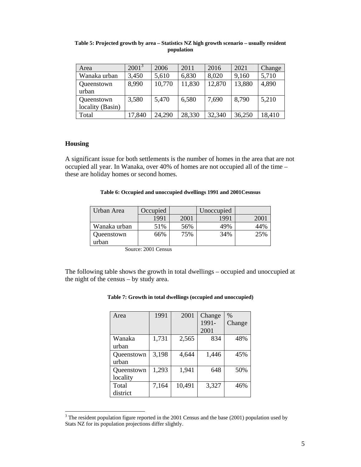| Area             | $2001^3$ | 2006   | 2011   | 2016   | 2021   | Change |
|------------------|----------|--------|--------|--------|--------|--------|
| Wanaka urban     | 3,450    | 5,610  | 6,830  | 8,020  | 9,160  | 5,710  |
| Queenstown       | 8,990    | 10,770 | 11,830 | 12,870 | 13,880 | 4,890  |
| urban            |          |        |        |        |        |        |
| Queenstown       | 3,580    | 5,470  | 6,580  | 7,690  | 8,790  | 5,210  |
| locality (Basin) |          |        |        |        |        |        |
| Total            | 17,840   | 24,290 | 28,330 | 32,340 | 36,250 | 18,410 |

#### **Table 5: Projected growth by area – Statistics NZ high growth scenario – usually resident population**

## **Housing**

A significant issue for both settlements is the number of homes in the area that are not occupied all year. In Wanaka, over 40% of homes are not occupied all of the time – these are holiday homes or second homes.

#### **Table 6: Occupied and unoccupied dwellings 1991 and 2001Cesnsus**

| Urban Area   | Occupied |      | Unoccupied |      |
|--------------|----------|------|------------|------|
|              | 1991     | 2001 | 1991       | 200. |
| Wanaka urban | 51%      | 56%  | 49%        | 44%  |
| Queenstown   | 66%      | 75%  | 34%        | 25%  |
| urban        |          |      |            |      |

Source: 2001 Census

The following table shows the growth in total dwellings – occupied and unoccupied at the night of the census – by study area.

#### **Table 7: Growth in total dwellings (occupied and unoccupied)**

| Area       | 1991  | 2001   | Change | $\%$   |
|------------|-------|--------|--------|--------|
|            |       |        | 1991-  | Change |
|            |       |        | 2001   |        |
| Wanaka     | 1,731 | 2,565  | 834    | 48%    |
| urban      |       |        |        |        |
| Queenstown | 3,198 | 4,644  | 1,446  | 45%    |
| urban      |       |        |        |        |
| Queenstown | 1,293 | 1,941  | 648    | 50%    |
| locality   |       |        |        |        |
| Total      | 7,164 | 10,491 | 3,327  | 46%    |
| district   |       |        |        |        |

<sup>&</sup>lt;sup>3</sup> The resident population figure reported in the 2001 Census and the base (2001) population used by Stats NZ for its population projections differ slightly.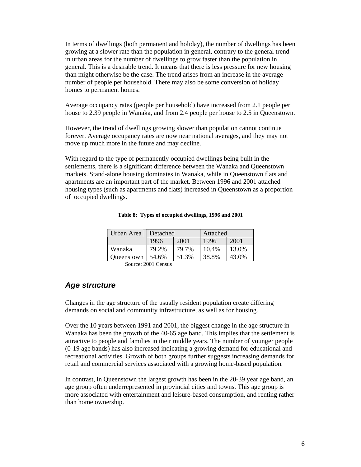In terms of dwellings (both permanent and holiday), the number of dwellings has been growing at a slower rate than the population in general, contrary to the general trend in urban areas for the number of dwellings to grow faster than the population in general. This is a desirable trend. It means that there is less pressure for new housing than might otherwise be the case. The trend arises from an increase in the average number of people per household. There may also be some conversion of holiday homes to permanent homes.

Average occupancy rates (people per household) have increased from 2.1 people per house to 2.39 people in Wanaka, and from 2.4 people per house to 2.5 in Queenstown.

However, the trend of dwellings growing slower than population cannot continue forever. Average occupancy rates are now near national averages, and they may not move up much more in the future and may decline.

With regard to the type of permanently occupied dwellings being built in the settlements, there is a significant difference between the Wanaka and Queenstown markets. Stand-alone housing dominates in Wanaka, while in Queenstown flats and apartments are an important part of the market. Between 1996 and 2001 attached housing types (such as apartments and flats) increased in Queenstown as a proportion of occupied dwellings.

| Urban Area | Detached     |       |       |       | Attached |  |
|------------|--------------|-------|-------|-------|----------|--|
|            | 2001<br>1996 |       | 1996  | 2001  |          |  |
| Wanaka     | 79.2%        | 79.7% | 10.4% | 13.0% |          |  |
| Oueenstown | 54.6%        | 51.3% | 38.8% | 43.0% |          |  |

#### **Table 8: Types of occupied dwellings, 1996 and 2001**

Source: 2001 Census

## *Age structure*

Changes in the age structure of the usually resident population create differing demands on social and community infrastructure, as well as for housing.

Over the 10 years between 1991 and 2001, the biggest change in the age structure in Wanaka has been the growth of the 40-65 age band. This implies that the settlement is attractive to people and families in their middle years. The number of younger people (0-19 age bands) has also increased indicating a growing demand for educational and recreational activities. Growth of both groups further suggests increasing demands for retail and commercial services associated with a growing home-based population.

In contrast, in Queenstown the largest growth has been in the 20-39 year age band, an age group often underrepresented in provincial cities and towns. This age group is more associated with entertainment and leisure-based consumption, and renting rather than home ownership.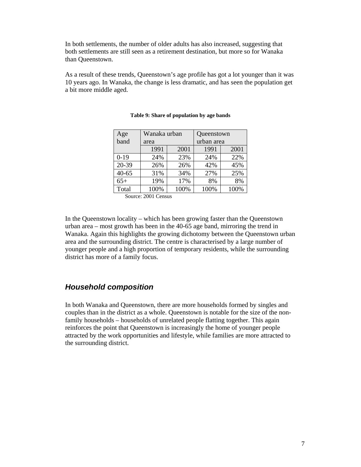In both settlements, the number of older adults has also increased, suggesting that both settlements are still seen as a retirement destination, but more so for Wanaka than Queenstown.

As a result of these trends, Queenstown's age profile has got a lot younger than it was 10 years ago. In Wanaka, the change is less dramatic, and has seen the population get a bit more middle aged.

| Age       | Wanaka urban |      | Queenstown |      |
|-----------|--------------|------|------------|------|
| band      | area         |      | urban area |      |
|           | 1991         | 2001 | 1991       | 2001 |
| $0-19$    | 24%          | 23%  | 24%        | 22%  |
| 20-39     | 26%          | 26%  | 42%        | 45%  |
| $40 - 65$ | 31%          | 34%  | 27%        | 25%  |
| $65+$     | 19%          | 17%  | 8%         | 8%   |
| Total     | 100%         | 100% | 100%       | 100% |

#### **Table 9: Share of population by age bands**

Source: 2001 Census

In the Queenstown locality – which has been growing faster than the Queenstown urban area – most growth has been in the 40-65 age band, mirroring the trend in Wanaka. Again this highlights the growing dichotomy between the Queenstown urban area and the surrounding district. The centre is characterised by a large number of younger people and a high proportion of temporary residents, while the surrounding district has more of a family focus.

## *Household composition*

In both Wanaka and Queenstown, there are more households formed by singles and couples than in the district as a whole. Queenstown is notable for the size of the nonfamily households – households of unrelated people flatting together. This again reinforces the point that Queenstown is increasingly the home of younger people attracted by the work opportunities and lifestyle, while families are more attracted to the surrounding district.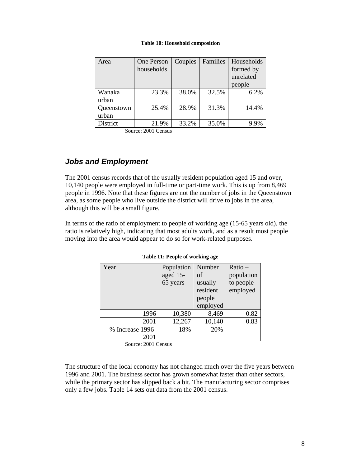#### **Table 10: Household composition**

| Area       | One Person<br>households | Couples | Families | Households<br>formed by<br>unrelated<br>people |
|------------|--------------------------|---------|----------|------------------------------------------------|
| Wanaka     | 23.3%                    | 38.0%   | 32.5%    | 6.2%                                           |
| urban      |                          |         |          |                                                |
| Queenstown | 25.4%                    | 28.9%   | 31.3%    | 14.4%                                          |
| urban      |                          |         |          |                                                |
| District   | 21.9%                    | 33.2%   | 35.0%    |                                                |

Source: 2001 Census

## *Jobs and Employment*

The 2001 census records that of the usually resident population aged 15 and over, 10,140 people were employed in full-time or part-time work. This is up from 8,469 people in 1996. Note that these figures are not the number of jobs in the Queenstown area, as some people who live outside the district will drive to jobs in the area, although this will be a small figure.

In terms of the ratio of employment to people of working age (15-65 years old), the ratio is relatively high, indicating that most adults work, and as a result most people moving into the area would appear to do so for work-related purposes.

| Year             | Population<br>aged 15-<br>65 years | Number<br>of<br>usually<br>resident<br>people<br>employed | Ratio-<br>population<br>to people<br>employed |
|------------------|------------------------------------|-----------------------------------------------------------|-----------------------------------------------|
| 1996             | 10,380                             | 8,469                                                     | 0.82                                          |
| 2001             | 12,267                             | 10,140                                                    | 0.83                                          |
| % Increase 1996- | 18%                                | 20%                                                       |                                               |
| 2001             |                                    |                                                           |                                               |

#### **Table 11: People of working age**

Source: 2001 Census

The structure of the local economy has not changed much over the five years between 1996 and 2001. The business sector has grown somewhat faster than other sectors, while the primary sector has slipped back a bit. The manufacturing sector comprises only a few jobs. Table 14 sets out data from the 2001 census.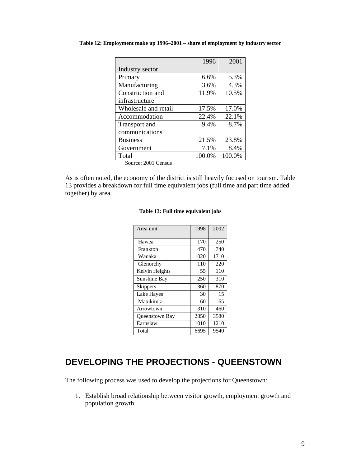|                      | 1996   | 2001   |
|----------------------|--------|--------|
| Industry sector      |        |        |
| Primary              | 6.6%   | 5.3%   |
| Manufacturing        | 3.6%   | 4.3%   |
| Construction and     | 11.9%  | 10.5%  |
| infrastructure       |        |        |
| Wholesale and retail | 17.5%  | 17.0%  |
| Accommodation        | 22.4%  | 22.1%  |
| Transport and        | 9.4%   | 8.7%   |
| communications       |        |        |
| <b>Business</b>      | 21.5%  | 23.8%  |
| Government           | 7.1%   | 8.4%   |
| Total                | 100.0% | 100.0% |

**Table 12: Employment make up 1996–2001 – share of employment by industry sector** 

Source: 2001 Census

As is often noted, the economy of the district is still heavily focused on tourism. Table 13 provides a breakdown for full time equivalent jobs (full time and part time added together) by area.

| Area unit       | 1998 | 2002 |
|-----------------|------|------|
| Hawea           | 170  | 250  |
| Frankton        | 470  | 740  |
| Wanaka          | 1020 | 1710 |
| Glenorchy       | 110  | 220  |
| Kelvin Heights  | 55   | 110  |
| Sunshine Bay    | 250  | 310  |
| <b>Skippers</b> | 360  | 870  |
| Lake Hayes      | 30   | 15   |
| Matukituki      | 60   | 65   |
| Arrowtown       | 310  | 460  |
| Queenstown Bay  | 2850 | 3580 |
| Earnslaw        | 1010 | 1210 |
| Total           | 6695 | 9540 |

#### **Table 13: Full time equivalent jobs**

# **DEVELOPING THE PROJECTIONS - QUEENSTOWN**

The following process was used to develop the projections for Queenstown:

1. Establish broad relationship between visitor growth, employment growth and population growth.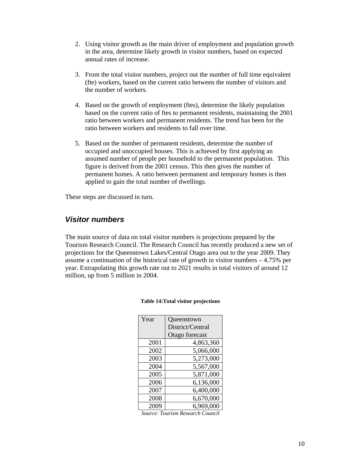- 2. Using visitor growth as the main driver of employment and population growth in the area, determine likely growth in visitor numbers, based on expected annual rates of increase.
- 3. From the total visitor numbers, project out the number of full time equivalent (fte) workers, based on the current ratio between the number of visitors and the number of workers.
- 4. Based on the growth of employment (ftes), determine the likely population based on the current ratio of ftes to permanent residents, maintaining the 2001 ratio between workers and permanent residents. The trend has been for the ratio between workers and residents to fall over time.
- 5. Based on the number of permanent residents, determine the number of occupied and unoccupied houses. This is achieved by first applying an assumed number of people per household to the permanent population. This figure is derived from the 2001 census. This then gives the number of permanent homes. A ratio between permanent and temporary homes is then applied to gain the total number of dwellings.

These steps are discussed in turn.

## *Visitor numbers*

The main source of data on total visitor numbers is projections prepared by the Tourism Research Council. The Research Council has recently produced a new set of projections for the Queenstown Lakes/Central Otago area out to the year 2009. They assume a continuation of the historical rate of growth in visitor numbers – 4.75% per year. Extrapolating this growth rate out to 2021 results in total visitors of around 12 million, up from 5 million in 2004.

| Year | Queenstown       |
|------|------------------|
|      | District/Central |
|      | Otago forecast   |
| 2001 | 4,863,360        |
| 2002 | 5,066,000        |
| 2003 | 5,273,000        |
| 2004 | 5,567,000        |
| 2005 | 5,871,000        |
| 2006 | 6,136,000        |
| 2007 | 6,400,000        |
| 2008 | 6,670,000        |
| 2009 | 6,969,000        |

#### **Table 14:Total visitor projections**

*Source: Tourism Research Council*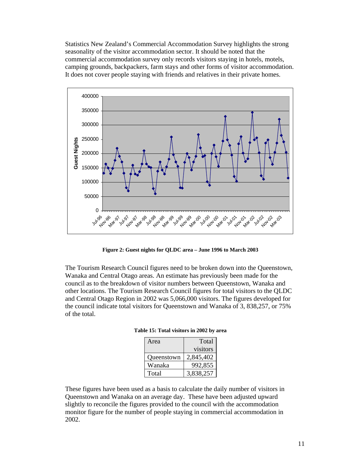Statistics New Zealand's Commercial Accommodation Survey highlights the strong seasonality of the visitor accommodation sector. It should be noted that the commercial accommodation survey only records visitors staying in hotels, motels, camping grounds, backpackers, farm stays and other forms of visitor accommodation. It does not cover people staying with friends and relatives in their private homes.



**Figure 2: Guest nights for QLDC area – June 1996 to March 2003** 

The Tourism Research Council figures need to be broken down into the Queenstown, Wanaka and Central Otago areas. An estimate has previously been made for the council as to the breakdown of visitor numbers between Queenstown, Wanaka and other locations. The Tourism Research Council figures for total visitors to the QLDC and Central Otago Region in 2002 was 5,066,000 visitors. The figures developed for the council indicate total visitors for Queenstown and Wanaka of 3, 838,257, or 75% of the total.

| Area       | Total     |
|------------|-----------|
|            | visitors  |
| Queenstown | 2,845,402 |
| Wanaka     | 992,855   |
| Total      | 3,838,257 |

| Table 15: Total visitors in 2002 by area |  |  |  |  |  |  |  |
|------------------------------------------|--|--|--|--|--|--|--|
|------------------------------------------|--|--|--|--|--|--|--|

These figures have been used as a basis to calculate the daily number of visitors in Queenstown and Wanaka on an average day. These have been adjusted upward slightly to reconcile the figures provided to the council with the accommodation monitor figure for the number of people staying in commercial accommodation in 2002.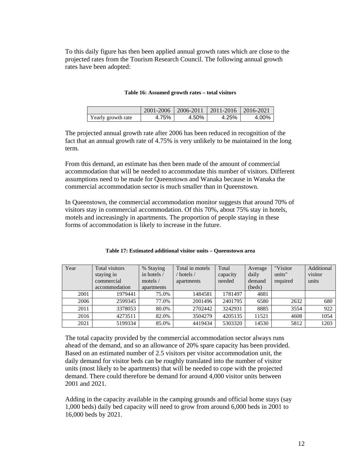To this daily figure has then been applied annual growth rates which are close to the projected rates from the Tourism Research Council. The following annual growth rates have been adopted:

#### **Table 16: Assumed growth rates – total visitors**

|                    | $2001 - 2006$   2006-2011 |       | 2011-2016   2016-2021 |       |
|--------------------|---------------------------|-------|-----------------------|-------|
| Yearly growth rate | 4.75%                     | 4.50% | 4.25%                 | 4.00% |

The projected annual growth rate after 2006 has been reduced in recognition of the fact that an annual growth rate of 4.75% is very unlikely to be maintained in the long term.

From this demand, an estimate has then been made of the amount of commercial accommodation that will be needed to accommodate this number of visitors. Different assumptions need to be made for Queenstown and Wanaka because in Wanaka the commercial accommodation sector is much smaller than in Queenstown.

In Queenstown, the commercial accommodation monitor suggests that around 70% of visitors stay in commercial accommodation. Of this 70%, about 75% stay in hotels, motels and increasingly in apartments. The proportion of people staying in these forms of accommodation is likely to increase in the future.

| Year | <b>Total visitors</b> | % Staying   | Total in motels | Total    | Average | "Visitor | Additional |
|------|-----------------------|-------------|-----------------|----------|---------|----------|------------|
|      | staying in            | in hotels / | $'$ hotels $/$  | capacity | daily   | units"   | visitor    |
|      | commercial            | motels $/$  | apartments      | needed   | demand  | required | units      |
|      | accommodation         | apartments  |                 |          | (beds)  |          |            |
| 2001 | 1979441               | 75.0%       | 1484581         | 1781497  | 4881    |          |            |
| 2006 | 2599345               | 77.0%       | 2001496         | 2401795  | 6580    | 2632     | 680        |
| 2011 | 3378053               | 80.0%       | 2702442         | 3242931  | 8885    | 3554     | 922        |
| 2016 | 4273511               | 82.0%       | 3504279         | 4205135  | 11521   | 4608     | 1054       |
| 2021 | 5199334               | 85.0%       | 4419434         | 5303320  | 14530   | 5812     | 1203       |

The total capacity provided by the commercial accommodation sector always runs ahead of the demand, and so an allowance of 20% spare capacity has been provided. Based on an estimated number of 2.5 visitors per visitor accommodation unit, the daily demand for visitor beds can be roughly translated into the number of visitor units (most likely to be apartments) that will be needed to cope with the projected demand. There could therefore be demand for around 4,000 visitor units between 2001 and 2021.

Adding in the capacity available in the camping grounds and official home stays (say 1,000 beds) daily bed capacity will need to grow from around 6,000 beds in 2001 to 16,000 beds by 2021.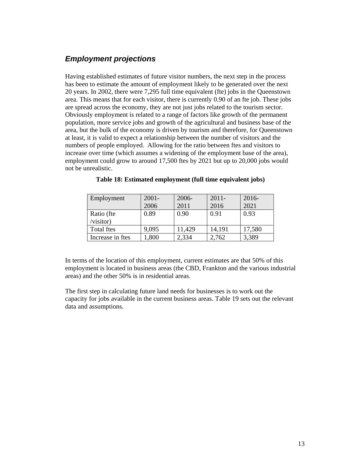## *Employment projections*

Having established estimates of future visitor numbers, the next step in the process has been to estimate the amount of employment likely to be generated over the next 20 years. In 2002, there were 7,295 full time equivalent (fte) jobs in the Queenstown area. This means that for each visitor, there is currently 0.90 of an fte job. These jobs are spread across the economy, they are not just jobs related to the tourism sector. Obviously employment is related to a range of factors like growth of the permanent population, more service jobs and growth of the agricultural and business base of the area, but the bulk of the economy is driven by tourism and therefore, for Queenstown at least, it is valid to expect a relationship between the number of visitors and the numbers of people employed. Allowing for the ratio between ftes and visitors to increase over time (which assumes a widening of the employment base of the area), employment could grow to around 17,500 ftes by 2021 but up to 20,000 jobs would not be unrealistic.

| Employment       | $2001 -$ | 2006-  | $2011 -$ | $2016-$ |
|------------------|----------|--------|----------|---------|
|                  | 2006     | 2011   | 2016     | 2021    |
| Ratio (fte       | 0.89     | 0.90   | 0.91     | 0.93    |
| /visitor)        |          |        |          |         |
| Total ftes       | 9,095    | 11,429 | 14,191   | 17,580  |
| Increase in ftes | .800     | 2,334  | 2,762    | 3,389   |

In terms of the location of this employment, current estimates are that 50% of this employment is located in business areas (the CBD, Frankton and the various industrial areas) and the other 50% is in residential areas.

The first step in calculating future land needs for businesses is to work out the capacity for jobs available in the current business areas. Table 19 sets out the relevant data and assumptions.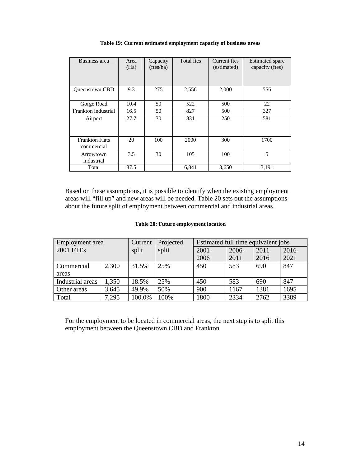| Business area         | Area | Capacity  | Total ftes | Current ftes | <b>Estimated spare</b> |
|-----------------------|------|-----------|------------|--------------|------------------------|
|                       | (Ha) | (ftes/ha) |            | (estimated)  | capacity (ftes)        |
|                       |      |           |            |              |                        |
|                       |      |           |            |              |                        |
|                       |      |           |            |              |                        |
| <b>Oueenstown CBD</b> | 9.3  | 275       | 2,556      | 2,000        | 556                    |
|                       |      |           |            |              |                        |
| Gorge Road            | 10.4 | 50        | 522        | 500          | 22                     |
| Frankton industrial   | 16.5 | 50        | 827        | 500          | 327                    |
| Airport               | 27.7 | 30        | 831        | 250          | 581                    |
|                       |      |           |            |              |                        |
|                       |      |           |            |              |                        |
|                       |      |           |            |              |                        |
| <b>Frankton Flats</b> | 20   | 100       | 2000       | 300          | 1700                   |
| commercial            |      |           |            |              |                        |
| Arrowtown             | 3.5  | 30        | 105        | 100          | 5                      |
| industrial            |      |           |            |              |                        |
| Total                 | 87.5 |           | 6,841      | 3,650        | 3,191                  |

#### **Table 19: Current estimated employment capacity of business areas**

Based on these assumptions, it is possible to identify when the existing employment areas will "fill up" and new areas will be needed. Table 20 sets out the assumptions about the future split of employment between commercial and industrial areas.

#### **Table 20: Future employment location**

| Employment area  |       | Current | Projected | Estimated full time equivalent jobs |       |          |          |
|------------------|-------|---------|-----------|-------------------------------------|-------|----------|----------|
| 2001 FTEs        |       | split   | split     | $2001 -$                            | 2006- | $2011 -$ | $2016 -$ |
|                  |       |         |           | 2006                                | 2011  | 2016     | 2021     |
| Commercial       | 2,300 | 31.5%   | 25%       | 450                                 | 583   | 690      | 847      |
| areas            |       |         |           |                                     |       |          |          |
| Industrial areas | 1,350 | 18.5%   | 25%       | 450                                 | 583   | 690      | 847      |
| Other areas      | 3,645 | 49.9%   | 50%       | 900                                 | 1167  | 1381     | 1695     |
| Total            | 7,295 | 100.0%  | 100%      | 1800                                | 2334  | 2762     | 3389     |

For the employment to be located in commercial areas, the next step is to split this employment between the Queenstown CBD and Frankton.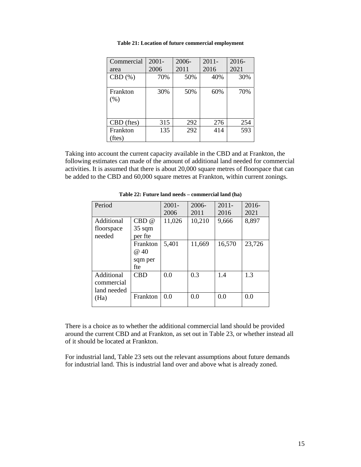| Commercial         | $2001 -$ | 2006- | $2011 -$ | 2016- |
|--------------------|----------|-------|----------|-------|
| area               | 2006     | 2011  | 2016     | 2021  |
| CBD(%)             | 70%      | 50%   | 40%      | 30%   |
| Frankton<br>(% )   | 30%      | 50%   | 60%      | 70%   |
| CBD (ftes)         | 315      | 292   | 276      | 254   |
| Frankton<br>(ftes) | 135      | 292   | 414      | 593   |

**Table 21: Location of future commercial employment** 

Taking into account the current capacity available in the CBD and at Frankton, the following estimates can made of the amount of additional land needed for commercial activities. It is assumed that there is about 20,000 square metres of floorspace that can be added to the CBD and 60,000 square metres at Frankton, within current zonings.

| Period      |                  | $2001 -$ | $2006 -$ | $2011 -$ | $2016-$ |
|-------------|------------------|----------|----------|----------|---------|
|             |                  | 2006     | 2011     | 2016     | 2021    |
| Additional  | CBD@             | 11,026   | 10,210   | 9,666    | 8,897   |
| floorspace  | $35 \text{ sqm}$ |          |          |          |         |
| needed      | per fte          |          |          |          |         |
|             | Frankton         | 5,401    | 11,669   | 16,570   | 23,726  |
|             | @40              |          |          |          |         |
|             | sqm per          |          |          |          |         |
|             | fte              |          |          |          |         |
| Additional  | <b>CBD</b>       | 0.0      | 0.3      | 1.4      | 1.3     |
| commercial  |                  |          |          |          |         |
| land needed |                  |          |          |          |         |
| (Ha)        | Frankton         | 0.0      | 0.0      | 0.0      | 0.0     |
|             |                  |          |          |          |         |

**Table 22: Future land needs – commercial land (ha)** 

There is a choice as to whether the additional commercial land should be provided around the current CBD and at Frankton, as set out in Table 23, or whether instead all of it should be located at Frankton.

For industrial land, Table 23 sets out the relevant assumptions about future demands for industrial land. This is industrial land over and above what is already zoned.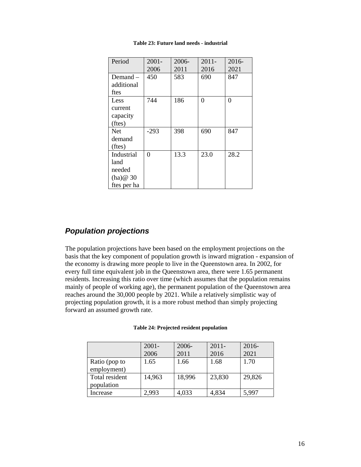| Period                                                 | $2001 -$ | 2006- | $2011 -$ | 2016-    |
|--------------------------------------------------------|----------|-------|----------|----------|
|                                                        | 2006     | 2011  | 2016     | 2021     |
| Demand $-$<br>additional<br>ftes                       | 450      | 583   | 690      | 847      |
| Less<br>current<br>capacity<br>(ftes)                  | 744      | 186   | 0        | $\Omega$ |
| <b>Net</b><br>demand<br>(ftes)                         | $-293$   | 398   | 690      | 847      |
| Industrial<br>land<br>needed<br>(ha)@30<br>ftes per ha | 0        | 13.3  | 23.0     | 28.2     |

**Table 23: Future land needs - industrial** 

## *Population projections*

The population projections have been based on the employment projections on the basis that the key component of population growth is inward migration - expansion of the economy is drawing more people to live in the Queenstown area. In 2002, for every full time equivalent job in the Queenstown area, there were 1.65 permanent residents. Increasing this ratio over time (which assumes that the population remains mainly of people of working age), the permanent population of the Queenstown area reaches around the 30,000 people by 2021. While a relatively simplistic way of projecting population growth, it is a more robust method than simply projecting forward an assumed growth rate.

|                | $2001 -$ | 2006-  | $2011 -$ | $2016 -$ |
|----------------|----------|--------|----------|----------|
|                | 2006     | 2011   | 2016     | 2021     |
| Ratio (pop to  | 1.65     | 1.66   | 1.68     | 1.70     |
| employment)    |          |        |          |          |
| Total resident | 14,963   | 18,996 | 23,830   | 29,826   |
| population     |          |        |          |          |
| Increase       | 2,993    | 4,033  | 4,834    | 5,997    |

#### **Table 24: Projected resident population**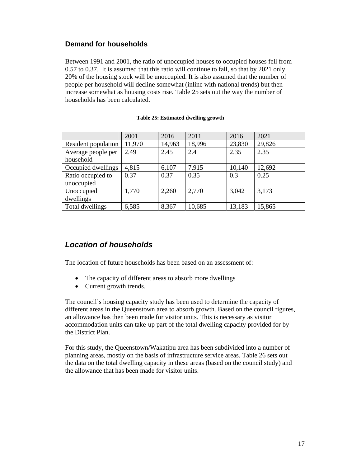## **Demand for households**

Between 1991 and 2001, the ratio of unoccupied houses to occupied houses fell from 0.57 to 0.37. It is assumed that this ratio will continue to fall, so that by 2021 only 20% of the housing stock will be unoccupied. It is also assumed that the number of people per household will decline somewhat (inline with national trends) but then increase somewhat as housing costs rise. Table 25 sets out the way the number of households has been calculated.

## **Table 25: Estimated dwelling growth**

|                     | 2001   | 2016   | 2011   | 2016   | 2021   |
|---------------------|--------|--------|--------|--------|--------|
| Resident population | 11,970 | 14,963 | 18,996 | 23,830 | 29,826 |
| Average people per  | 2.49   | 2.45   | 2.4    | 2.35   | 2.35   |
| household           |        |        |        |        |        |
| Occupied dwellings  | 4,815  | 6,107  | 7,915  | 10,140 | 12,692 |
| Ratio occupied to   | 0.37   | 0.37   | 0.35   | 0.3    | 0.25   |
| unoccupied          |        |        |        |        |        |
| Unoccupied          | 1,770  | 2,260  | 2,770  | 3,042  | 3,173  |
| dwellings           |        |        |        |        |        |
| Total dwellings     | 6,585  | 8,367  | 10,685 | 13,183 | 15,865 |

## *Location of households*

The location of future households has been based on an assessment of:

- The capacity of different areas to absorb more dwellings
- Current growth trends.

The council's housing capacity study has been used to determine the capacity of different areas in the Queenstown area to absorb growth. Based on the council figures, an allowance has then been made for visitor units. This is necessary as visitor accommodation units can take-up part of the total dwelling capacity provided for by the District Plan.

For this study, the Queenstown/Wakatipu area has been subdivided into a number of planning areas, mostly on the basis of infrastructure service areas. Table 26 sets out the data on the total dwelling capacity in these areas (based on the council study) and the allowance that has been made for visitor units.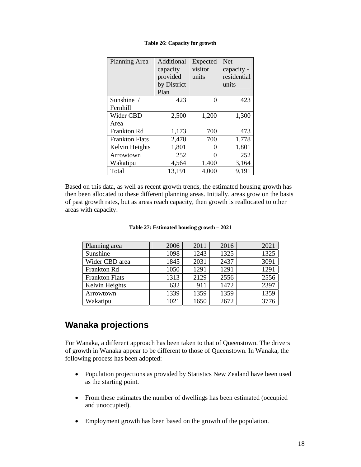| <b>Planning Area</b>  | Additional<br>capacity<br>provided<br>by District<br>Plan | Expected<br>visitor<br>units | <b>Net</b><br>capacity -<br>residential<br>units |
|-----------------------|-----------------------------------------------------------|------------------------------|--------------------------------------------------|
| Sunshine /            | 423                                                       | 0                            | 423                                              |
| Fernhill              |                                                           |                              |                                                  |
| Wider CBD             | 2,500                                                     | 1,200                        | 1,300                                            |
| Area                  |                                                           |                              |                                                  |
| Frankton Rd           | 1,173                                                     | 700                          | 473                                              |
| <b>Frankton Flats</b> | 2,478                                                     | 700                          | 1,778                                            |
| Kelvin Heights        | 1,801                                                     | 0                            | 1,801                                            |
| Arrowtown             | 252                                                       | $\mathbf{\Omega}$            | 252                                              |
| Wakatipu              | 4,564                                                     | 1,400                        | 3,164                                            |
| Total                 | 13,191                                                    | 4,000                        | 9,191                                            |

#### **Table 26: Capacity for growth**

Based on this data, as well as recent growth trends, the estimated housing growth has then been allocated to these different planning areas. Initially, areas grow on the basis of past growth rates, but as areas reach capacity, then growth is reallocated to other areas with capacity.

| Planning area         | 2006 | 2011 | 2016 | 2021 |
|-----------------------|------|------|------|------|
| Sunshine              | 1098 | 1243 | 1325 | 1325 |
| Wider CBD area        | 1845 | 2031 | 2437 | 3091 |
| Frankton Rd           | 1050 | 1291 | 1291 | 1291 |
| <b>Frankton Flats</b> | 1313 | 2129 | 2556 | 2556 |
| Kelvin Heights        | 632  | 911  | 1472 | 2397 |
| Arrowtown             | 1339 | 1359 | 1359 | 1359 |
| Wakatipu              | 1021 | 1650 | 2672 | 3776 |

## **Wanaka projections**

For Wanaka, a different approach has been taken to that of Queenstown. The drivers of growth in Wanaka appear to be different to those of Queenstown. In Wanaka, the following process has been adopted:

- Population projections as provided by Statistics New Zealand have been used as the starting point.
- From these estimates the number of dwellings has been estimated (occupied and unoccupied).
- Employment growth has been based on the growth of the population.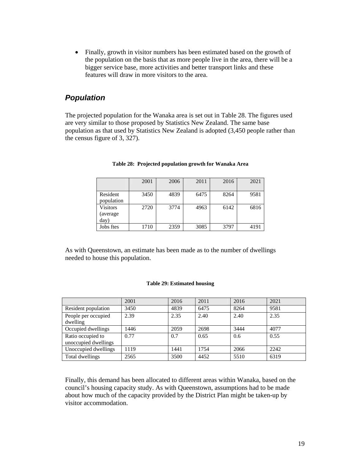• Finally, growth in visitor numbers has been estimated based on the growth of the population on the basis that as more people live in the area, there will be a bigger service base, more activities and better transport links and these features will draw in more visitors to the area.

## *Population*

The projected population for the Wanaka area is set out in Table 28. The figures used are very similar to those proposed by Statistics New Zealand. The same base population as that used by Statistics New Zealand is adopted (3,450 people rather than the census figure of 3, 327).

|                                      | 2001 | 2006 | 2011 | 2016 | 2021 |
|--------------------------------------|------|------|------|------|------|
| Resident<br>population               | 3450 | 4839 | 6475 | 8264 | 9581 |
| <b>Visitors</b><br>(average)<br>day) | 2720 | 3774 | 4963 | 6142 | 6816 |
| Jobs ftes                            | 1710 | 2359 | 3085 | 3797 | 4191 |

#### **Table 28: Projected population growth for Wanaka Area**

As with Queenstown, an estimate has been made as to the number of dwellings needed to house this population.

#### **Table 29: Estimated housing**

|                                           | 2001 | 2016 | 2011 | 2016 | 2021 |
|-------------------------------------------|------|------|------|------|------|
| Resident population                       | 3450 | 4839 | 6475 | 8264 | 9581 |
| People per occupied<br>dwelling           | 2.39 | 2.35 | 2.40 | 2.40 | 2.35 |
| Occupied dwellings                        | 1446 | 2059 | 2698 | 3444 | 4077 |
| Ratio occupied to<br>unoccupied dwellings | 0.77 | 0.7  | 0.65 | 0.6  | 0.55 |
| Unoccupied dwellings                      | 1119 | 1441 | 1754 | 2066 | 2242 |
| Total dwellings                           | 2565 | 3500 | 4452 | 5510 | 6319 |

Finally, this demand has been allocated to different areas within Wanaka, based on the council's housing capacity study. As with Queenstown, assumptions had to be made about how much of the capacity provided by the District Plan might be taken-up by visitor accommodation.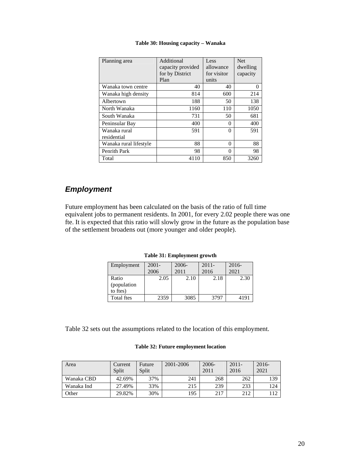| Planning area               | Additional<br>capacity provided<br>for by District<br>Plan | Less<br>allowance<br>for visitor<br>units | <b>Net</b><br>dwelling<br>capacity |
|-----------------------------|------------------------------------------------------------|-------------------------------------------|------------------------------------|
| Wanaka town centre          | 40                                                         | 40                                        | 0                                  |
| Wanaka high density         | 814                                                        | 600                                       | 214                                |
| Albertown                   | 188                                                        | 50                                        | 138                                |
| North Wanaka                | 1160                                                       | 110                                       | 1050                               |
| South Wanaka                | 731                                                        | 50                                        | 681                                |
| Peninsular Bay              | 400                                                        | 0                                         | 400                                |
| Wanaka rural<br>residential | 591                                                        | 0                                         | 591                                |
| Wanaka rural lifestyle      | 88                                                         | 0                                         | 88                                 |
| Penrith Park                | 98                                                         | 0                                         | 98                                 |
| Total                       | 4110                                                       | 850                                       | 3260                               |

#### **Table 30: Housing capacity – Wanaka**

#### *Employment*

Future employment has been calculated on the basis of the ratio of full time equivalent jobs to permanent residents. In 2001, for every 2.02 people there was one fte. It is expected that this ratio will slowly grow in the future as the population base of the settlement broadens out (more younger and older people).

**Table 31: Employment growth** 

| Employment  | $2001 -$ | $2006 -$ | $2011 -$ | $2016-$ |
|-------------|----------|----------|----------|---------|
|             | 2006     | 2011     | 2016     | 2021    |
| Ratio       | 2.05     | 2.10     | 2.18     | 2.30    |
| (population |          |          |          |         |
| to ftes)    |          |          |          |         |
| Total ftes  | 2359     | 3085     | 3797     | 4191    |

Table 32 sets out the assumptions related to the location of this employment.

#### **Table 32: Future employment location**

| Area       | Current<br>Split | Future<br>Split | 2001-2006 | $2006 -$<br>2011 | $2011 -$<br>2016 | $2016-$<br>2021 |
|------------|------------------|-----------------|-----------|------------------|------------------|-----------------|
| Wanaka CBD | 42.69%           | 37%             | 241       | 268              | 262              | 139             |
| Wanaka Ind | 27.49%           | 33%             | 215       | 239              | 233              | 124             |
| Other      | 29.82%           | 30%             | 195       | 217              | 212              |                 |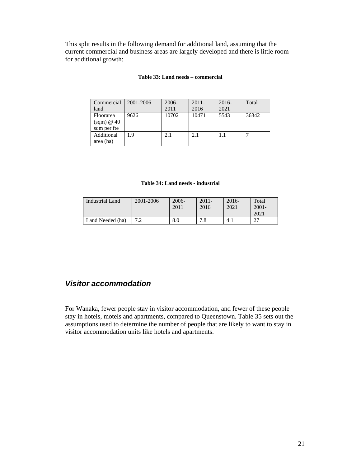This split results in the following demand for additional land, assuming that the current commercial and business areas are largely developed and there is little room for additional growth:

#### **Table 33: Land needs – commercial**

| Commercial<br>land                                    | 2001-2006 | 2006-<br>2011 | $2011 -$<br>2016 | $2016-$<br>2021 | Total |
|-------------------------------------------------------|-----------|---------------|------------------|-----------------|-------|
| Floorarea<br>$\text{(sgm)} \otimes 40$<br>sqm per fte | 9626      | 10702         | 10471            | 5543            | 36342 |
| Additional<br>area (ha)                               | 1.9       | 2.1           | 2.1              |                 |       |

#### **Table 34: Land needs - industrial**

| 2001-2006 | $2006 -$<br>2011 | $2011 -$<br>2016 | $2016 -$<br>2021 | Total<br>$2001 -$<br>2021 |
|-----------|------------------|------------------|------------------|---------------------------|
|           |                  | 70               |                  | $\sim$                    |
|           |                  | 8.0              | ه.               | 4.1                       |

#### *Visitor accommodation*

For Wanaka, fewer people stay in visitor accommodation, and fewer of these people stay in hotels, motels and apartments, compared to Queenstown. Table 35 sets out the assumptions used to determine the number of people that are likely to want to stay in visitor accommodation units like hotels and apartments.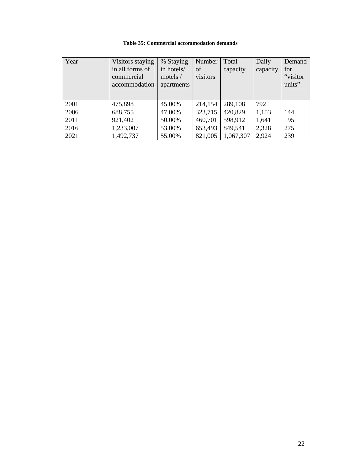|  |  | Table 35: Commercial accommodation demands |  |
|--|--|--------------------------------------------|--|
|--|--|--------------------------------------------|--|

| Year | Visitors staying                               | % Staying                              | Number         | Total     | Daily    | Demand                     |
|------|------------------------------------------------|----------------------------------------|----------------|-----------|----------|----------------------------|
|      | in all forms of<br>commercial<br>accommodation | in hotels/<br>motels $/$<br>apartments | of<br>visitors | capacity  | capacity | for<br>"visitor"<br>units" |
| 2001 | 475,898                                        | 45.00%                                 | 214,154        | 289,108   | 792      |                            |
| 2006 | 688,755                                        | 47.00%                                 | 323,715        | 420,829   | 1,153    | 144                        |
| 2011 | 921,402                                        | 50.00%                                 | 460,701        | 598,912   | 1,641    | 195                        |
| 2016 | 1,233,007                                      | 53.00%                                 | 653,493        | 849,541   | 2,328    | 275                        |
| 2021 | 1,492,737                                      | 55.00%                                 | 821,005        | 1,067,307 | 2,924    | 239                        |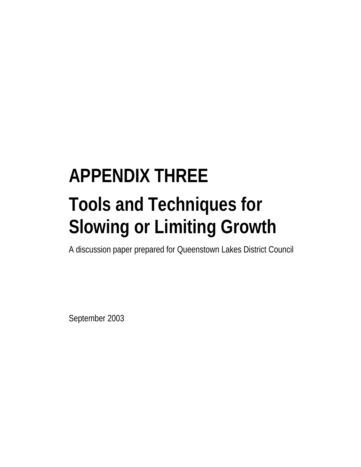# **APPENDIX THREE Tools and Techniques for Slowing or Limiting Growth**

A discussion paper prepared for Queenstown Lakes District Council

September 2003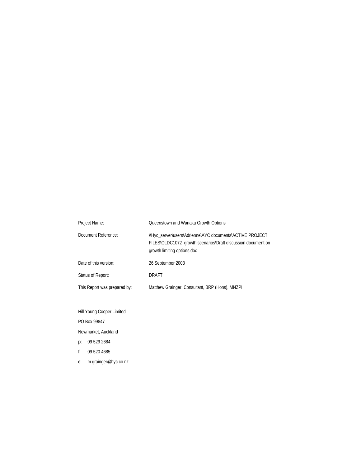| Project Name:                | Queenstown and Wanaka Growth Options                                                                                                                    |
|------------------------------|---------------------------------------------------------------------------------------------------------------------------------------------------------|
| Document Reference:          | \\Hyc_server\users\Adrienne\AYC documents\ACTIVE PROJECT<br>FILES\QLDC1072 growth scenarios\Draft discussion document on<br>growth limiting options.doc |
| Date of this version:        | 26 September 2003                                                                                                                                       |
| Status of Report:            | DRAFT                                                                                                                                                   |
| This Report was prepared by: | Matthew Grainger, Consultant, BRP (Hons), MNZPI                                                                                                         |

Hill Young Cooper Limited

PO Box 99847

Newmarket, Auckland

- **p**: 09 529 2684
- **f**: 09 520 4685
- **e**: m.grainger@hyc.co.nz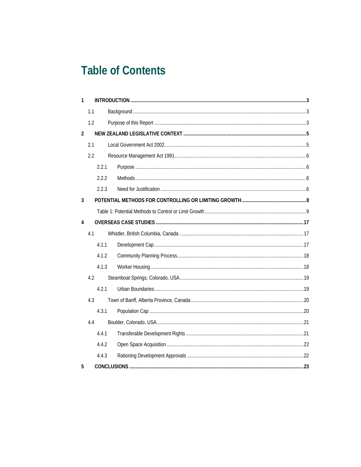# **Table of Contents**

| $\mathbf{1}$   |     |       |  |
|----------------|-----|-------|--|
|                | 1.1 |       |  |
|                | 1.2 |       |  |
| $\overline{2}$ |     |       |  |
|                | 2.1 |       |  |
|                | 2.2 |       |  |
|                |     | 2.2.1 |  |
|                |     | 2.2.2 |  |
|                |     | 2.2.3 |  |
| 3              |     |       |  |
|                |     |       |  |
| 4              |     |       |  |
|                | 4.1 |       |  |
|                |     | 4.1.1 |  |
|                |     | 4.1.2 |  |
|                |     | 4.1.3 |  |
|                | 4.2 |       |  |
|                |     | 4.2.1 |  |
|                | 4.3 |       |  |
|                |     | 4.3.1 |  |
|                | 4.4 |       |  |
|                |     | 4.4.1 |  |
|                |     | 4.4.2 |  |
|                |     | 4.4.3 |  |
| 5              |     |       |  |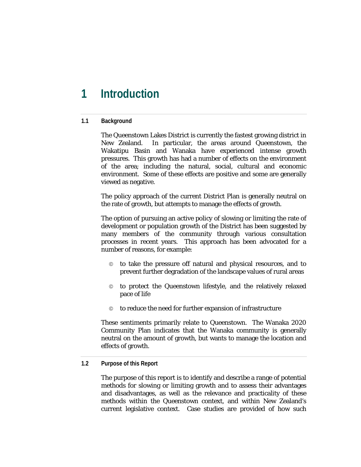# **1 Introduction**

#### **1.1 Background**

The Queenstown Lakes District is currently the fastest growing district in New Zealand. In particular, the areas around Queenstown, the Wakatipu Basin and Wanaka have experienced intense growth pressures. This growth has had a number of effects on the environment of the area; including the natural, social, cultural and economic environment. Some of these effects are positive and some are generally viewed as negative.

The policy approach of the current District Plan is generally neutral on the rate of growth, but attempts to manage the effects of growth.

The option of pursuing an active policy of slowing or limiting the rate of development or population growth of the District has been suggested by many members of the community through various consultation processes in recent years. This approach has been advocated for a number of reasons, for example:

- © to take the pressure off natural and physical resources, and to prevent further degradation of the landscape values of rural areas
- © to protect the Queenstown lifestyle, and the relatively relaxed pace of life
- © to reduce the need for further expansion of infrastructure

These sentiments primarily relate to Queenstown. The Wanaka 2020 Community Plan indicates that the Wanaka community is generally neutral on the amount of growth, but wants to manage the location and effects of growth.

#### **1.2 Purpose of this Report**

The purpose of this report is to identify and describe a range of potential methods for slowing or limiting growth and to assess their advantages and disadvantages, as well as the relevance and practicality of these methods within the Queenstown context, and within New Zealand's current legislative context. Case studies are provided of how such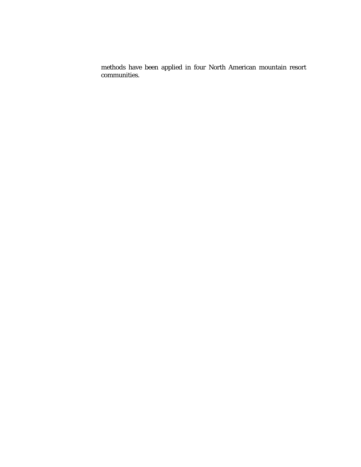methods have been applied in four North American mountain resort communities.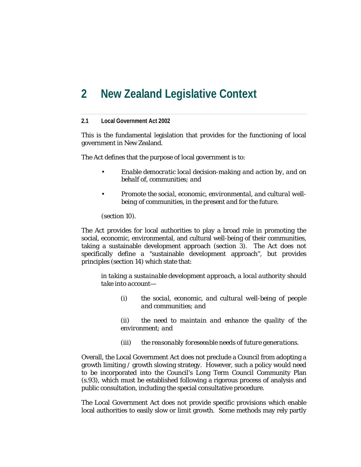# **2 New Zealand Legislative Context**

#### **2.1 Local Government Act 2002**

This is the fundamental legislation that provides for the functioning of local government in New Zealand.

The Act defines that the purpose of local government is to:

- *Enable democratic local decision-making and action by, and on behalf of, communities; and*
- *Promote the social, economic, environmental, and cultural wellbeing of communities, in the present and for the future.*

(section 10)*.* 

The Act provides for local authorities to play a broad role in promoting the social, economic, environmental, and cultural well-being of their communities, taking a sustainable development approach (section 3). The Act does not specifically define a "sustainable development approach", but provides principles (section 14) which state that:

*in taking a sustainable development approach, a local authority should take into account—* 

*(i) the social, economic, and cultural well-being of people and communities; and* 

*(ii) the need to maintain and enhance the quality of the environment; and* 

*(iii) the reasonably foreseeable needs of future generations.* 

Overall, the Local Government Act does not preclude a Council from adopting a growth limiting / growth slowing strategy. However, such a policy would need to be incorporated into the Council's Long Term Council Community Plan (s.93), which must be established following a rigorous process of analysis and public consultation, including the special consultative procedure.

The Local Government Act does not provide specific provisions which enable local authorities to easily slow or limit growth. Some methods may rely partly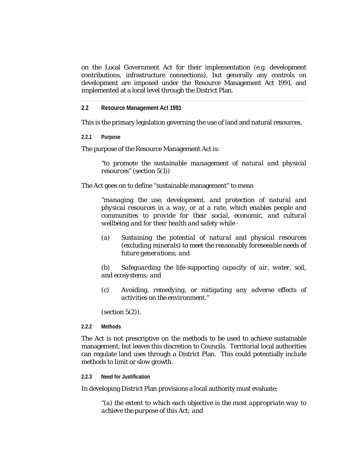on the Local Government Act for their implementation (e.g. development contributions, infrastructure connections), but generally any controls on development are imposed under the Resource Management Act 1991, and implemented at a local level through the District Plan.

**2.2 Resource Management Act 1991** 

This is the primary legislation governing the use of land and natural resources.

**2.2.1 Purpose** 

The purpose of the Resource Management Act is:

*"to promote the sustainable management of natural and physical resources"* (section 5(1))

The Act goes on to define "sustainable management" to mean

*"managing the use, development, and protection of natural and physical resources in a way, or at a rate, which enables people and communities to provide for their social, economic, and cultural wellbeing and for their health and safety while -* 

*(a) Sustaining the potential of natural and physical resources (excluding minerals) to meet the reasonably foreseeable needs of future generations; and* 

*(b) Safeguarding the life-supporting capacity of air, water, soil, and ecosystems; and* 

*(c) Avoiding, remedying, or mitigating any adverse effects of activities on the environment."*

(section 5(2)).

#### **2.2.2 Methods**

The Act is not prescriptive on the methods to be used to achieve sustainable management, but leaves this discretion to Councils. Territorial local authorities can regulate land uses through a District Plan. This could potentially include methods to limit or slow growth.

#### **2.2.3 Need for Justification**

In developing District Plan provisions a local authority must evaluate:

*"(a) the extent to which each objective is the most appropriate way to achieve the purpose of this Act; and*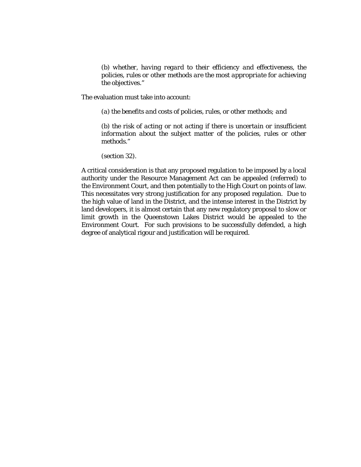*(b) whether, having regard to their efficiency and effectiveness, the policies, rules or other methods are the most appropriate for achieving the objectives."* 

The evaluation must take into account:

*(a) the benefits and costs of policies, rules, or other methods; and* 

*(b) the risk of acting or not acting if there is uncertain or insufficient information about the subject matter of the policies, rules or other methods."* 

(section 32).

A critical consideration is that any proposed regulation to be imposed by a local authority under the Resource Management Act can be appealed (referred) to the Environment Court, and then potentially to the High Court on points of law. This necessitates very strong justification for any proposed regulation. Due to the high value of land in the District, and the intense interest in the District by land developers, it is almost certain that any new regulatory proposal to slow or limit growth in the Queenstown Lakes District would be appealed to the Environment Court. For such provisions to be successfully defended, a high degree of analytical rigour and justification will be required.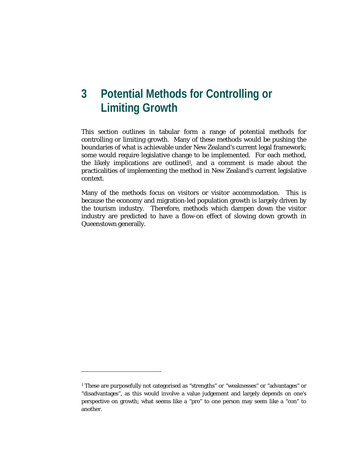# **3 Potential Methods for Controlling or Limiting Growth**

This section outlines in tabular form a range of potential methods for controlling or limiting growth. Many of these methods would be pushing the boundaries of what is achievable under New Zealand's current legal framework; some would require legislative change to be implemented. For each method, the likely implications are outlined<sup>1</sup>, and a comment is made about the practicalities of implementing the method in New Zealand's current legislative context.

Many of the methods focus on visitors or visitor accommodation. This is because the economy and migration-led population growth is largely driven by the tourism industry. Therefore, methods which dampen down the visitor industry are predicted to have a flow-on effect of slowing down growth in Queenstown generally.

**.** 

<sup>1</sup> These are purposefully not categorised as "strengths" or "weaknesses" or "advantages" or "disadvantages", as this would involve a value judgement and largely depends on one's perspective on growth; what seems like a "pro" to one person may seem like a "con" to another.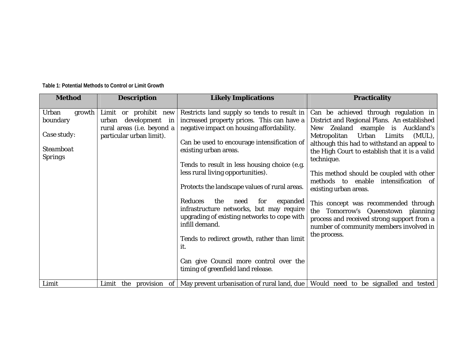| <b>Method</b>                                                             | <b>Description</b>                                                                                      | <b>Likely Implications</b>                                                                                                                                                                                                                                                                                                                                                                                                                                                                                                                                                                                                                                  | <b>Practicality</b>                                                                                                                                                                                                                                                                                                                                                                                                                                                                                                                                                                       |
|---------------------------------------------------------------------------|---------------------------------------------------------------------------------------------------------|-------------------------------------------------------------------------------------------------------------------------------------------------------------------------------------------------------------------------------------------------------------------------------------------------------------------------------------------------------------------------------------------------------------------------------------------------------------------------------------------------------------------------------------------------------------------------------------------------------------------------------------------------------------|-------------------------------------------------------------------------------------------------------------------------------------------------------------------------------------------------------------------------------------------------------------------------------------------------------------------------------------------------------------------------------------------------------------------------------------------------------------------------------------------------------------------------------------------------------------------------------------------|
|                                                                           |                                                                                                         |                                                                                                                                                                                                                                                                                                                                                                                                                                                                                                                                                                                                                                                             |                                                                                                                                                                                                                                                                                                                                                                                                                                                                                                                                                                                           |
| Urban<br>growth<br>boundary<br>Case study:<br>Steamboat<br><b>Springs</b> | Limit or prohibit new<br>urban development in<br>rural areas (i.e. beyond a<br>particular urban limit). | Restricts land supply so tends to result in<br>increased property prices. This can have a<br>negative impact on housing affordability.<br>Can be used to encourage intensification of<br>existing urban areas.<br>Tends to result in less housing choice (e.g.<br>less rural living opportunities).<br>Protects the landscape values of rural areas.<br><b>Reduces</b><br>the<br>for<br>expanded<br>need<br>infrastructure networks, but may require<br>upgrading of existing networks to cope with<br>infill demand.<br>Tends to redirect growth, rather than limit<br>it.<br>Can give Council more control over the<br>timing of greenfield land release. | Can be achieved through regulation in<br>District and Regional Plans. An established<br>New Zealand example is Auckland's<br>Metropolitan<br>Urban Limits<br>(MUL),<br>although this had to withstand an appeal to<br>the High Court to establish that it is a valid<br>technique.<br>This method should be coupled with other<br>methods to enable intensification of<br>existing urban areas.<br>This concept was recommended through<br>the<br>Tomorrow's Queenstown planning<br>process and received strong support from a<br>number of community members involved in<br>the process. |
| Limit                                                                     |                                                                                                         | Limit the provision of May prevent urbanisation of rural land, due Would need to be signalled and tested                                                                                                                                                                                                                                                                                                                                                                                                                                                                                                                                                    |                                                                                                                                                                                                                                                                                                                                                                                                                                                                                                                                                                                           |

**Table 1: Potential Methods to Control or Limit Growth**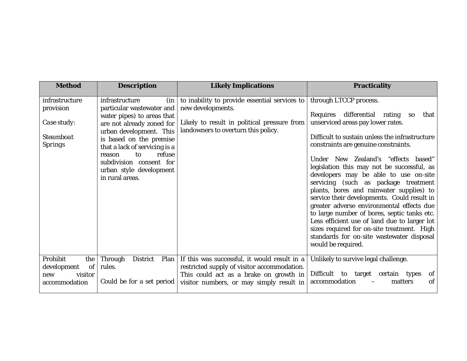| <b>Method</b>                                                                    | <b>Description</b>                                                                                                                                                                                                                                                                                             | <b>Likely Implications</b>                                                                                                                                                        | <b>Practicality</b>                                                                                                                                                                                                                                                                                                                                                                                                                                                                                                                                                                                                                                                                                                                      |
|----------------------------------------------------------------------------------|----------------------------------------------------------------------------------------------------------------------------------------------------------------------------------------------------------------------------------------------------------------------------------------------------------------|-----------------------------------------------------------------------------------------------------------------------------------------------------------------------------------|------------------------------------------------------------------------------------------------------------------------------------------------------------------------------------------------------------------------------------------------------------------------------------------------------------------------------------------------------------------------------------------------------------------------------------------------------------------------------------------------------------------------------------------------------------------------------------------------------------------------------------------------------------------------------------------------------------------------------------------|
| infrastructure<br>provision<br>Case study:<br><b>Steamboat</b><br><b>Springs</b> | infrastructure<br>$(in \mid$<br>particular wastewater and<br>water pipes) to areas that<br>are not already zoned for<br>urban development. This<br>is based on the premise<br>that a lack of servicing is a<br>refuse<br>to<br>reason<br>subdivision consent for<br>urban style development<br>in rural areas. | to inability to provide essential services to<br>new developments.<br>Likely to result in political pressure from<br>landowners to overturn this policy.                          | through LTCCP process.<br>Requires differential rating<br><b>SO</b><br>that<br>unserviced areas pay lower rates.<br>Difficult to sustain unless the infrastructure<br>constraints are genuine constraints.<br>Under New Zealand's "effects based"<br>legislation this may not be successful, as<br>developers may be able to use on-site<br>servicing (such as package treatment<br>plants, bores and rainwater supplies) to<br>service their developments. Could result in<br>greater adverse environmental effects due<br>to large number of bores, septic tanks etc.<br>Less efficient use of land due to larger lot<br>sizes required for on-site treatment. High<br>standards for on-site wastewater disposal<br>would be required. |
| Prohibit<br>the<br>of<br>development<br>visitor<br>new<br>accommodation          | Through<br><b>District</b><br>Plan<br>rules.<br>Could be for a set period                                                                                                                                                                                                                                      | If this was successful, it would result in a<br>restricted supply of visitor accommodation.<br>This could act as a brake on growth in<br>visitor numbers, or may simply result in | Unlikely to survive legal challenge.<br>Difficult to target certain types<br>of<br>accommodation<br>of<br>matters                                                                                                                                                                                                                                                                                                                                                                                                                                                                                                                                                                                                                        |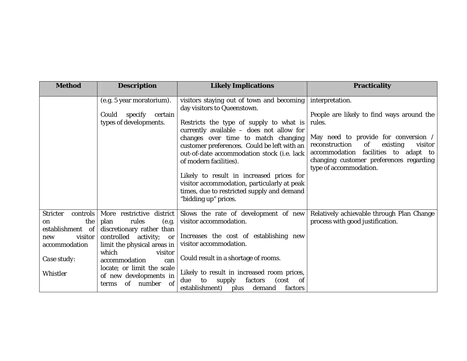| <b>Method</b>                                                                                                                             | <b>Description</b>                                                                                                                                                                                                                                                                      | <b>Likely Implications</b>                                                                                                                                                                                                                                                                                                                                                                                                                                                                                       | <b>Practicality</b>                                                                                                                                                                                                                                        |
|-------------------------------------------------------------------------------------------------------------------------------------------|-----------------------------------------------------------------------------------------------------------------------------------------------------------------------------------------------------------------------------------------------------------------------------------------|------------------------------------------------------------------------------------------------------------------------------------------------------------------------------------------------------------------------------------------------------------------------------------------------------------------------------------------------------------------------------------------------------------------------------------------------------------------------------------------------------------------|------------------------------------------------------------------------------------------------------------------------------------------------------------------------------------------------------------------------------------------------------------|
|                                                                                                                                           | (e.g. 5 year moratorium).<br>Could<br>specify<br>certain<br>types of developments.                                                                                                                                                                                                      | visitors staying out of town and becoming   interpretation.<br>day visitors to Queenstown.<br>Restricts the type of supply to what is<br>currently available - does not allow for<br>changes over time to match changing<br>customer preferences. Could be left with an<br>out-of-date accommodation stock (i.e. lack<br>of modern facilities).<br>Likely to result in increased prices for<br>visitor accommodation, particularly at peak<br>times, due to restricted supply and demand<br>"bidding up" prices. | People are likely to find ways around the<br>rules.<br>May need to provide for conversion /<br>reconstruction<br>of<br>existing<br>visitor<br>facilities to adapt to<br>accommodation<br>changing customer preferences regarding<br>type of accommodation. |
| <b>Stricter</b><br>controls  <br>the<br><sub>on</sub><br>establishment of<br>visitor  <br>new<br>accommodation<br>Case study:<br>Whistler | More restrictive<br>district<br>rules<br>plan<br>(e.g.<br>discretionary rather than<br>controlled activity;<br><b>or</b><br>limit the physical areas in<br>which<br>visitor<br>accommodation<br>can<br>locate; or limit the scale<br>of new developments in<br>of number<br>of<br>terms | Slows the rate of development of new<br>visitor accommodation.<br>Increases the cost of establishing new<br>visitor accommodation.<br>Could result in a shortage of rooms.<br>Likely to result in increased room prices,<br>factors<br>supply<br>(cost)<br>to<br>of<br>due<br>establishment)<br>plus demand<br>factors                                                                                                                                                                                           | Relatively achievable through Plan Change<br>process with good justification.                                                                                                                                                                              |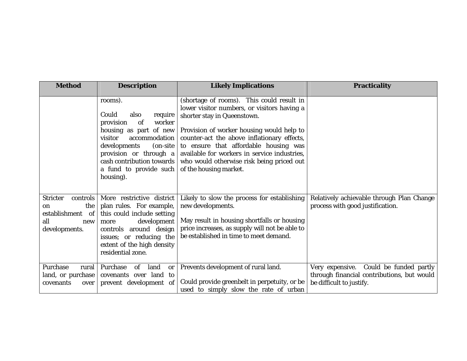| <b>Method</b>                                                                               | <b>Description</b>                                                                                                                                                                                                                                  | <b>Likely Implications</b>                                                                                                                                                                                                                                                                                                                                                          | <b>Practicality</b>                                                                                              |
|---------------------------------------------------------------------------------------------|-----------------------------------------------------------------------------------------------------------------------------------------------------------------------------------------------------------------------------------------------------|-------------------------------------------------------------------------------------------------------------------------------------------------------------------------------------------------------------------------------------------------------------------------------------------------------------------------------------------------------------------------------------|------------------------------------------------------------------------------------------------------------------|
|                                                                                             | rooms).<br>Could<br>also<br>require<br>worker<br>of<br>provision<br>housing as part of new<br>accommodation<br>visitor<br>developments<br>$($ on-site<br>provision or through a<br>cash contribution towards<br>a fund to provide such<br>housing). | (shortage of rooms). This could result in<br>lower visitor numbers, or visitors having a<br>shorter stay in Queenstown.<br>Provision of worker housing would help to<br>counter-act the above inflationary effects,<br>to ensure that affordable housing was<br>available for workers in service industries,<br>who would otherwise risk being priced out<br>of the housing market. |                                                                                                                  |
| <b>Stricter</b><br>controls<br>the<br>on<br>establishment of<br>all<br>new<br>developments. | More restrictive district<br>plan rules. For example,<br>this could include setting<br>development<br>more<br>controls around design<br>issues; or reducing the<br>extent of the high density<br>residential zone.                                  | Likely to slow the process for establishing<br>new developments.<br>May result in housing shortfalls or housing<br>price increases, as supply will not be able to<br>be established in time to meet demand.                                                                                                                                                                         | Relatively achievable through Plan Change<br>process with good justification.                                    |
| Purchase<br>rural<br>land, or purchase<br>covenants<br>over                                 | Purchase<br>of<br>land<br>or<br>covenants over land to<br>prevent development of                                                                                                                                                                    | Prevents development of rural land.<br>Could provide greenbelt in perpetuity, or be<br>used to simply slow the rate of urban                                                                                                                                                                                                                                                        | Very expensive. Could be funded partly<br>through financial contributions, but would<br>be difficult to justify. |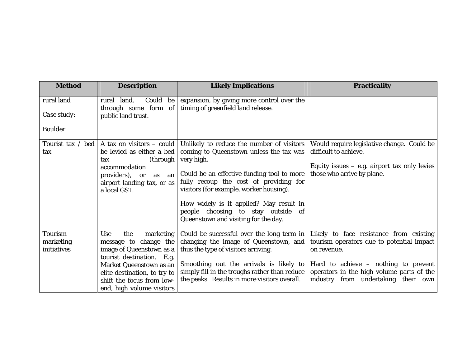| <b>Method</b>  | <b>Description</b>                              | <b>Likely Implications</b>                                                                                                | <b>Practicality</b>                            |
|----------------|-------------------------------------------------|---------------------------------------------------------------------------------------------------------------------------|------------------------------------------------|
| rural land     | Could be<br>rural land.                         | expansion, by giving more control over the                                                                                |                                                |
| Case study:    | through some form of<br>public land trust.      | timing of greenfield land release.                                                                                        |                                                |
| <b>Boulder</b> |                                                 |                                                                                                                           |                                                |
|                | Tourist tax / bed   A tax on visitors $-$ could | Unlikely to reduce the number of visitors                                                                                 | Would require legislative change. Could be     |
| tax            | be levied as either a bed                       | coming to Queenstown unless the tax was                                                                                   | difficult to achieve.                          |
|                | (through<br>tax                                 | very high.                                                                                                                |                                                |
|                | accommodation                                   |                                                                                                                           | Equity issues $-$ e.g. airport tax only levies |
|                | providers), or<br>$\alpha s$ an                 | Could be an effective funding tool to more                                                                                | those who arrive by plane.                     |
|                | airport landing tax, or as                      | fully recoup the cost of providing for<br>visitors (for example, worker housing).                                         |                                                |
|                | a local GST.                                    |                                                                                                                           |                                                |
|                |                                                 | How widely is it applied? May result in<br>people choosing to stay outside<br>-of<br>Queenstown and visiting for the day. |                                                |
| <b>Tourism</b> | <b>Use</b><br>the<br>marketing                  | Could be successful over the long term in                                                                                 | Likely to face resistance from existing        |
| marketing      | message to change the                           | changing the image of Queenstown, and                                                                                     | tourism operators due to potential impact      |
| initiatives    | image of Queenstown as a                        | thus the type of visitors arriving.                                                                                       | on revenue.                                    |
|                | tourist destination. E.g.                       |                                                                                                                           |                                                |
|                | Market Queenstown as an                         | Smoothing out the arrivals is likely to                                                                                   | Hard to achieve $-$ nothing to prevent         |
|                | elite destination, to try to                    | simply fill in the troughs rather than reduce                                                                             | operators in the high volume parts of the      |
|                | shift the focus from low-                       | the peaks. Results in more visitors overall.                                                                              | industry from undertaking their own            |
|                | end, high volume visitors                       |                                                                                                                           |                                                |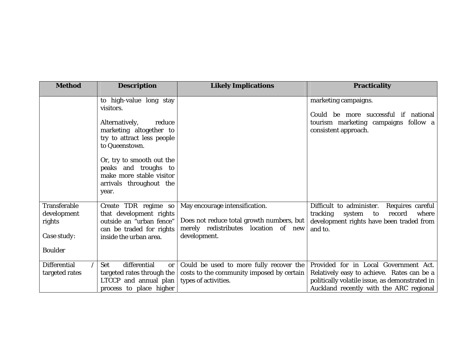| <b>Method</b>                                                                 | <b>Description</b>                                                                                                                                                                                                                                               | <b>Likely Implications</b>                                                                                                          | <b>Practicality</b>                                                                                                                                                              |
|-------------------------------------------------------------------------------|------------------------------------------------------------------------------------------------------------------------------------------------------------------------------------------------------------------------------------------------------------------|-------------------------------------------------------------------------------------------------------------------------------------|----------------------------------------------------------------------------------------------------------------------------------------------------------------------------------|
|                                                                               | to high-value long stay<br>visitors.<br>Alternatively,<br>reduce<br>marketing altogether to<br>try to attract less people<br>to Queenstown.<br>Or, try to smooth out the<br>peaks and troughs to<br>make more stable visitor<br>arrivals throughout the<br>year. |                                                                                                                                     | marketing campaigns.<br>Could be more successful if national<br>tourism marketing campaigns follow a<br>consistent approach.                                                     |
| <b>Transferable</b><br>development<br>rights<br>Case study:<br><b>Boulder</b> | Create TDR regime so<br>that development rights<br>outside an "urban fence"<br>can be traded for rights<br>inside the urban area.                                                                                                                                | May encourage intensification.<br>Does not reduce total growth numbers, but<br>merely redistributes location of new<br>development. | Difficult to administer.<br>Requires careful<br>tracking<br>record<br>where<br>system<br>to<br>development rights have been traded from<br>and to.                               |
| <b>Differential</b><br>targeted rates                                         | differential<br><b>Set</b><br><b>or</b><br>targeted rates through the<br>LTCCP and annual plan<br>process to place higher                                                                                                                                        | Could be used to more fully recover the<br>costs to the community imposed by certain<br>types of activities.                        | Provided for in Local Government Act.<br>Relatively easy to achieve. Rates can be a<br>politically volatile issue, as demonstrated in<br>Auckland recently with the ARC regional |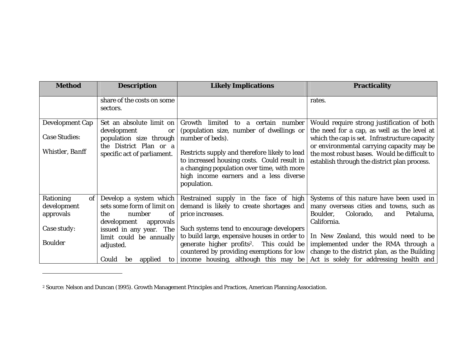| <b>Method</b>                                                                | <b>Description</b>                                                                                                                                                                    | <b>Likely Implications</b>                                                                                                                                                                                                                                                                                   | <b>Practicality</b>                                                                                                                                                                                                                                                                     |
|------------------------------------------------------------------------------|---------------------------------------------------------------------------------------------------------------------------------------------------------------------------------------|--------------------------------------------------------------------------------------------------------------------------------------------------------------------------------------------------------------------------------------------------------------------------------------------------------------|-----------------------------------------------------------------------------------------------------------------------------------------------------------------------------------------------------------------------------------------------------------------------------------------|
|                                                                              | share of the costs on some<br>sectors.                                                                                                                                                |                                                                                                                                                                                                                                                                                                              | rates.                                                                                                                                                                                                                                                                                  |
| <b>Development Cap</b><br>Case Studies:<br>Whistler, Banff                   | Set an absolute limit on<br>development<br>or<br>population size through<br>the District Plan or a<br>specific act of parliament.                                                     | Growth limited to<br>a certain number<br>(population size, number of dwellings or<br>number of beds).<br>Restricts supply and therefore likely to lead<br>to increased housing costs. Could result in<br>a changing population over time, with more<br>high income earners and a less diverse<br>population. | Would require strong justification of both<br>the need for a cap, as well as the level at<br>which the cap is set. Infrastructure capacity<br>or environmental carrying capacity may be<br>the most robust bases. Would be difficult to<br>establish through the district plan process. |
| Rationing<br>of<br>development<br>approvals<br>Case study:<br><b>Boulder</b> | Develop a system which<br>sets some form of limit on<br>number<br>the<br><sub>of</sub><br>development<br>approvals<br>issued in any year. The<br>limit could be annually<br>adjusted. | Restrained supply in the face of high<br>demand is likely to create shortages and<br>price increases.<br>Such systems tend to encourage developers<br>to build large, expensive houses in order to<br>generate higher profits <sup>2</sup> . This could be<br>countered by providing exemptions for low      | Systems of this nature have been used in<br>many overseas cities and towns, such as<br>Boulder,<br>Colorado,<br>Petaluma,<br>and<br>California.<br>In New Zealand, this would need to be<br>implemented under the RMA through a<br>change to the district plan, as the Building         |
|                                                                              | Could<br>applied<br>to  <br>be                                                                                                                                                        | income housing, although this may be                                                                                                                                                                                                                                                                         | Act is solely for addressing health and                                                                                                                                                                                                                                                 |

<sup>2</sup> Source: Nelson and Duncan (1995). Growth Management Principles and Practices, American Planning Association.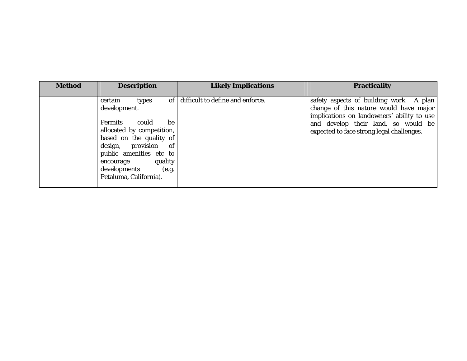| <b>Method</b> | <b>Description</b>                                                                                                                                                                                                                                                            | <b>Likely Implications</b>       | <b>Practicality</b>                                                                                                                                                                                                 |
|---------------|-------------------------------------------------------------------------------------------------------------------------------------------------------------------------------------------------------------------------------------------------------------------------------|----------------------------------|---------------------------------------------------------------------------------------------------------------------------------------------------------------------------------------------------------------------|
|               | of <sub>1</sub><br>certain<br>types<br>development.<br><b>Permits</b><br>could<br>be<br>allocated by competition,<br>based on the quality of<br>design, provision<br>of<br>public amenities etc to<br>quality<br>encourage<br>developments<br>(e.g.<br>Petaluma, California). | difficult to define and enforce. | safety aspects of building work. A plan<br>change of this nature would have major<br>implications on landowners' ability to use<br>and develop their land, so would be<br>expected to face strong legal challenges. |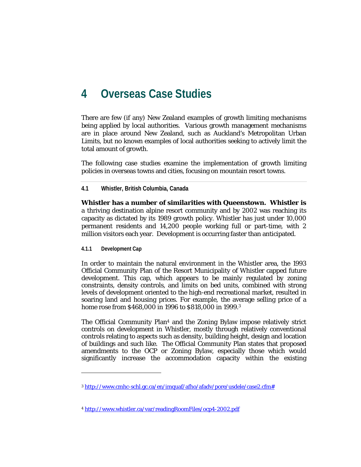# **4 Overseas Case Studies**

There are few (if any) New Zealand examples of growth limiting mechanisms being applied by local authorities. Various growth management mechanisms are in place around New Zealand, such as Auckland's Metropolitan Urban Limits, but no known examples of local authorities seeking to actively limit the total amount of growth.

The following case studies examine the implementation of growth limiting policies in overseas towns and cities, focusing on mountain resort towns.

**4.1 Whistler, British Columbia, Canada** 

**Whistler has a number of similarities with Queenstown. Whistler is**  a thriving destination alpine resort community and by 2002 was reaching its capacity as dictated by its 1989 growth policy. Whistler has just under 10,000 permanent residents and 14,200 people working full or part-time, with 2 million visitors each year. Development is occurring faster than anticipated.

**4.1.1 Development Cap** 

 $\overline{\phantom{a}}$ 

In order to maintain the natural environment in the Whistler area, the 1993 Official Community Plan of the Resort Municipality of Whistler capped future development. This cap, which appears to be mainly regulated by zoning constraints, density controls, and limits on bed units, combined with strong levels of development oriented to the high-end recreational market, resulted in soaring land and housing prices. For example, the average selling price of a home rose from \$468,000 in 1996 to \$818,000 in 1999.3

The Official Community Plan4 and the Zoning Bylaw impose relatively strict controls on development in Whistler, mostly through relatively conventional controls relating to aspects such as density, building height, design and location of buildings and such like. The Official Community Plan states that proposed amendments to the OCP or Zoning Bylaw, especially those which would significantly increase the accommodation capacity within the existing

<sup>3</sup> http://www.cmhc-schl.gc.ca/en/imquaf/afho/afadv/pore/usdele/case2.cfm#

<sup>4</sup> http://www.whistler.ca/var/readingRoomFiles/ocp4-2002.pdf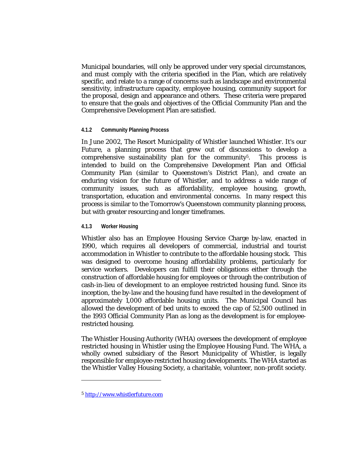Municipal boundaries, will only be approved under very special circumstances, and must comply with the criteria specified in the Plan, which are relatively specific, and relate to a range of concerns such as landscape and environmental sensitivity, infrastructure capacity, employee housing, community support for the proposal, design and appearance and others. These criteria were prepared to ensure that the goals and objectives of the Official Community Plan and the Comprehensive Development Plan are satisfied.

#### **4.1.2 Community Planning Process**

In June 2002, The Resort Municipality of Whistler launched *Whistler. It's our Future*, a planning process that grew out of discussions to develop a comprehensive sustainability plan for the community<sup>5</sup>. This process is intended to build on the Comprehensive Development Plan and Official Community Plan (similar to Queenstown's District Plan), and create an enduring vision for the future of Whistler, and to address a wide range of community issues, such as affordability, employee housing, growth, transportation, education and environmental concerns. In many respect this process is similar to the Tomorrow's Queenstown community planning process, but with greater resourcing and longer timeframes.

#### **4.1.3 Worker Housing**

Whistler also has an Employee Housing Service Charge by-law, enacted in 1990, which requires all developers of commercial, industrial and tourist accommodation in Whistler to contribute to the affordable housing stock. This was designed to overcome housing affordability problems, particularly for service workers. Developers can fulfill their obligations either through the construction of affordable housing for employees or through the contribution of cash-in-lieu of development to an employee restricted housing fund. Since its inception, the by-law and the housing fund have resulted in the development of approximately 1,000 affordable housing units. The Municipal Council has allowed the development of bed units to exceed the cap of 52,500 outlined in the 1993 Official Community Plan as long as the development is for employeerestricted housing.

The Whistler Housing Authority (WHA) oversees the development of employee restricted housing in Whistler using the Employee Housing Fund. The WHA, a wholly owned subsidiary of the Resort Municipality of Whistler, is legally responsible for employee-restricted housing developments. The WHA started as the Whistler Valley Housing Society, a charitable, volunteer, non-profit society.

 $\overline{\phantom{a}}$ 

<sup>5</sup> http://www.whistlerfuture.com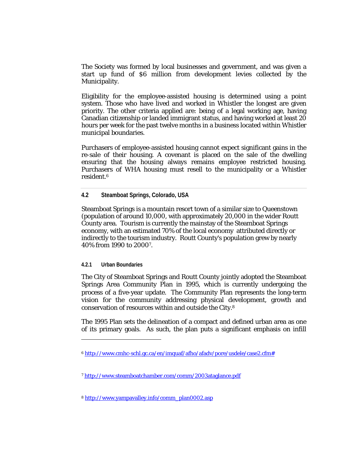The Society was formed by local businesses and government, and was given a start up fund of \$6 million from development levies collected by the Municipality.

Eligibility for the employee-assisted housing is determined using a point system. Those who have lived and worked in Whistler the longest are given priority. The other criteria applied are: being of a legal working age, having Canadian citizenship or landed immigrant status, and having worked at least 20 hours per week for the past twelve months in a business located within Whistler municipal boundaries.

Purchasers of employee-assisted housing cannot expect significant gains in the re-sale of their housing. A covenant is placed on the sale of the dwelling ensuring that the housing always remains employee restricted housing. Purchasers of WHA housing must resell to the municipality or a Whistler resident.6

#### **4.2 Steamboat Springs, Colorado, USA**

Steamboat Springs is a mountain resort town of a similar size to Queenstown (population of around 10,000, with approximately 20,000 in the wider Routt County area. Tourism is currently the mainstay of the Steamboat Springs economy, with an estimated 70% of the local economy attributed directly or indirectly to the tourism industry. Routt County's population grew by nearly 40% from 1990 to 20007.

#### **4.2.1 Urban Boundaries**

 $\overline{\phantom{a}}$ 

The City of Steamboat Springs and Routt County jointly adopted the Steamboat Springs Area Community Plan in 1995, which is currently undergoing the process of a five-year update. The Community Plan represents the long-term vision for the community addressing physical development, growth and conservation of resources within and outside the City.8

The 1995 Plan sets the delineation of a compact and defined urban area as one of its primary goals. As such, the plan puts a significant emphasis on infill

<sup>6</sup> http://www.cmhc-schl.gc.ca/en/imquaf/afho/afadv/pore/usdele/case2.cfm#

<sup>7</sup> http://www.steamboatchamber.com/comm/2003ataglance.pdf

<sup>8</sup> http://www.yampavalley.info/comm\_plan0002.asp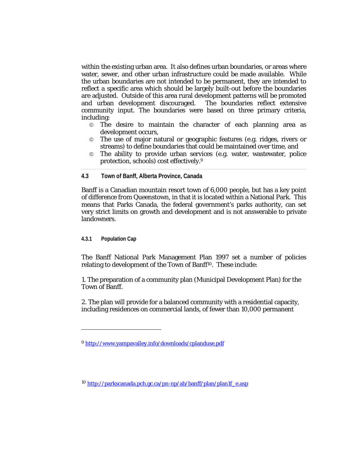within the existing urban area. It also defines urban boundaries, or areas where water, sewer, and other urban infrastructure could be made available. While the urban boundaries are not intended to be permanent, they are intended to reflect a specific area which should be largely built-out before the boundaries are adjusted. Outside of this area rural development patterns will be promoted and urban development discouraged. The boundaries reflect extensive community input. The boundaries were based on three primary criteria, including:

- © The desire to maintain the character of each planning area as development occurs,
- © The use of major natural or geographic features (e.g. ridges, rivers or streams) to define boundaries that could be maintained over time, and
- © The ability to provide urban services (e.g. water, wastewater, police protection, schools) cost effectively.9

**4.3 Town of Banff, Alberta Province, Canada** 

Banff is a Canadian mountain resort town of 6,000 people, but has a key point of difference from Queenstown, in that it is located within a National Park. This means that Parks Canada, the federal government's parks authority, can set very strict limits on growth and development and is not answerable to private landowners.

**4.3.1 Population Cap** 

 $\overline{\phantom{a}}$ 

The Banff National Park Management Plan 1997 set a number of policies relating to development of the Town of Banff<sup>10</sup>. These include:

1. The preparation of a community plan (Municipal Development Plan) for the Town of Banff.

2. The plan will provide for a balanced community with a residential capacity, including residences on commercial lands, of fewer than 10,000 permanent

<sup>9</sup> http://www.yampavalley.info/downloads/cplanduse.pdf

<sup>10</sup> http://parkscanada.pch.gc.ca/pn-np/ab/banff/plan/plan1f\_e.asp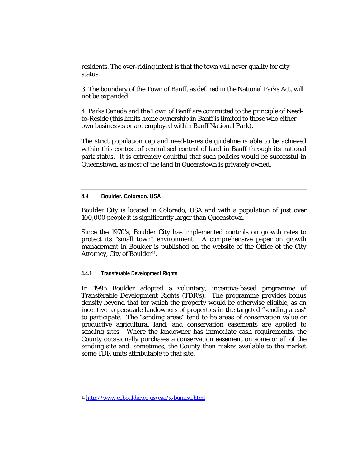residents. The over-riding intent is that the town will never qualify for city status.

3. The boundary of the Town of Banff, as defined in the National Parks Act, will not be expanded.

4. Parks Canada and the Town of Banff are committed to the principle of Needto-Reside (this limits home ownership in Banff is limited to those who either own businesses or are employed within Banff National Park).

The strict population cap and need-to-reside guideline is able to be achieved within this context of centralised control of land in Banff through its national park status. It is extremely doubtful that such policies would be successful in Queenstown, as most of the land in Queenstown is privately owned.

**4.4 Boulder, Colorado, USA** 

Boulder City is located in Colorado, USA and with a population of just over 100,000 people it is significantly larger than Queenstown.

Since the 1970's, Boulder City has implemented controls on growth rates to protect its "small town" environment. A comprehensive paper on growth management in Boulder is published on the website of the Office of the City Attorney, City of Boulder<sup>11</sup>.

**4.4.1 Transferable Development Rights** 

In 1995 Boulder adopted a voluntary, incentive-based programme of Transferable Development Rights (TDR's). The programme provides bonus density beyond that for which the property would be otherwise eligible, as an incentive to persuade landowners of properties in the targeted "sending areas" to participate. The "sending areas" tend to be areas of conservation value or productive agricultural land, and conservation easements are applied to sending sites. Where the landowner has immediate cash requirements, the County occasionally purchases a conservation easement on some or all of the sending site and, sometimes, the County then makes available to the market some TDR units attributable to that site.

l

<sup>11</sup> http://www.ci.boulder.co.us/cao/x-bgmcs1.html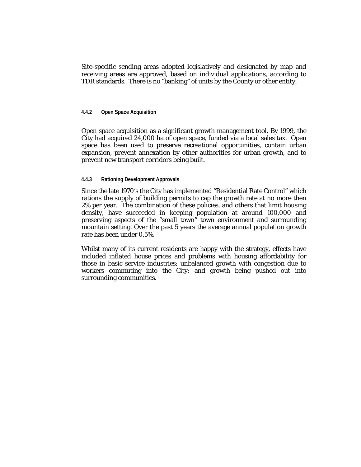Site-specific sending areas adopted legislatively and designated by map and receiving areas are approved, based on individual applications, according to TDR standards. There is no "banking" of units by the County or other entity.

#### **4.4.2 Open Space Acquisition**

Open space acquisition as a significant growth management tool. By 1999, the City had acquired 24,000 ha of open space, funded via a local sales tax. Open space has been used to preserve recreational opportunities, contain urban expansion, prevent annexation by other authorities for urban growth, and to prevent new transport corridors being built.

#### **4.4.3 Rationing Development Approvals**

Since the late 1970's the City has implemented "Residential Rate Control" which rations the supply of building permits to cap the growth rate at no more then 2% per year. The combination of these policies, and others that limit housing density, have succeeded in keeping population at around 100,000 and preserving aspects of the "small town" town environment and surrounding mountain setting. Over the past 5 years the average annual population growth rate has been under 0.5%.

Whilst many of its current residents are happy with the strategy, effects have included inflated house prices and problems with housing affordability for those in basic service industries; unbalanced growth with congestion due to workers commuting into the City; and growth being pushed out into surrounding communities.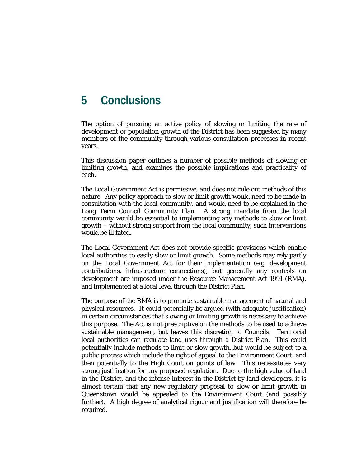# **5 Conclusions**

The option of pursuing an active policy of slowing or limiting the rate of development or population growth of the District has been suggested by many members of the community through various consultation processes in recent years.

This discussion paper outlines a number of possible methods of slowing or limiting growth, and examines the possible implications and practicality of each.

The Local Government Act is permissive, and does not rule out methods of this nature. Any policy approach to slow or limit growth would need to be made in consultation with the local community, and would need to be explained in the Long Term Council Community Plan. A strong mandate from the local community would be essential to implementing any methods to slow or limit growth – without strong support from the local community, such interventions would be ill fated.

The Local Government Act does not provide specific provisions which enable local authorities to easily slow or limit growth. Some methods may rely partly on the Local Government Act for their implementation (e.g. development contributions, infrastructure connections), but generally any controls on development are imposed under the Resource Management Act 1991 (RMA), and implemented at a local level through the District Plan.

The purpose of the RMA is to promote sustainable management of natural and physical resources. It could potentially be argued (with adequate justification) in certain circumstances that slowing or limiting growth is necessary to achieve this purpose. The Act is not prescriptive on the methods to be used to achieve sustainable management, but leaves this discretion to Councils. Territorial local authorities can regulate land uses through a District Plan. This could potentially include methods to limit or slow growth, but would be subject to a public process which include the right of appeal to the Environment Court, and then potentially to the High Court on points of law. This necessitates very strong justification for any proposed regulation. Due to the high value of land in the District, and the intense interest in the District by land developers, it is almost certain that any new regulatory proposal to slow or limit growth in Queenstown would be appealed to the Environment Court (and possibly further). A high degree of analytical rigour and justification will therefore be required.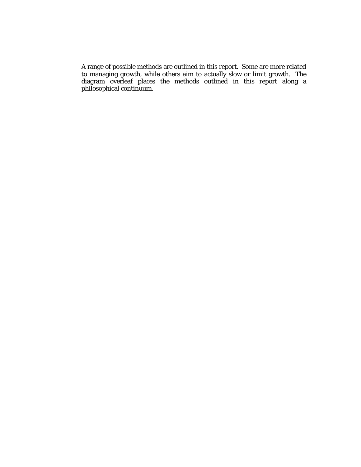A range of possible methods are outlined in this report. Some are more related to managing growth, while others aim to actually slow or limit growth. The diagram overleaf places the methods outlined in this report along a philosophical continuum.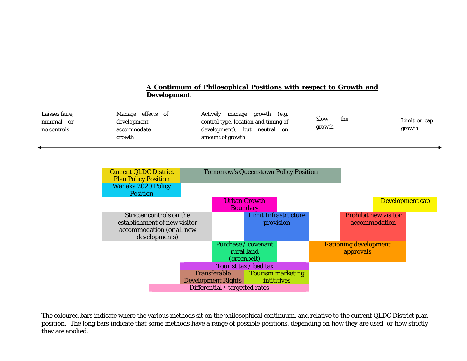#### Current QLDC District Plan Policy Position Tomorrow's Queenstown Policy Position Wanaka 2020 Policy Position Urban Growth **Boundary** Development cap Stricter controls on the establishment of new visitor accommodation (or all new developments) Limit Infrastructure provision Prohibit new visitor accommodation Purchase / covenant Rationing development Laissez faire, minimal orno controls Manage effects of development, accommodate growth Actively manage growth (e.g. control type, location and timing of development), but neutral on amount of growth Slow thegrowth Limit or cap growth **A Continuum of Philosophical Positions with respect to Growth and Development**

rural land (greenbelt)

Tourist tax / bed tax

Tourism marketing

**intititives** 

approvals

The coloured bars indicate where the various methods sit on the philosophical continuum, and relative to the current QLDC District plan position. The long bars indicate that some methods have a range of possible positions, depending on how they are used, or how strictly they are applied.

Differential / targetted rates

Transferable Development Rights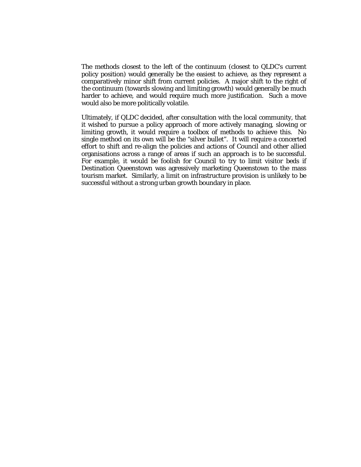The methods closest to the left of the continuum (closest to QLDC's current policy position) would generally be the easiest to achieve, as they represent a comparatively minor shift from current policies. A major shift to the right of the continuum (towards slowing and limiting growth) would generally be much harder to achieve, and would require much more justification. Such a move would also be more politically volatile.

Ultimately, if QLDC decided, after consultation with the local community, that it wished to pursue a policy approach of more actively managing, slowing or limiting growth, it would require a toolbox of methods to achieve this. No single method on its own will be the "silver bullet". It will require a concerted effort to shift and re-align the policies and actions of Council and other allied organisations across a range of areas if such an approach is to be successful. For example, it would be foolish for Council to try to limit visitor beds if Destination Queenstown was agressively marketing Queenstown to the mass tourism market. Similarly, a limit on infrastructure provision is unlikely to be successful without a strong urban growth boundary in place.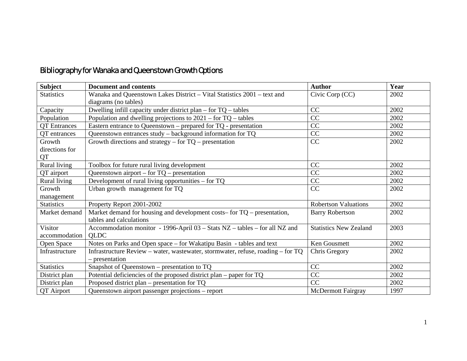### Bibliography for Wanaka and Queenstown Growth Options

| Subject             | <b>Document and contents</b>                                                    | <b>Author</b>                 | Year |
|---------------------|---------------------------------------------------------------------------------|-------------------------------|------|
| <b>Statistics</b>   | Wanaka and Queenstown Lakes District - Vital Statistics 2001 - text and         | Civic Corp (CC)               | 2002 |
|                     | diagrams (no tables)                                                            |                               |      |
| Capacity            | Dwelling infill capacity under district plan $-$ for $TQ -$ tables              | CC                            | 2002 |
| Population          | Population and dwelling projections to $2021 -$ for TQ – tables                 | CC                            | 2002 |
| <b>QT</b> Entrances | Eastern entrance to Queenstown – prepared for $TQ$ - presentation               | CC                            | 2002 |
| QT entrances        | Queenstown entrances study – background information for TQ                      | CC                            | 2002 |
| Growth              | Growth directions and strategy – for $TQ$ – presentation                        | CC                            | 2002 |
| directions for      |                                                                                 |                               |      |
| QT                  |                                                                                 |                               |      |
| Rural living        | Toolbox for future rural living development                                     | CC                            | 2002 |
| QT airport          | Queenstown airport – for $TQ$ – presentation                                    | CC                            | 2002 |
| Rural living        | Development of rural living opportunities $-$ for TQ                            | CC                            | 2002 |
| Growth              | Urban growth management for TQ                                                  | CC                            | 2002 |
| management          |                                                                                 |                               |      |
| <b>Statistics</b>   | Property Report 2001-2002                                                       | <b>Robertson Valuations</b>   | 2002 |
| Market demand       | Market demand for housing and development costs– for $TQ$ – presentation,       | <b>Barry Robertson</b>        | 2002 |
|                     | tables and calculations                                                         |                               |      |
| Visitor             | Accommodation monitor - 1996-April 03 – Stats NZ – tables – for all NZ and      | <b>Statistics New Zealand</b> | 2003 |
| accommodation       | <b>QLDC</b>                                                                     |                               |      |
| Open Space          | Notes on Parks and Open space – for Wakatipu Basin - tables and text            | Ken Gousmett                  | 2002 |
| Infrastructure      | Infrastructure Review - water, wastewater, stormwater, refuse, roading - for TQ | Chris Gregory                 | 2002 |
|                     | – presentation                                                                  |                               |      |
| <b>Statistics</b>   | Snapshot of Queenstown – presentation to $TQ$                                   | CC                            | 2002 |
| District plan       | Potential deficiencies of the proposed district plan – paper for TQ             | CC                            | 2002 |
| District plan       | Proposed district plan – presentation for $TQ$                                  | CC                            | 2002 |
| QT Airport          | Queenstown airport passenger projections - report                               | <b>McDermott Fairgray</b>     | 1997 |